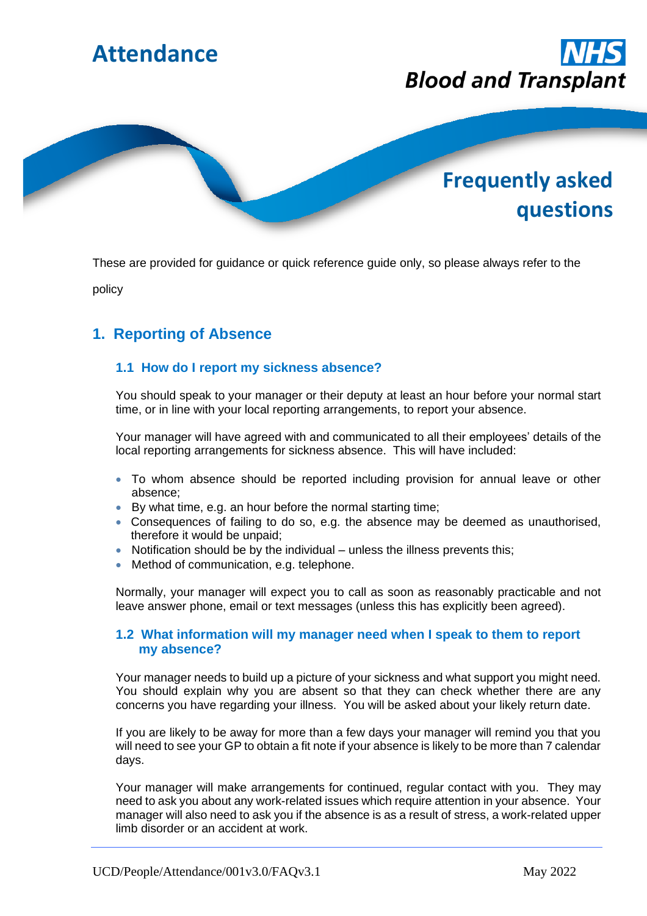

These are provided for guidance or quick reference guide only, so please always refer to the

policy

# **1. Reporting of Absence**

## **1.1 How do I report my sickness absence?**

You should speak to your manager or their deputy at least an hour before your normal start time, or in line with your local reporting arrangements, to report your absence.

Your manager will have agreed with and communicated to all their employees' details of the local reporting arrangements for sickness absence. This will have included:

- To whom absence should be reported including provision for annual leave or other absence;
- By what time, e.g. an hour before the normal starting time;
- Consequences of failing to do so, e.g. the absence may be deemed as unauthorised, therefore it would be unpaid;
- Notification should be by the individual unless the illness prevents this;
- Method of communication, e.g. telephone.

Normally, your manager will expect you to call as soon as reasonably practicable and not leave answer phone, email or text messages (unless this has explicitly been agreed).

## **1.2 What information will my manager need when I speak to them to report my absence?**

Your manager needs to build up a picture of your sickness and what support you might need. You should explain why you are absent so that they can check whether there are any concerns you have regarding your illness. You will be asked about your likely return date.

If you are likely to be away for more than a few days your manager will remind you that you will need to see your GP to obtain a fit note if your absence is likely to be more than 7 calendar days.

Your manager will make arrangements for continued, regular contact with you. They may need to ask you about any work-related issues which require attention in your absence. Your manager will also need to ask you if the absence is as a result of stress, a work-related upper limb disorder or an accident at work.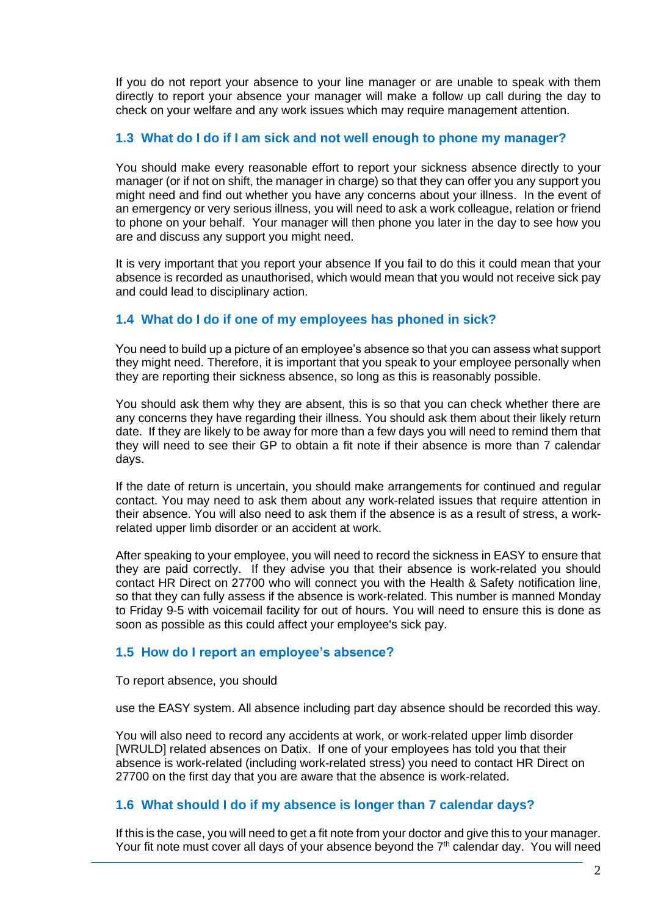If you do not report your absence to your line manager or are unable to speak with them directly to report your absence your manager will make a follow up call during the day to check on your welfare and any work issues which may require management attention.

## **1.3 What do I do if I am sick and not well enough to phone my manager?**

You should make every reasonable effort to report your sickness absence directly to your manager (or if not on shift, the manager in charge) so that they can offer you any support you might need and find out whether you have any concerns about your illness. In the event of an emergency or very serious illness, you will need to ask a work colleague, relation or friend to phone on your behalf. Your manager will then phone you later in the day to see how you are and discuss any support you might need.

It is very important that you report your absence If you fail to do this it could mean that your absence is recorded as unauthorised, which would mean that you would not receive sick pay and could lead to disciplinary action.

## **1.4 What do I do if one of my employees has phoned in sick?**

You need to build up a picture of an employee's absence so that you can assess what support they might need. Therefore, it is important that you speak to your employee personally when they are reporting their sickness absence, so long as this is reasonably possible.

You should ask them why they are absent, this is so that you can check whether there are any concerns they have regarding their illness. You should ask them about their likely return date. If they are likely to be away for more than a few days you will need to remind them that they will need to see their GP to obtain a fit note if their absence is more than 7 calendar days.

If the date of return is uncertain, you should make arrangements for continued and regular contact. You may need to ask them about any work-related issues that require attention in their absence. You will also need to ask them if the absence is as a result of stress, a workrelated upper limb disorder or an accident at work.

After speaking to your employee, you will need to record the sickness in EASY to ensure that they are paid correctly. If they advise you that their absence is work-related you should contact HR Direct on 27700 who will connect you with the Health & Safety notification line, so that they can fully assess if the absence is work-related. This number is manned Monday to Friday 9-5 with voicemail facility for out of hours. You will need to ensure this is done as soon as possible as this could affect your employee's sick pay.

## **1.5 How do I report an employee's absence?**

To report absence, you should

use the EASY system. All absence including part day absence should be recorded this way.

You will also need to record any accidents at work, or work-related upper limb disorder [WRULD] related absences on Datix. If one of your employees has told you that their absence is work-related (including work-related stress) you need to contact HR Direct on 27700 on the first day that you are aware that the absence is work-related.

## **1.6 What should I do if my absence is longer than 7 calendar days?**

If this is the case, you will need to get a fit note from your doctor and give this to your manager. Your fit note must cover all days of your absence beyond the 7<sup>th</sup> calendar day. You will need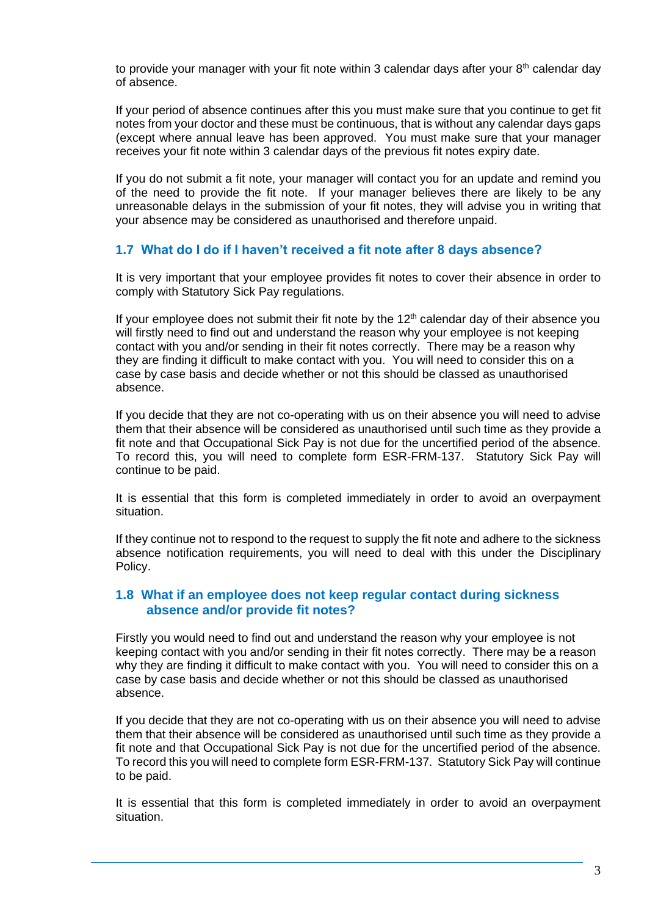to provide your manager with your fit note within 3 calendar days after your 8<sup>th</sup> calendar day of absence.

If your period of absence continues after this you must make sure that you continue to get fit notes from your doctor and these must be continuous, that is without any calendar days gaps (except where annual leave has been approved. You must make sure that your manager receives your fit note within 3 calendar days of the previous fit notes expiry date.

If you do not submit a fit note, your manager will contact you for an update and remind you of the need to provide the fit note. If your manager believes there are likely to be any unreasonable delays in the submission of your fit notes, they will advise you in writing that your absence may be considered as unauthorised and therefore unpaid.

#### **1.7 What do I do if I haven't received a fit note after 8 days absence?**

It is very important that your employee provides fit notes to cover their absence in order to comply with Statutory Sick Pay regulations.

If your employee does not submit their fit note by the  $12<sup>th</sup>$  calendar day of their absence you will firstly need to find out and understand the reason why your employee is not keeping contact with you and/or sending in their fit notes correctly. There may be a reason why they are finding it difficult to make contact with you. You will need to consider this on a case by case basis and decide whether or not this should be classed as unauthorised absence.

If you decide that they are not co-operating with us on their absence you will need to advise them that their absence will be considered as unauthorised until such time as they provide a fit note and that Occupational Sick Pay is not due for the uncertified period of the absence. To record this, you will need to complete form ESR-FRM-137. Statutory Sick Pay will continue to be paid.

It is essential that this form is completed immediately in order to avoid an overpayment situation.

If they continue not to respond to the request to supply the fit note and adhere to the sickness absence notification requirements, you will need to deal with this under the Disciplinary Policy.

#### **1.8 What if an employee does not keep regular contact during sickness absence and/or provide fit notes?**

Firstly you would need to find out and understand the reason why your employee is not keeping contact with you and/or sending in their fit notes correctly. There may be a reason why they are finding it difficult to make contact with you. You will need to consider this on a case by case basis and decide whether or not this should be classed as unauthorised absence.

If you decide that they are not co-operating with us on their absence you will need to advise them that their absence will be considered as unauthorised until such time as they provide a fit note and that Occupational Sick Pay is not due for the uncertified period of the absence. To record this you will need to complete form ESR-FRM-137. Statutory Sick Pay will continue to be paid.

It is essential that this form is completed immediately in order to avoid an overpayment situation.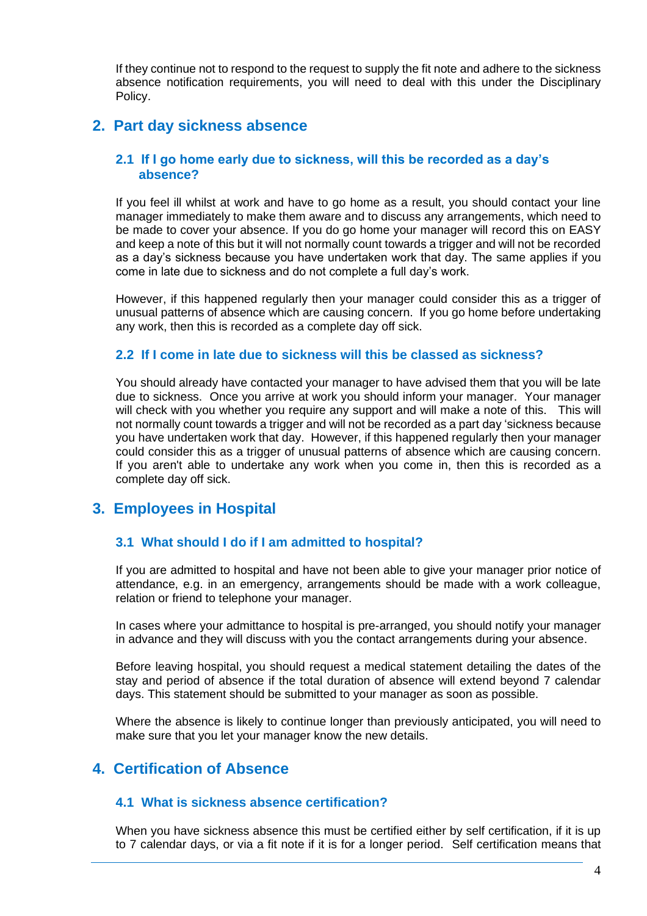If they continue not to respond to the request to supply the fit note and adhere to the sickness absence notification requirements, you will need to deal with this under the Disciplinary Policy.

## **2. Part day sickness absence**

#### **2.1 If I go home early due to sickness, will this be recorded as a day's absence?**

If you feel ill whilst at work and have to go home as a result, you should contact your line manager immediately to make them aware and to discuss any arrangements, which need to be made to cover your absence. If you do go home your manager will record this on EASY and keep a note of this but it will not normally count towards a trigger and will not be recorded as a day's sickness because you have undertaken work that day. The same applies if you come in late due to sickness and do not complete a full day's work.

However, if this happened regularly then your manager could consider this as a trigger of unusual patterns of absence which are causing concern. If you go home before undertaking any work, then this is recorded as a complete day off sick.

#### **2.2 If I come in late due to sickness will this be classed as sickness?**

You should already have contacted your manager to have advised them that you will be late due to sickness. Once you arrive at work you should inform your manager. Your manager will check with you whether you require any support and will make a note of this. This will not normally count towards a trigger and will not be recorded as a part day 'sickness because you have undertaken work that day. However, if this happened regularly then your manager could consider this as a trigger of unusual patterns of absence which are causing concern. If you aren't able to undertake any work when you come in, then this is recorded as a complete day off sick.

## **3. Employees in Hospital**

## **3.1 What should I do if I am admitted to hospital?**

If you are admitted to hospital and have not been able to give your manager prior notice of attendance, e.g. in an emergency, arrangements should be made with a work colleague, relation or friend to telephone your manager.

In cases where your admittance to hospital is pre-arranged, you should notify your manager in advance and they will discuss with you the contact arrangements during your absence.

Before leaving hospital, you should request a medical statement detailing the dates of the stay and period of absence if the total duration of absence will extend beyond 7 calendar days. This statement should be submitted to your manager as soon as possible.

Where the absence is likely to continue longer than previously anticipated, you will need to make sure that you let your manager know the new details.

## **4. Certification of Absence**

#### **4.1 What is sickness absence certification?**

When you have sickness absence this must be certified either by self certification, if it is up to 7 calendar days, or via a fit note if it is for a longer period. Self certification means that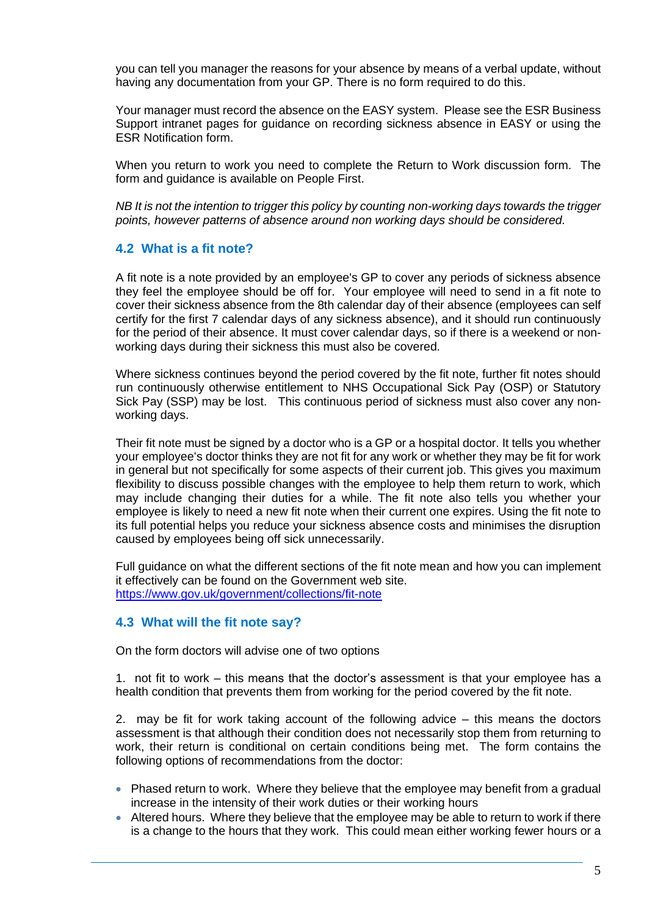you can tell you manager the reasons for your absence by means of a verbal update, without having any documentation from your GP. There is no form required to do this.

Your manager must record the absence on the EASY system. Please see the ESR Business Support intranet pages for guidance on recording sickness absence in EASY or using the ESR Notification form.

When you return to work you need to complete the Return to Work discussion form. The form and guidance is available on People First.

*NB It is not the intention to trigger this policy by counting non-working days towards the trigger points, however patterns of absence around non working days should be considered.*

#### **4.2 What is a fit note?**

A fit note is a note provided by an employee's GP to cover any periods of sickness absence they feel the employee should be off for. Your employee will need to send in a fit note to cover their sickness absence from the 8th calendar day of their absence (employees can self certify for the first 7 calendar days of any sickness absence), and it should run continuously for the period of their absence. It must cover calendar days, so if there is a weekend or nonworking days during their sickness this must also be covered.

Where sickness continues beyond the period covered by the fit note, further fit notes should run continuously otherwise entitlement to NHS Occupational Sick Pay (OSP) or Statutory Sick Pay (SSP) may be lost. This continuous period of sickness must also cover any nonworking days.

Their fit note must be signed by a doctor who is a GP or a hospital doctor. It tells you whether your employee's doctor thinks they are not fit for any work or whether they may be fit for work in general but not specifically for some aspects of their current job. This gives you maximum flexibility to discuss possible changes with the employee to help them return to work, which may include changing their duties for a while. The fit note also tells you whether your employee is likely to need a new fit note when their current one expires. Using the fit note to its full potential helps you reduce your sickness absence costs and minimises the disruption caused by employees being off sick unnecessarily.

Full guidance on what the different sections of the fit note mean and how you can implement it effectively can be found on the Government web site. <https://www.gov.uk/government/collections/fit-note>

## **4.3 What will the fit note say?**

On the form doctors will advise one of two options

1. not fit to work – this means that the doctor's assessment is that your employee has a health condition that prevents them from working for the period covered by the fit note.

2. may be fit for work taking account of the following advice – this means the doctors assessment is that although their condition does not necessarily stop them from returning to work, their return is conditional on certain conditions being met. The form contains the following options of recommendations from the doctor:

- Phased return to work. Where they believe that the employee may benefit from a gradual increase in the intensity of their work duties or their working hours
- Altered hours. Where they believe that the employee may be able to return to work if there is a change to the hours that they work. This could mean either working fewer hours or a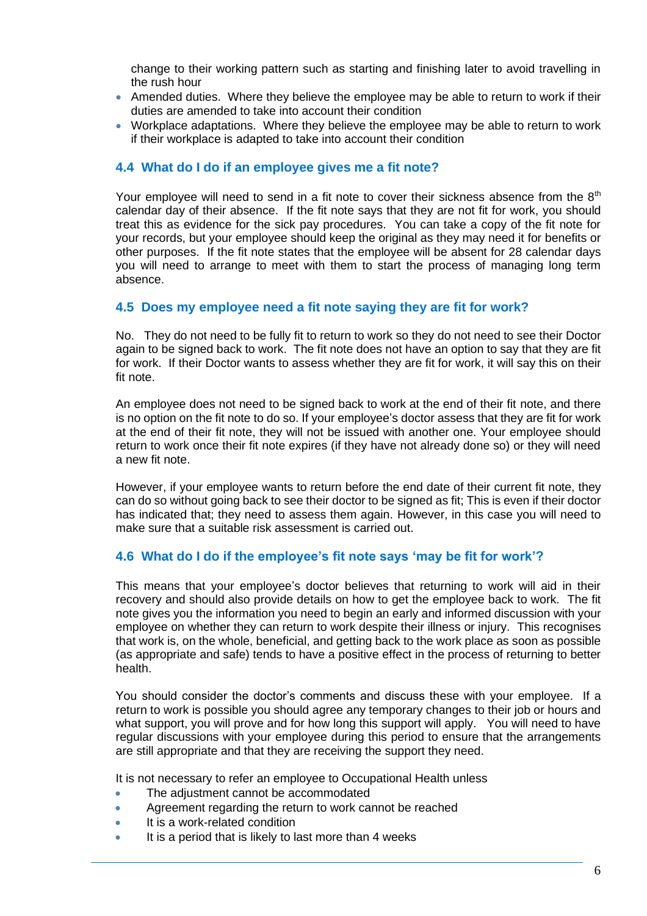change to their working pattern such as starting and finishing later to avoid travelling in the rush hour

- Amended duties. Where they believe the employee may be able to return to work if their duties are amended to take into account their condition
- Workplace adaptations. Where they believe the employee may be able to return to work if their workplace is adapted to take into account their condition

#### **4.4 What do I do if an employee gives me a fit note?**

Your employee will need to send in a fit note to cover their sickness absence from the  $8<sup>th</sup>$ calendar day of their absence. If the fit note says that they are not fit for work, you should treat this as evidence for the sick pay procedures. You can take a copy of the fit note for your records, but your employee should keep the original as they may need it for benefits or other purposes. If the fit note states that the employee will be absent for 28 calendar days you will need to arrange to meet with them to start the process of managing long term absence.

#### **4.5 Does my employee need a fit note saying they are fit for work?**

No. They do not need to be fully fit to return to work so they do not need to see their Doctor again to be signed back to work. The fit note does not have an option to say that they are fit for work. If their Doctor wants to assess whether they are fit for work, it will say this on their fit note.

An employee does not need to be signed back to work at the end of their fit note, and there is no option on the fit note to do so. If your employee's doctor assess that they are fit for work at the end of their fit note, they will not be issued with another one. Your employee should return to work once their fit note expires (if they have not already done so) or they will need a new fit note.

However, if your employee wants to return before the end date of their current fit note, they can do so without going back to see their doctor to be signed as fit; This is even if their doctor has indicated that; they need to assess them again. However, in this case you will need to make sure that a suitable risk assessment is carried out.

## **4.6 What do I do if the employee's fit note says 'may be fit for work'?**

This means that your employee's doctor believes that returning to work will aid in their recovery and should also provide details on how to get the employee back to work. The fit note gives you the information you need to begin an early and informed discussion with your employee on whether they can return to work despite their illness or injury. This recognises that work is, on the whole, beneficial, and getting back to the work place as soon as possible (as appropriate and safe) tends to have a positive effect in the process of returning to better health.

You should consider the doctor's comments and discuss these with your employee. If a return to work is possible you should agree any temporary changes to their job or hours and what support, you will prove and for how long this support will apply. You will need to have regular discussions with your employee during this period to ensure that the arrangements are still appropriate and that they are receiving the support they need.

It is not necessary to refer an employee to Occupational Health unless

- The adjustment cannot be accommodated
- Agreement regarding the return to work cannot be reached
- It is a work-related condition
- It is a period that is likely to last more than 4 weeks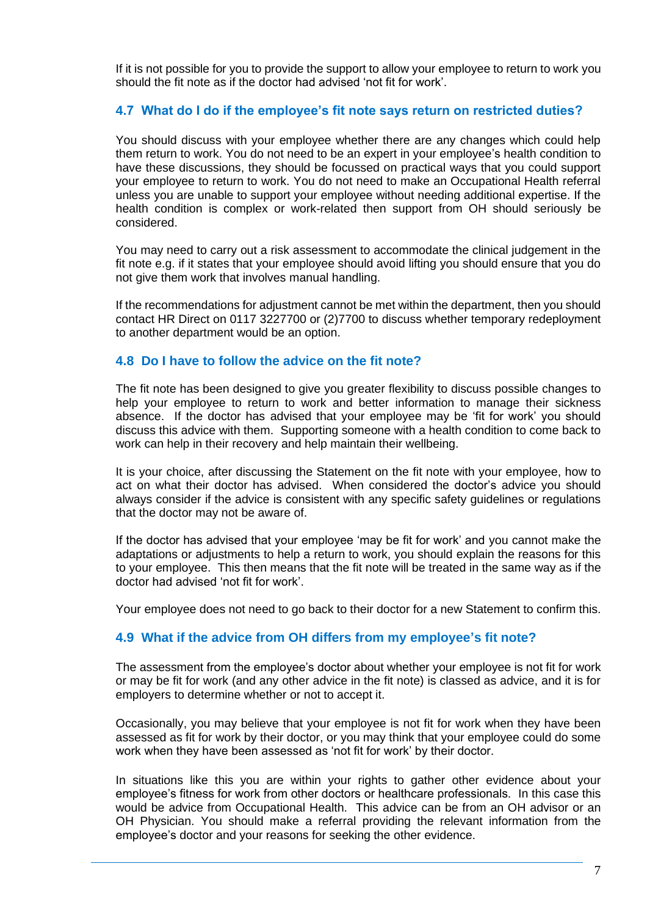If it is not possible for you to provide the support to allow your employee to return to work you should the fit note as if the doctor had advised 'not fit for work'.

### **4.7 What do I do if the employee's fit note says return on restricted duties?**

You should discuss with your employee whether there are any changes which could help them return to work. You do not need to be an expert in your employee's health condition to have these discussions, they should be focussed on practical ways that you could support your employee to return to work. You do not need to make an Occupational Health referral unless you are unable to support your employee without needing additional expertise. If the health condition is complex or work-related then support from OH should seriously be considered.

You may need to carry out a risk assessment to accommodate the clinical judgement in the fit note e.g. if it states that your employee should avoid lifting you should ensure that you do not give them work that involves manual handling.

If the recommendations for adjustment cannot be met within the department, then you should contact HR Direct on 0117 3227700 or (2)7700 to discuss whether temporary redeployment to another department would be an option.

#### **4.8 Do I have to follow the advice on the fit note?**

The fit note has been designed to give you greater flexibility to discuss possible changes to help your employee to return to work and better information to manage their sickness absence. If the doctor has advised that your employee may be 'fit for work' you should discuss this advice with them. Supporting someone with a health condition to come back to work can help in their recovery and help maintain their wellbeing.

It is your choice, after discussing the Statement on the fit note with your employee, how to act on what their doctor has advised. When considered the doctor's advice you should always consider if the advice is consistent with any specific safety guidelines or regulations that the doctor may not be aware of.

If the doctor has advised that your employee 'may be fit for work' and you cannot make the adaptations or adjustments to help a return to work, you should explain the reasons for this to your employee. This then means that the fit note will be treated in the same way as if the doctor had advised 'not fit for work'.

Your employee does not need to go back to their doctor for a new Statement to confirm this.

#### **4.9 What if the advice from OH differs from my employee's fit note?**

The assessment from the employee's doctor about whether your employee is not fit for work or may be fit for work (and any other advice in the fit note) is classed as advice, and it is for employers to determine whether or not to accept it.

Occasionally, you may believe that your employee is not fit for work when they have been assessed as fit for work by their doctor, or you may think that your employee could do some work when they have been assessed as 'not fit for work' by their doctor.

In situations like this you are within your rights to gather other evidence about your employee's fitness for work from other doctors or healthcare professionals. In this case this would be advice from Occupational Health. This advice can be from an OH advisor or an OH Physician. You should make a referral providing the relevant information from the employee's doctor and your reasons for seeking the other evidence.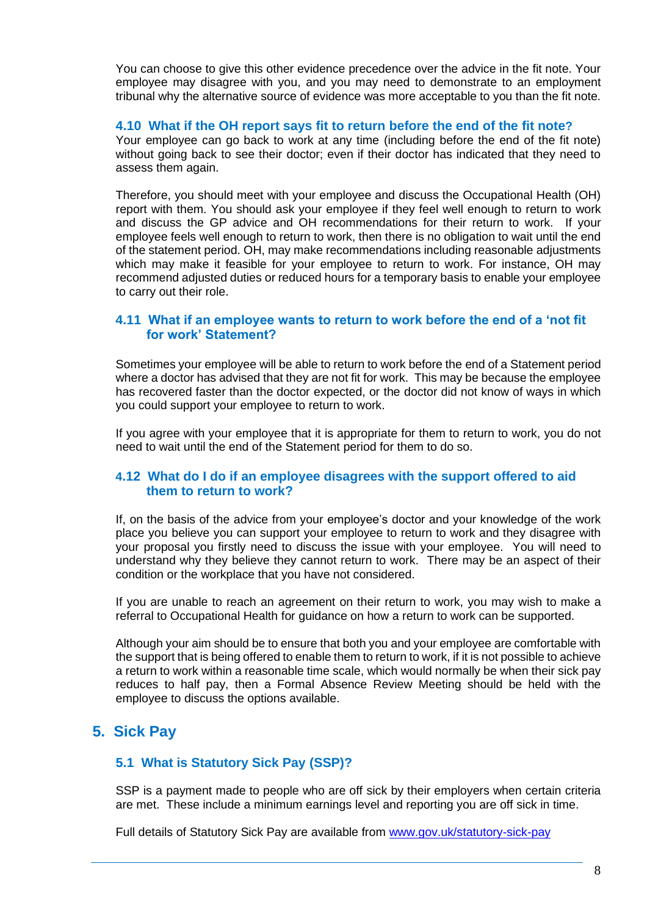You can choose to give this other evidence precedence over the advice in the fit note. Your employee may disagree with you, and you may need to demonstrate to an employment tribunal why the alternative source of evidence was more acceptable to you than the fit note.

### **4.10 What if the OH report says fit to return before the end of the fit note?**

Your employee can go back to work at any time (including before the end of the fit note) without going back to see their doctor; even if their doctor has indicated that they need to assess them again.

Therefore, you should meet with your employee and discuss the Occupational Health (OH) report with them. You should ask your employee if they feel well enough to return to work and discuss the GP advice and OH recommendations for their return to work. If your employee feels well enough to return to work, then there is no obligation to wait until the end of the statement period. OH, may make recommendations including reasonable adjustments which may make it feasible for your employee to return to work. For instance, OH may recommend adjusted duties or reduced hours for a temporary basis to enable your employee to carry out their role.

### **4.11 What if an employee wants to return to work before the end of a 'not fit for work' Statement?**

Sometimes your employee will be able to return to work before the end of a Statement period where a doctor has advised that they are not fit for work. This may be because the employee has recovered faster than the doctor expected, or the doctor did not know of ways in which you could support your employee to return to work.

If you agree with your employee that it is appropriate for them to return to work, you do not need to wait until the end of the Statement period for them to do so.

#### **4.12 What do I do if an employee disagrees with the support offered to aid them to return to work?**

If, on the basis of the advice from your employee's doctor and your knowledge of the work place you believe you can support your employee to return to work and they disagree with your proposal you firstly need to discuss the issue with your employee. You will need to understand why they believe they cannot return to work. There may be an aspect of their condition or the workplace that you have not considered.

If you are unable to reach an agreement on their return to work, you may wish to make a referral to Occupational Health for guidance on how a return to work can be supported.

Although your aim should be to ensure that both you and your employee are comfortable with the support that is being offered to enable them to return to work, if it is not possible to achieve a return to work within a reasonable time scale, which would normally be when their sick pay reduces to half pay, then a Formal Absence Review Meeting should be held with the employee to discuss the options available.

## **5. Sick Pay**

## **5.1 What is Statutory Sick Pay (SSP)?**

SSP is a payment made to people who are off sick by their employers when certain criteria are met. These include a minimum earnings level and reporting you are off sick in time.

Full details of Statutory Sick Pay are available from [www.gov.uk/statutory-sick-pay](http://www.gov.uk/statutory-sick-pay)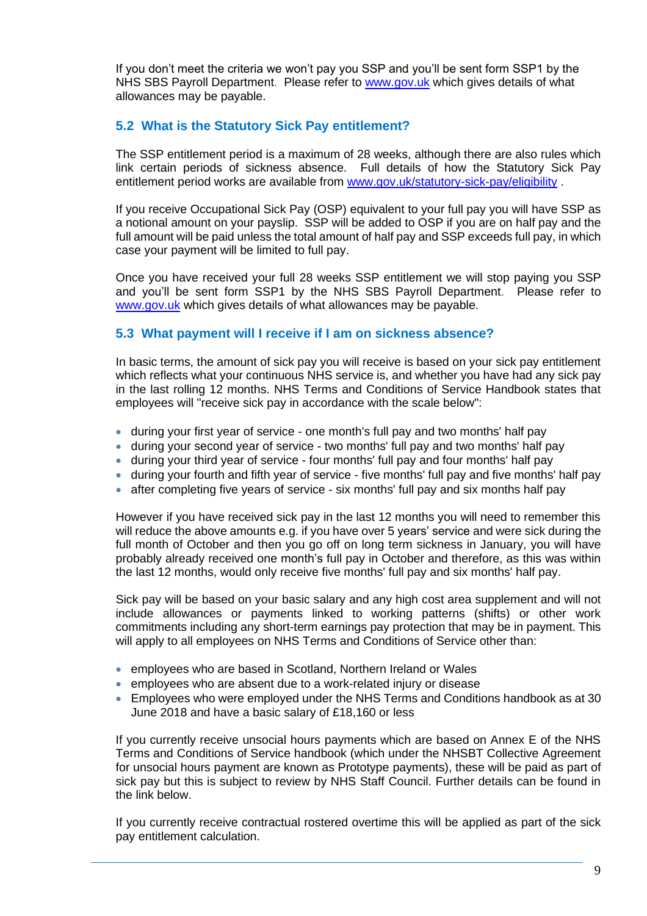If you don't meet the criteria we won't pay you SSP and you'll be sent form SSP1 by the NHS SBS Payroll Department. Please refer to [www.gov.uk](http://www.gov.uk/) which gives details of what allowances may be payable.

## **5.2 What is the Statutory Sick Pay entitlement?**

The SSP entitlement period is a maximum of 28 weeks, although there are also rules which link certain periods of sickness absence. Full details of how the Statutory Sick Pay entitlement period works are available from [www.gov.uk/statutory-sick-pay/eligibility](http://www.gov.uk/statutory-sick-pay/eligibility).

If you receive Occupational Sick Pay (OSP) equivalent to your full pay you will have SSP as a notional amount on your payslip. SSP will be added to OSP if you are on half pay and the full amount will be paid unless the total amount of half pay and SSP exceeds full pay, in which case your payment will be limited to full pay.

Once you have received your full 28 weeks SSP entitlement we will stop paying you SSP and you'll be sent form SSP1 by the NHS SBS Payroll Department. Please refer to [www.gov.uk](http://www.gov.uk/) which gives details of what allowances may be payable.

## **5.3 What payment will I receive if I am on sickness absence?**

In basic terms, the amount of sick pay you will receive is based on your sick pay entitlement which reflects what your continuous NHS service is, and whether you have had any sick pay in the last rolling 12 months. NHS Terms and Conditions of Service Handbook states that employees will "receive sick pay in accordance with the scale below":

- during your first year of service one month's full pay and two months' half pay
- during your second year of service two months' full pay and two months' half pay
- during your third year of service four months' full pay and four months' half pay
- during your fourth and fifth year of service five months' full pay and five months' half pay
- after completing five years of service six months' full pay and six months half pay

However if you have received sick pay in the last 12 months you will need to remember this will reduce the above amounts e.g. if you have over 5 years' service and were sick during the full month of October and then you go off on long term sickness in January, you will have probably already received one month's full pay in October and therefore, as this was within the last 12 months, would only receive five months' full pay and six months' half pay.

Sick pay will be based on your basic salary and any high cost area supplement and will not include allowances or payments linked to working patterns (shifts) or other work commitments including any short-term earnings pay protection that may be in payment. This will apply to all employees on NHS Terms and Conditions of Service other than:

- employees who are based in Scotland, Northern Ireland or Wales
- employees who are absent due to a work-related injury or disease
- Employees who were employed under the NHS Terms and Conditions handbook as at 30 June 2018 and have a basic salary of £18,160 or less

If you currently receive unsocial hours payments which are based on Annex E of the NHS Terms and Conditions of Service handbook (which under the NHSBT Collective Agreement for unsocial hours payment are known as Prototype payments), these will be paid as part of sick pay but this is subject to review by NHS Staff Council. Further details can be found in the link below.

If you currently receive contractual rostered overtime this will be applied as part of the sick pay entitlement calculation.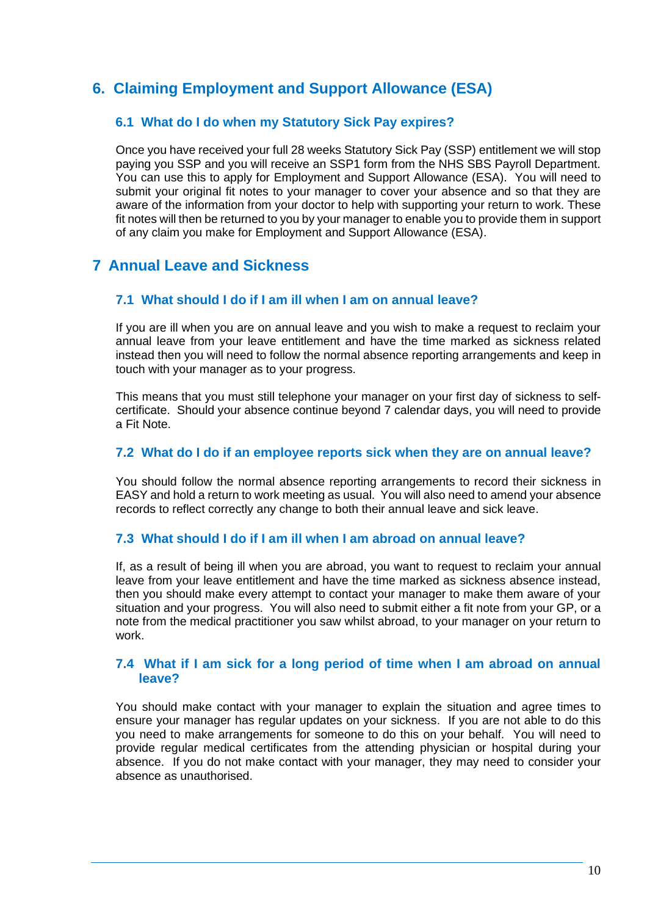# **6. Claiming [Employment and Support Allowance \(ESA\)](https://www.gov.uk/employment-support-allowance)**

## **6.1 What do I do when my Statutory Sick Pay expires?**

Once you have received your full 28 weeks Statutory Sick Pay (SSP) entitlement we will stop paying you SSP and you will receive an SSP1 form from the NHS SBS Payroll Department. You can use this to apply for Employment and Support Allowance (ESA). You will need to submit your original fit notes to your manager to cover your absence and so that they are aware of the information from your doctor to help with supporting your return to work. These fit notes will then be returned to you by your manager to enable you to provide them in support of any claim you make for Employment and Support Allowance (ESA).

## **7 Annual Leave and Sickness**

## **7.1 What should I do if I am ill when I am on annual leave?**

If you are ill when you are on annual leave and you wish to make a request to reclaim your annual leave from your leave entitlement and have the time marked as sickness related instead then you will need to follow the normal absence reporting arrangements and keep in touch with your manager as to your progress.

This means that you must still telephone your manager on your first day of sickness to selfcertificate. Should your absence continue beyond 7 calendar days, you will need to provide a Fit Note.

#### **7.2 What do I do if an employee reports sick when they are on annual leave?**

You should follow the normal absence reporting arrangements to record their sickness in EASY and hold a return to work meeting as usual. You will also need to amend your absence records to reflect correctly any change to both their annual leave and sick leave.

## **7.3 What should I do if I am ill when I am abroad on annual leave?**

If, as a result of being ill when you are abroad, you want to request to reclaim your annual leave from your leave entitlement and have the time marked as sickness absence instead, then you should make every attempt to contact your manager to make them aware of your situation and your progress. You will also need to submit either a fit note from your GP, or a note from the medical practitioner you saw whilst abroad, to your manager on your return to work.

#### **7.4 What if I am sick for a long period of time when I am abroad on annual leave?**

You should make contact with your manager to explain the situation and agree times to ensure your manager has regular updates on your sickness. If you are not able to do this you need to make arrangements for someone to do this on your behalf. You will need to provide regular medical certificates from the attending physician or hospital during your absence. If you do not make contact with your manager, they may need to consider your absence as unauthorised.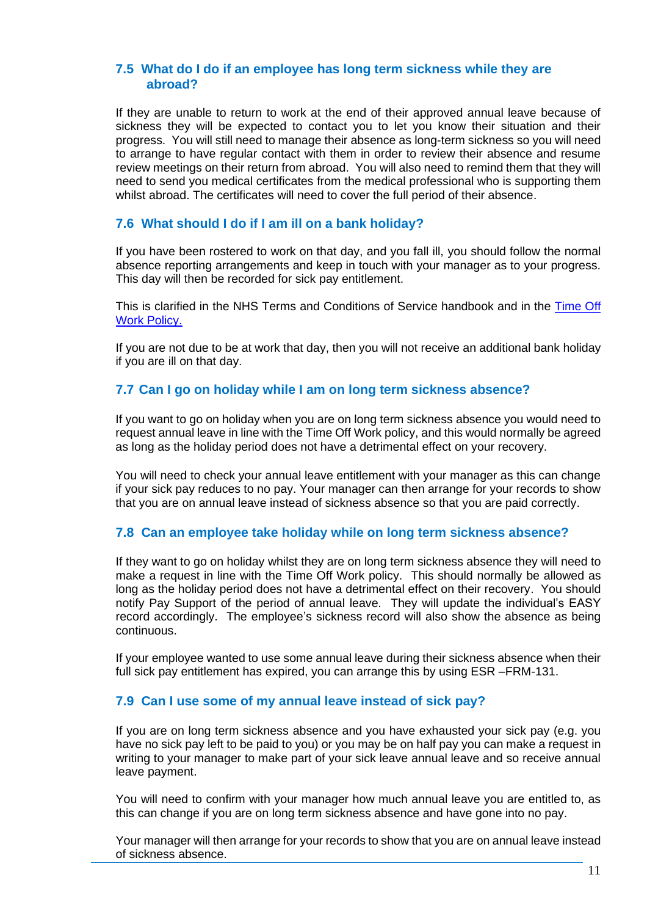### **7.5 What do I do if an employee has long term sickness while they are abroad?**

If they are unable to return to work at the end of their approved annual leave because of sickness they will be expected to contact you to let you know their situation and their progress. You will still need to manage their absence as long-term sickness so you will need to arrange to have regular contact with them in order to review their absence and resume review meetings on their return from abroad. You will also need to remind them that they will need to send you medical certificates from the medical professional who is supporting them whilst abroad. The certificates will need to cover the full period of their absence.

## **7.6 What should I do if I am ill on a bank holiday?**

If you have been rostered to work on that day, and you fall ill, you should follow the normal absence reporting arrangements and keep in touch with your manager as to your progress. This day will then be recorded for sick pay entitlement.

This is clarified in the NHS Terms and Conditions of Service handbook and in the [Time Off](https://peoplefirst.nhsbt.nhs.uk/NHSBT-DOCUMENT-LIBRARY/PoliciesandSupportingDocs/Policy-Time-Off-Work-Policy.pdf)  [Work Policy.](https://peoplefirst.nhsbt.nhs.uk/NHSBT-DOCUMENT-LIBRARY/PoliciesandSupportingDocs/Policy-Time-Off-Work-Policy.pdf) 

If you are not due to be at work that day, then you will not receive an additional bank holiday if you are ill on that day.

## **7.7 Can I go on holiday while I am on long term sickness absence?**

If you want to go on holiday when you are on long term sickness absence you would need to request annual leave in line with the Time Off Work policy, and this would normally be agreed as long as the holiday period does not have a detrimental effect on your recovery.

You will need to check your annual leave entitlement with your manager as this can change if your sick pay reduces to no pay. Your manager can then arrange for your records to show that you are on annual leave instead of sickness absence so that you are paid correctly.

## **7.8 Can an employee take holiday while on long term sickness absence?**

If they want to go on holiday whilst they are on long term sickness absence they will need to make a request in line with the Time Off Work policy. This should normally be allowed as long as the holiday period does not have a detrimental effect on their recovery. You should notify Pay Support of the period of annual leave. They will update the individual's EASY record accordingly. The employee's sickness record will also show the absence as being continuous.

If your employee wanted to use some annual leave during their sickness absence when their full sick pay entitlement has expired, you can arrange this by using ESR –FRM-131.

## **7.9 Can I use some of my annual leave instead of sick pay?**

If you are on long term sickness absence and you have exhausted your sick pay (e.g. you have no sick pay left to be paid to you) or you may be on half pay you can make a request in writing to your manager to make part of your sick leave annual leave and so receive annual leave payment.

You will need to confirm with your manager how much annual leave you are entitled to, as this can change if you are on long term sickness absence and have gone into no pay.

Your manager will then arrange for your records to show that you are on annual leave instead of sickness absence.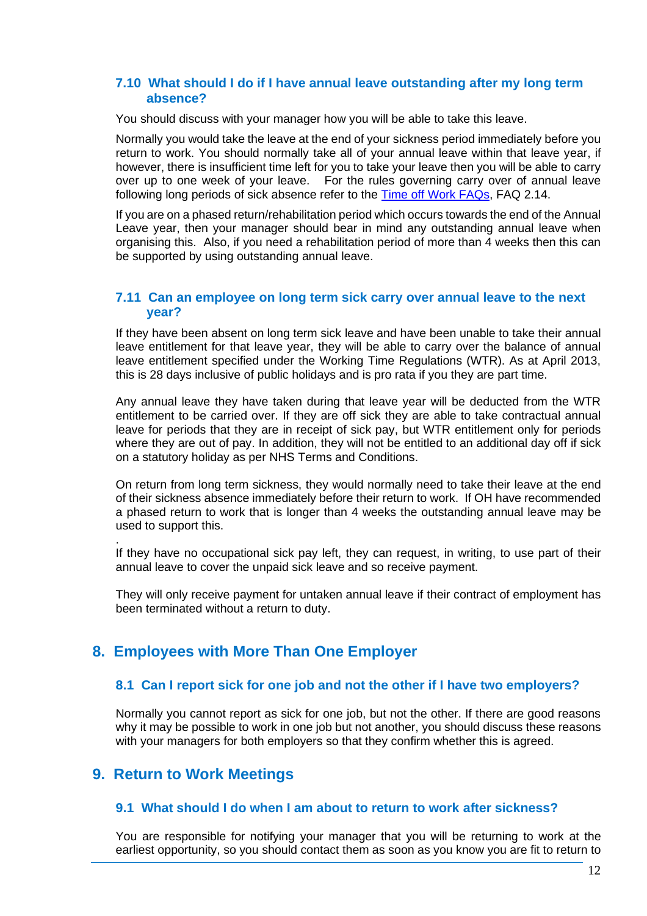#### **7.10 What should I do if I have annual leave outstanding after my long term absence?**

You should discuss with your manager how you will be able to take this leave.

Normally you would take the leave at the end of your sickness period immediately before you return to work. You should normally take all of your annual leave within that leave year, if however, there is insufficient time left for you to take your leave then you will be able to carry over up to one week of your leave. For the rules governing carry over of annual leave following long periods of sick absence refer to the [Time off Work FAQs,](https://peoplefirst.nhsbt.nhs.uk/NHSBT-DOCUMENT-LIBRARY/PoliciesandSupportingDocs/FAQ-Time-Off-Work-FAQ.pdf) FAQ 2.14.

If you are on a phased return/rehabilitation period which occurs towards the end of the Annual Leave year, then your manager should bear in mind any outstanding annual leave when organising this. Also, if you need a rehabilitation period of more than 4 weeks then this can be supported by using outstanding annual leave.

#### **7.11 Can an employee on long term sick carry over annual leave to the next year?**

If they have been absent on long term sick leave and have been unable to take their annual leave entitlement for that leave year, they will be able to carry over the balance of annual leave entitlement specified under the Working Time Regulations (WTR). As at April 2013, this is 28 days inclusive of public holidays and is pro rata if you they are part time.

Any annual leave they have taken during that leave year will be deducted from the WTR entitlement to be carried over. If they are off sick they are able to take contractual annual leave for periods that they are in receipt of sick pay, but WTR entitlement only for periods where they are out of pay. In addition, they will not be entitled to an additional day off if sick on a statutory holiday as per NHS Terms and Conditions.

On return from long term sickness, they would normally need to take their leave at the end of their sickness absence immediately before their return to work. If OH have recommended a phased return to work that is longer than 4 weeks the outstanding annual leave may be used to support this.

. If they have no occupational sick pay left, they can request, in writing, to use part of their annual leave to cover the unpaid sick leave and so receive payment.

They will only receive payment for untaken annual leave if their contract of employment has been terminated without a return to duty.

## **8. Employees with More Than One Employer**

## **8.1 Can I report sick for one job and not the other if I have two employers?**

Normally you cannot report as sick for one job, but not the other. If there are good reasons why it may be possible to work in one job but not another, you should discuss these reasons with your managers for both employers so that they confirm whether this is agreed.

## **9. Return to Work Meetings**

#### **9.1 What should I do when I am about to return to work after sickness?**

You are responsible for notifying your manager that you will be returning to work at the earliest opportunity, so you should contact them as soon as you know you are fit to return to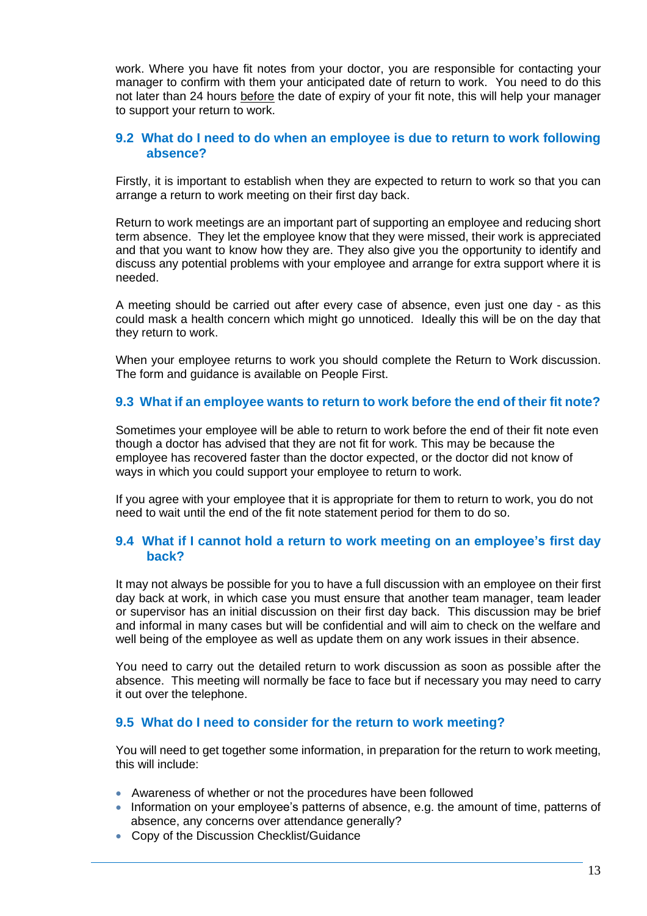work. Where you have fit notes from your doctor, you are responsible for contacting your manager to confirm with them your anticipated date of return to work. You need to do this not later than 24 hours before the date of expiry of your fit note, this will help your manager to support your return to work.

## **9.2 What do I need to do when an employee is due to return to work following absence?**

Firstly, it is important to establish when they are expected to return to work so that you can arrange a return to work meeting on their first day back.

Return to work meetings are an important part of supporting an employee and reducing short term absence. They let the employee know that they were missed, their work is appreciated and that you want to know how they are. They also give you the opportunity to identify and discuss any potential problems with your employee and arrange for extra support where it is needed.

A meeting should be carried out after every case of absence, even just one day - as this could mask a health concern which might go unnoticed. Ideally this will be on the day that they return to work.

When your employee returns to work you should complete the Return to Work discussion. The form and guidance is available on People First.

#### **9.3 What if an employee wants to return to work before the end of their fit note?**

Sometimes your employee will be able to return to work before the end of their fit note even though a doctor has advised that they are not fit for work. This may be because the employee has recovered faster than the doctor expected, or the doctor did not know of ways in which you could support your employee to return to work.

If you agree with your employee that it is appropriate for them to return to work, you do not need to wait until the end of the fit note statement period for them to do so.

## **9.4 What if I cannot hold a return to work meeting on an employee's first day back?**

It may not always be possible for you to have a full discussion with an employee on their first day back at work, in which case you must ensure that another team manager, team leader or supervisor has an initial discussion on their first day back. This discussion may be brief and informal in many cases but will be confidential and will aim to check on the welfare and well being of the employee as well as update them on any work issues in their absence.

You need to carry out the detailed return to work discussion as soon as possible after the absence. This meeting will normally be face to face but if necessary you may need to carry it out over the telephone.

## **9.5 What do I need to consider for the return to work meeting?**

You will need to get together some information, in preparation for the return to work meeting, this will include:

- Awareness of whether or not the procedures have been followed
- Information on your employee's patterns of absence, e.g. the amount of time, patterns of absence, any concerns over attendance generally?
- Copy of the Discussion Checklist/Guidance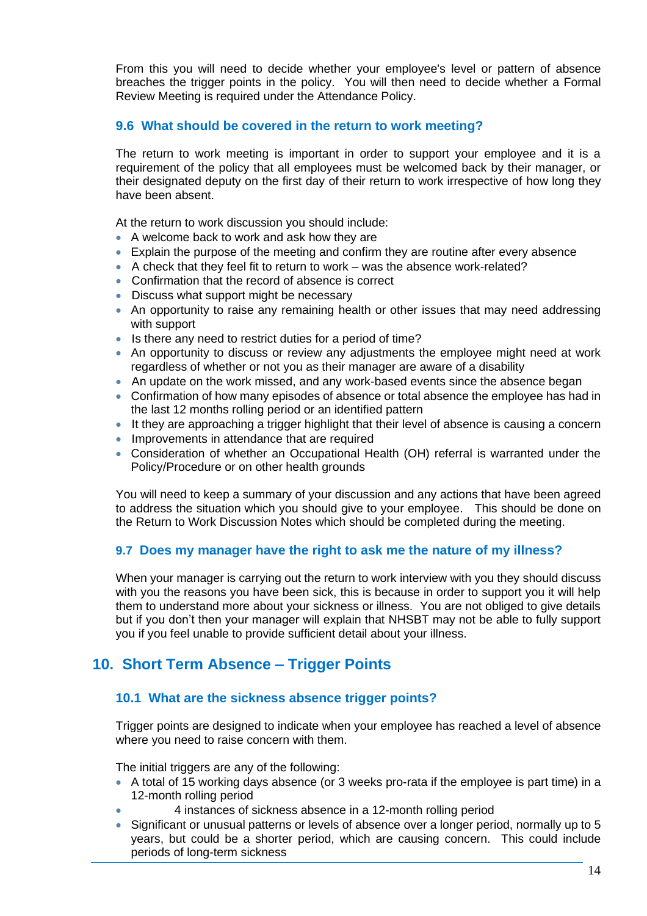From this you will need to decide whether your employee's level or pattern of absence breaches the trigger points in the policy. You will then need to decide whether a Formal Review Meeting is required under the Attendance Policy.

## **9.6 What should be covered in the return to work meeting?**

The return to work meeting is important in order to support your employee and it is a requirement of the policy that all employees must be welcomed back by their manager, or their designated deputy on the first day of their return to work irrespective of how long they have been absent.

At the return to work discussion you should include:

- A welcome back to work and ask how they are
- Explain the purpose of the meeting and confirm they are routine after every absence
- A check that they feel fit to return to work was the absence work-related?
- Confirmation that the record of absence is correct
- Discuss what support might be necessary
- An opportunity to raise any remaining health or other issues that may need addressing with support
- Is there any need to restrict duties for a period of time?
- An opportunity to discuss or review any adjustments the employee might need at work regardless of whether or not you as their manager are aware of a disability
- An update on the work missed, and any work-based events since the absence began
- Confirmation of how many episodes of absence or total absence the employee has had in the last 12 months rolling period or an identified pattern
- It they are approaching a trigger highlight that their level of absence is causing a concern
- Improvements in attendance that are required
- Consideration of whether an Occupational Health (OH) referral is warranted under the Policy/Procedure or on other health grounds

You will need to keep a summary of your discussion and any actions that have been agreed to address the situation which you should give to your employee. This should be done on the Return to Work Discussion Notes which should be completed during the meeting.

## **9.7 Does my manager have the right to ask me the nature of my illness?**

When your manager is carrying out the return to work interview with you they should discuss with you the reasons you have been sick, this is because in order to support you it will help them to understand more about your sickness or illness. You are not obliged to give details but if you don't then your manager will explain that NHSBT may not be able to fully support you if you feel unable to provide sufficient detail about your illness.

## **10. Short Term Absence – Trigger Points**

## **10.1 What are the sickness absence trigger points?**

Trigger points are designed to indicate when your employee has reached a level of absence where you need to raise concern with them.

The initial triggers are any of the following:

- A total of 15 working days absence (or 3 weeks pro-rata if the employee is part time) in a 12-month rolling period
	- 4 instances of sickness absence in a 12-month rolling period
- Significant or unusual patterns or levels of absence over a longer period, normally up to 5 years, but could be a shorter period, which are causing concern. This could include periods of long-term sickness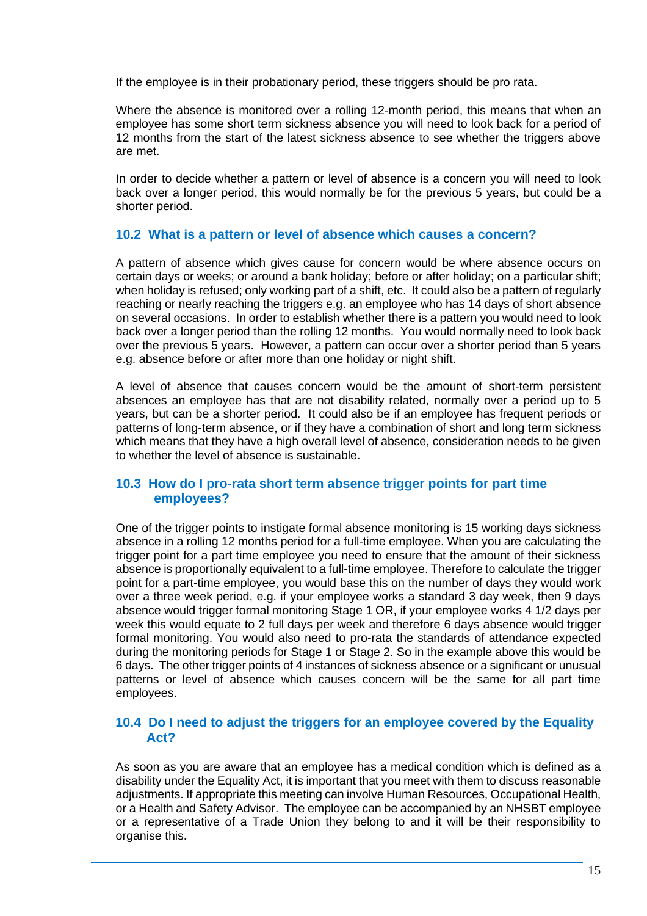If the employee is in their probationary period, these triggers should be pro rata.

Where the absence is monitored over a rolling 12-month period, this means that when an employee has some short term sickness absence you will need to look back for a period of 12 months from the start of the latest sickness absence to see whether the triggers above are met.

In order to decide whether a pattern or level of absence is a concern you will need to look back over a longer period, this would normally be for the previous 5 years, but could be a shorter period.

#### **10.2 What is a pattern or level of absence which causes a concern?**

A pattern of absence which gives cause for concern would be where absence occurs on certain days or weeks; or around a bank holiday; before or after holiday; on a particular shift; when holiday is refused; only working part of a shift, etc. It could also be a pattern of regularly reaching or nearly reaching the triggers e.g. an employee who has 14 days of short absence on several occasions. In order to establish whether there is a pattern you would need to look back over a longer period than the rolling 12 months. You would normally need to look back over the previous 5 years. However, a pattern can occur over a shorter period than 5 years e.g. absence before or after more than one holiday or night shift.

A level of absence that causes concern would be the amount of short-term persistent absences an employee has that are not disability related, normally over a period up to 5 years, but can be a shorter period. It could also be if an employee has frequent periods or patterns of long-term absence, or if they have a combination of short and long term sickness which means that they have a high overall level of absence, consideration needs to be given to whether the level of absence is sustainable.

## **10.3 How do I pro-rata short term absence trigger points for part time employees?**

One of the trigger points to instigate formal absence monitoring is 15 working days sickness absence in a rolling 12 months period for a full-time employee. When you are calculating the trigger point for a part time employee you need to ensure that the amount of their sickness absence is proportionally equivalent to a full-time employee. Therefore to calculate the trigger point for a part-time employee, you would base this on the number of days they would work over a three week period, e.g. if your employee works a standard 3 day week, then 9 days absence would trigger formal monitoring Stage 1 OR, if your employee works 4 1/2 days per week this would equate to 2 full days per week and therefore 6 days absence would trigger formal monitoring. You would also need to pro-rata the standards of attendance expected during the monitoring periods for Stage 1 or Stage 2. So in the example above this would be 6 days. The other trigger points of 4 instances of sickness absence or a significant or unusual patterns or level of absence which causes concern will be the same for all part time employees.

## **10.4 Do I need to adjust the triggers for an employee covered by the Equality Act?**

As soon as you are aware that an employee has a medical condition which is defined as a disability under the Equality Act, it is important that you meet with them to discuss reasonable adjustments. If appropriate this meeting can involve Human Resources, Occupational Health, or a Health and Safety Advisor. The employee can be accompanied by an NHSBT employee or a representative of a Trade Union they belong to and it will be their responsibility to organise this.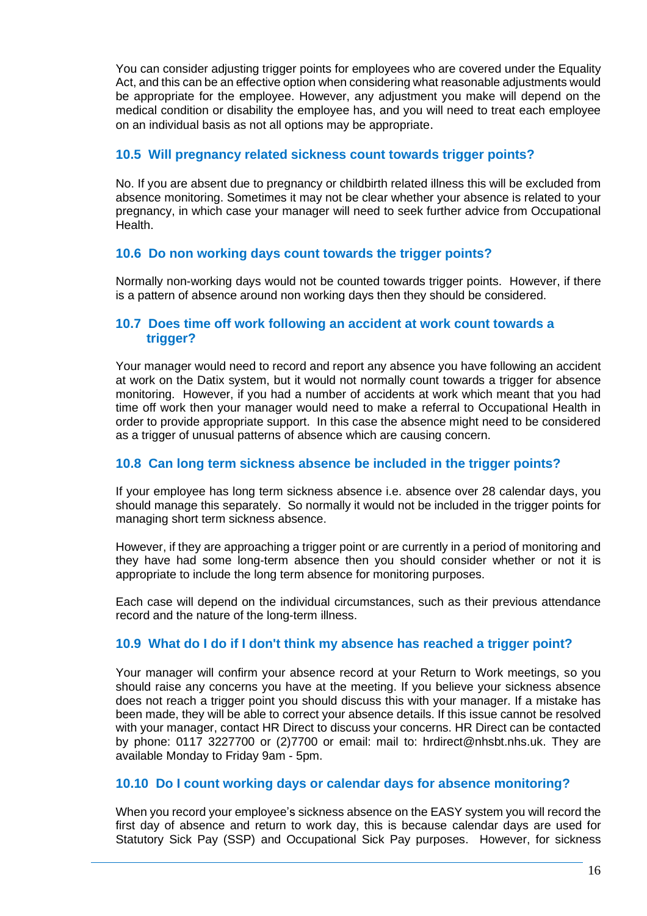You can consider adjusting trigger points for employees who are covered under the Equality Act, and this can be an effective option when considering what reasonable adjustments would be appropriate for the employee. However, any adjustment you make will depend on the medical condition or disability the employee has, and you will need to treat each employee on an individual basis as not all options may be appropriate.

### **10.5 Will pregnancy related sickness count towards trigger points?**

No. If you are absent due to pregnancy or childbirth related illness this will be excluded from absence monitoring. Sometimes it may not be clear whether your absence is related to your pregnancy, in which case your manager will need to seek further advice from Occupational Health.

#### **10.6 Do non working days count towards the trigger points?**

Normally non-working days would not be counted towards trigger points. However, if there is a pattern of absence around non working days then they should be considered.

#### **10.7 Does time off work following an accident at work count towards a trigger?**

Your manager would need to record and report any absence you have following an accident at work on the Datix system, but it would not normally count towards a trigger for absence monitoring. However, if you had a number of accidents at work which meant that you had time off work then your manager would need to make a referral to Occupational Health in order to provide appropriate support. In this case the absence might need to be considered as a trigger of unusual patterns of absence which are causing concern.

### **10.8 Can long term sickness absence be included in the trigger points?**

If your employee has long term sickness absence i.e. absence over 28 calendar days, you should manage this separately. So normally it would not be included in the trigger points for managing short term sickness absence.

However, if they are approaching a trigger point or are currently in a period of monitoring and they have had some long-term absence then you should consider whether or not it is appropriate to include the long term absence for monitoring purposes.

Each case will depend on the individual circumstances, such as their previous attendance record and the nature of the long-term illness.

## **10.9 What do I do if I don't think my absence has reached a trigger point?**

Your manager will confirm your absence record at your Return to Work meetings, so you should raise any concerns you have at the meeting. If you believe your sickness absence does not reach a trigger point you should discuss this with your manager. If a mistake has been made, they will be able to correct your absence details. If this issue cannot be resolved with your manager, contact HR Direct to discuss your concerns. HR Direct can be contacted by phone: 0117 3227700 or (2)7700 or email: mail to: hrdirect@nhsbt.nhs.uk. They are available Monday to Friday 9am - 5pm.

#### **10.10 Do I count working days or calendar days for absence monitoring?**

When you record your employee's sickness absence on the EASY system you will record the first day of absence and return to work day, this is because calendar days are used for Statutory Sick Pay (SSP) and Occupational Sick Pay purposes. However, for sickness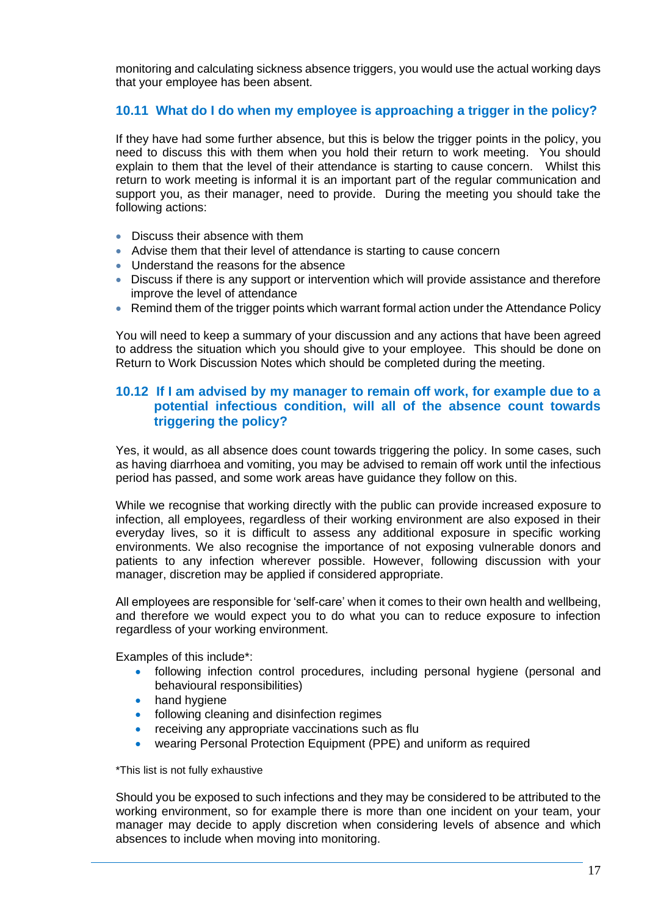monitoring and calculating sickness absence triggers, you would use the actual working days that your employee has been absent.

## **10.11 What do I do when my employee is approaching a trigger in the policy?**

If they have had some further absence, but this is below the trigger points in the policy, you need to discuss this with them when you hold their return to work meeting. You should explain to them that the level of their attendance is starting to cause concern. Whilst this return to work meeting is informal it is an important part of the regular communication and support you, as their manager, need to provide. During the meeting you should take the following actions:

- Discuss their absence with them
- Advise them that their level of attendance is starting to cause concern
- Understand the reasons for the absence
- Discuss if there is any support or intervention which will provide assistance and therefore improve the level of attendance
- Remind them of the trigger points which warrant formal action under the Attendance Policy

You will need to keep a summary of your discussion and any actions that have been agreed to address the situation which you should give to your employee. This should be done on Return to Work Discussion Notes which should be completed during the meeting.

### **10.12 If I am advised by my manager to remain off work, for example due to a potential infectious condition, will all of the absence count towards triggering the policy?**

Yes, it would, as all absence does count towards triggering the policy. In some cases, such as having diarrhoea and vomiting, you may be advised to remain off work until the infectious period has passed, and some work areas have guidance they follow on this.

While we recognise that working directly with the public can provide increased exposure to infection, all employees, regardless of their working environment are also exposed in their everyday lives, so it is difficult to assess any additional exposure in specific working environments. We also recognise the importance of not exposing vulnerable donors and patients to any infection wherever possible. However, following discussion with your manager, discretion may be applied if considered appropriate.

All employees are responsible for 'self-care' when it comes to their own health and wellbeing, and therefore we would expect you to do what you can to reduce exposure to infection regardless of your working environment.

Examples of this include\*:

- following infection control procedures, including personal hygiene (personal and behavioural responsibilities)
- hand hygiene
- following cleaning and disinfection regimes
- receiving any appropriate vaccinations such as flu
- wearing Personal Protection Equipment (PPE) and uniform as required

\*This list is not fully exhaustive

Should you be exposed to such infections and they may be considered to be attributed to the working environment, so for example there is more than one incident on your team, your manager may decide to apply discretion when considering levels of absence and which absences to include when moving into monitoring.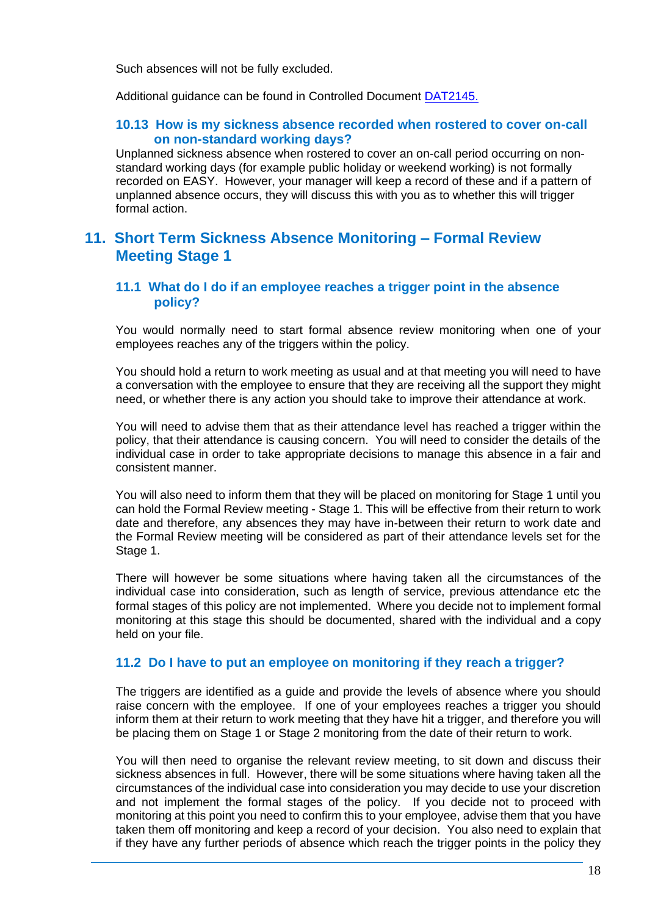Such absences will not be fully excluded.

Additional guidance can be found in Controlled Document [DAT2145.](https://nhsbloodandtransplant.sharepoint.com/:w:/r/sites/ControlledDocumentsLibrary/_layouts/15/Doc.aspx?sourcedoc=%7B0E9CF89A-849D-41DD-A5AA-F8A1F7382779%7D&file=DAT2145.doc&action=default&mobileredirect=true&DefaultItemOpen=1)

### **10.13 How is my sickness absence recorded when rostered to cover on-call on non-standard working days?**

Unplanned sickness absence when rostered to cover an on-call period occurring on nonstandard working days (for example public holiday or weekend working) is not formally recorded on EASY. However, your manager will keep a record of these and if a pattern of unplanned absence occurs, they will discuss this with you as to whether this will trigger formal action.

## **11. Short Term Sickness Absence Monitoring – Formal Review Meeting Stage 1**

#### **11.1 What do I do if an employee reaches a trigger point in the absence policy?**

You would normally need to start formal absence review monitoring when one of your employees reaches any of the triggers within the policy.

You should hold a return to work meeting as usual and at that meeting you will need to have a conversation with the employee to ensure that they are receiving all the support they might need, or whether there is any action you should take to improve their attendance at work.

You will need to advise them that as their attendance level has reached a trigger within the policy, that their attendance is causing concern. You will need to consider the details of the individual case in order to take appropriate decisions to manage this absence in a fair and consistent manner.

You will also need to inform them that they will be placed on monitoring for Stage 1 until you can hold the Formal Review meeting - Stage 1. This will be effective from their return to work date and therefore, any absences they may have in-between their return to work date and the Formal Review meeting will be considered as part of their attendance levels set for the Stage 1.

There will however be some situations where having taken all the circumstances of the individual case into consideration, such as length of service, previous attendance etc the formal stages of this policy are not implemented. Where you decide not to implement formal monitoring at this stage this should be documented, shared with the individual and a copy held on your file.

## **11.2 Do I have to put an employee on monitoring if they reach a trigger?**

The triggers are identified as a guide and provide the levels of absence where you should raise concern with the employee. If one of your employees reaches a trigger you should inform them at their return to work meeting that they have hit a trigger, and therefore you will be placing them on Stage 1 or Stage 2 monitoring from the date of their return to work.

You will then need to organise the relevant review meeting, to sit down and discuss their sickness absences in full. However, there will be some situations where having taken all the circumstances of the individual case into consideration you may decide to use your discretion and not implement the formal stages of the policy. If you decide not to proceed with monitoring at this point you need to confirm this to your employee, advise them that you have taken them off monitoring and keep a record of your decision. You also need to explain that if they have any further periods of absence which reach the trigger points in the policy they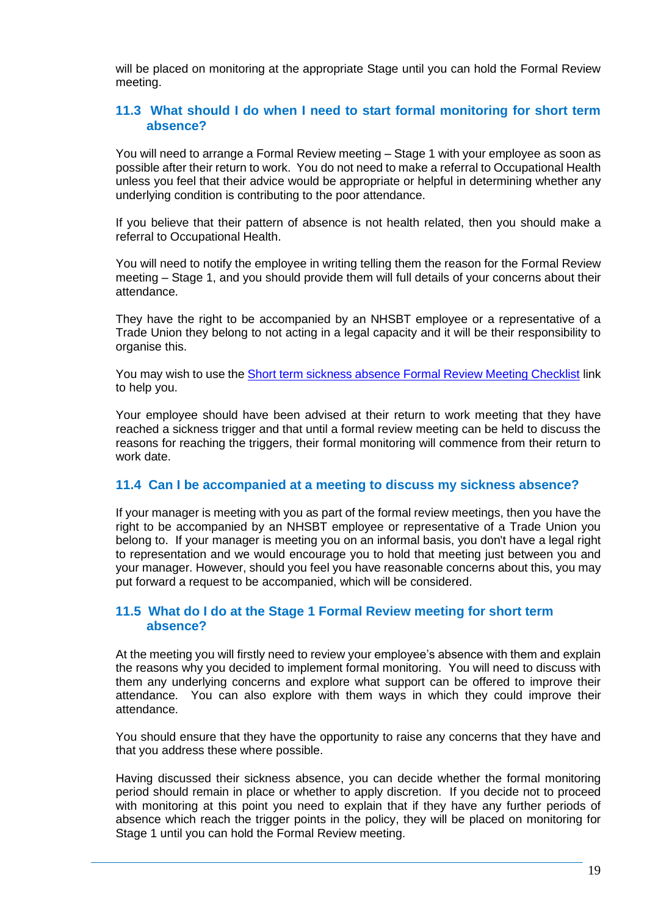will be placed on monitoring at the appropriate Stage until you can hold the Formal Review meeting.

## **11.3 What should I do when I need to start formal monitoring for short term absence?**

You will need to arrange a Formal Review meeting – Stage 1 with your employee as soon as possible after their return to work. You do not need to make a referral to Occupational Health unless you feel that their advice would be appropriate or helpful in determining whether any underlying condition is contributing to the poor attendance.

If you believe that their pattern of absence is not health related, then you should make a referral to Occupational Health.

You will need to notify the employee in writing telling them the reason for the Formal Review meeting – Stage 1, and you should provide them will full details of your concerns about their attendance.

They have the right to be accompanied by an NHSBT employee or a representative of a Trade Union they belong to not acting in a legal capacity and it will be their responsibility to organise this.

You may wish to use th[e Short term sickness absence Formal Review Meeting Checklist](http://nhsbtweb/document_store/Short%20Term%20Sickness%20Formal%20review%20meeting%20checklist.doc) link to help you.

Your employee should have been advised at their return to work meeting that they have reached a sickness trigger and that until a formal review meeting can be held to discuss the reasons for reaching the triggers, their formal monitoring will commence from their return to work date.

#### **11.4 Can I be accompanied at a meeting to discuss my sickness absence?**

If your manager is meeting with you as part of the formal review meetings, then you have the right to be accompanied by an NHSBT employee or representative of a Trade Union you belong to. If your manager is meeting you on an informal basis, you don't have a legal right to representation and we would encourage you to hold that meeting just between you and your manager. However, should you feel you have reasonable concerns about this, you may put forward a request to be accompanied, which will be considered.

#### **11.5 What do I do at the Stage 1 Formal Review meeting for short term absence?**

At the meeting you will firstly need to review your employee's absence with them and explain the reasons why you decided to implement formal monitoring. You will need to discuss with them any underlying concerns and explore what support can be offered to improve their attendance. You can also explore with them ways in which they could improve their attendance.

You should ensure that they have the opportunity to raise any concerns that they have and that you address these where possible.

Having discussed their sickness absence, you can decide whether the formal monitoring period should remain in place or whether to apply discretion. If you decide not to proceed with monitoring at this point you need to explain that if they have any further periods of absence which reach the trigger points in the policy, they will be placed on monitoring for Stage 1 until you can hold the Formal Review meeting.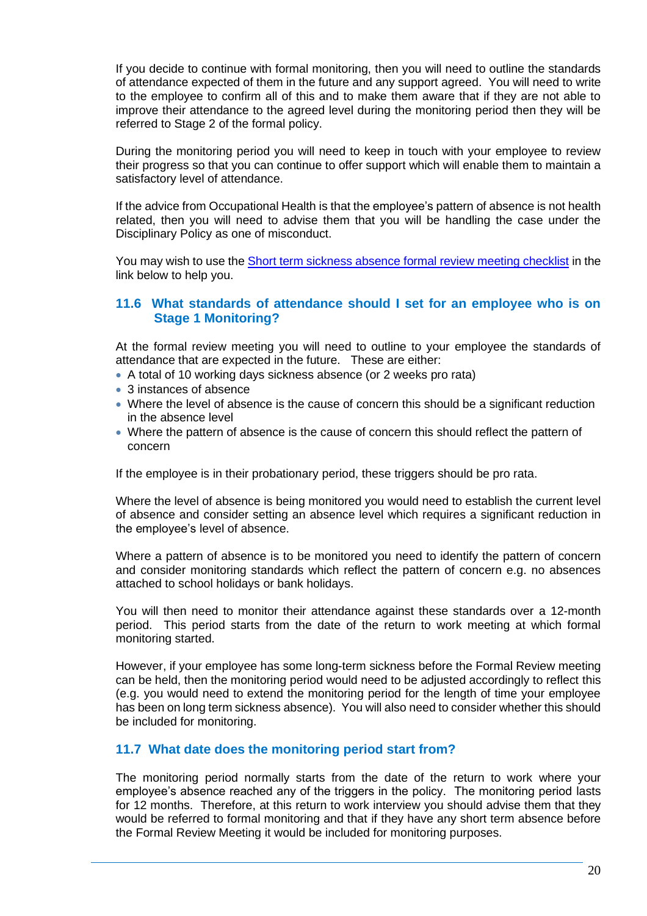If you decide to continue with formal monitoring, then you will need to outline the standards of attendance expected of them in the future and any support agreed. You will need to write to the employee to confirm all of this and to make them aware that if they are not able to improve their attendance to the agreed level during the monitoring period then they will be referred to Stage 2 of the formal policy.

During the monitoring period you will need to keep in touch with your employee to review their progress so that you can continue to offer support which will enable them to maintain a satisfactory level of attendance.

If the advice from Occupational Health is that the employee's pattern of absence is not health related, then you will need to advise them that you will be handling the case under the Disciplinary Policy as one of misconduct.

You may wish to use th[e Short term sickness absence formal review meeting checklist](http://nhsbtweb/document_store/Short%20Term%20Sickness%20Formal%20review%20meeting%20checklist.doc) in the link below to help you.

### **11.6 What standards of attendance should I set for an employee who is on Stage 1 Monitoring?**

At the formal review meeting you will need to outline to your employee the standards of attendance that are expected in the future. These are either:

- A total of 10 working days sickness absence (or 2 weeks pro rata)
- 3 instances of absence
- Where the level of absence is the cause of concern this should be a significant reduction in the absence level
- Where the pattern of absence is the cause of concern this should reflect the pattern of concern

If the employee is in their probationary period, these triggers should be pro rata.

Where the level of absence is being monitored you would need to establish the current level of absence and consider setting an absence level which requires a significant reduction in the employee's level of absence.

Where a pattern of absence is to be monitored you need to identify the pattern of concern and consider monitoring standards which reflect the pattern of concern e.g. no absences attached to school holidays or bank holidays.

You will then need to monitor their attendance against these standards over a 12-month period. This period starts from the date of the return to work meeting at which formal monitoring started.

However, if your employee has some long-term sickness before the Formal Review meeting can be held, then the monitoring period would need to be adjusted accordingly to reflect this (e.g. you would need to extend the monitoring period for the length of time your employee has been on long term sickness absence). You will also need to consider whether this should be included for monitoring.

## **11.7 What date does the monitoring period start from?**

The monitoring period normally starts from the date of the return to work where your employee's absence reached any of the triggers in the policy. The monitoring period lasts for 12 months. Therefore, at this return to work interview you should advise them that they would be referred to formal monitoring and that if they have any short term absence before the Formal Review Meeting it would be included for monitoring purposes.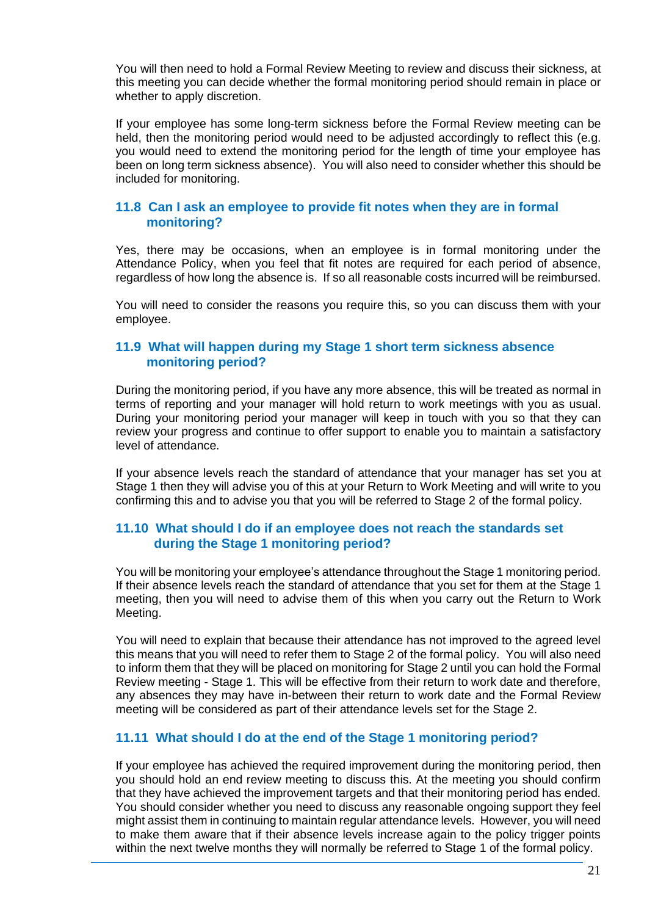You will then need to hold a Formal Review Meeting to review and discuss their sickness, at this meeting you can decide whether the formal monitoring period should remain in place or whether to apply discretion.

If your employee has some long-term sickness before the Formal Review meeting can be held, then the monitoring period would need to be adjusted accordingly to reflect this (e.g. you would need to extend the monitoring period for the length of time your employee has been on long term sickness absence). You will also need to consider whether this should be included for monitoring.

## **11.8 Can I ask an employee to provide fit notes when they are in formal monitoring?**

Yes, there may be occasions, when an employee is in formal monitoring under the Attendance Policy, when you feel that fit notes are required for each period of absence, regardless of how long the absence is. If so all reasonable costs incurred will be reimbursed.

You will need to consider the reasons you require this, so you can discuss them with your employee.

## **11.9 What will happen during my Stage 1 short term sickness absence monitoring period?**

During the monitoring period, if you have any more absence, this will be treated as normal in terms of reporting and your manager will hold return to work meetings with you as usual. During your monitoring period your manager will keep in touch with you so that they can review your progress and continue to offer support to enable you to maintain a satisfactory level of attendance.

If your absence levels reach the standard of attendance that your manager has set you at Stage 1 then they will advise you of this at your Return to Work Meeting and will write to you confirming this and to advise you that you will be referred to Stage 2 of the formal policy.

## **11.10 What should I do if an employee does not reach the standards set during the Stage 1 monitoring period?**

You will be monitoring your employee's attendance throughout the Stage 1 monitoring period. If their absence levels reach the standard of attendance that you set for them at the Stage 1 meeting, then you will need to advise them of this when you carry out the Return to Work Meeting.

You will need to explain that because their attendance has not improved to the agreed level this means that you will need to refer them to Stage 2 of the formal policy. You will also need to inform them that they will be placed on monitoring for Stage 2 until you can hold the Formal Review meeting - Stage 1. This will be effective from their return to work date and therefore, any absences they may have in-between their return to work date and the Formal Review meeting will be considered as part of their attendance levels set for the Stage 2.

## **11.11 What should I do at the end of the Stage 1 monitoring period?**

If your employee has achieved the required improvement during the monitoring period, then you should hold an end review meeting to discuss this. At the meeting you should confirm that they have achieved the improvement targets and that their monitoring period has ended. You should consider whether you need to discuss any reasonable ongoing support they feel might assist them in continuing to maintain regular attendance levels. However, you will need to make them aware that if their absence levels increase again to the policy trigger points within the next twelve months they will normally be referred to Stage 1 of the formal policy.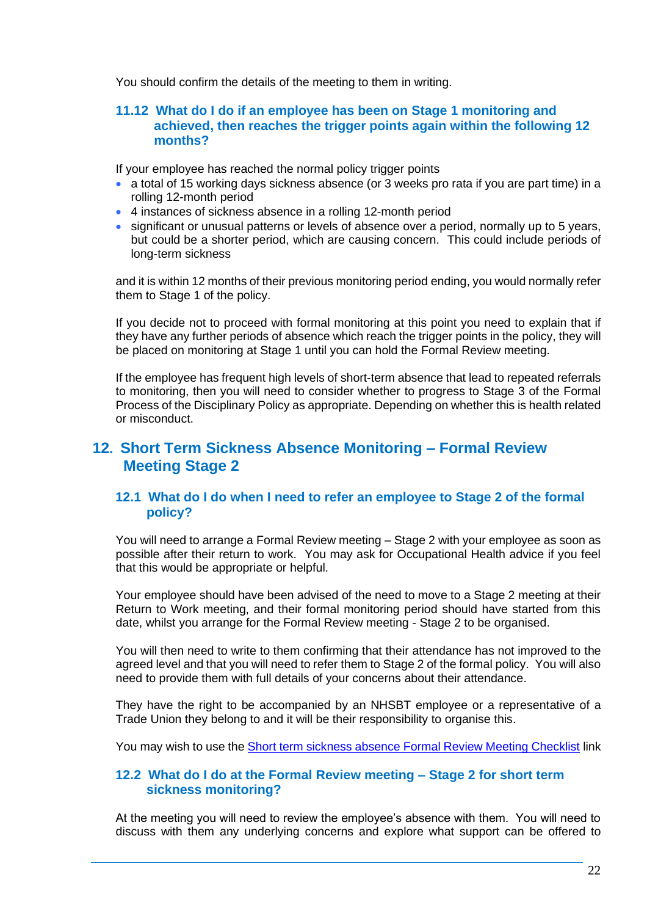You should confirm the details of the meeting to them in writing.

### **11.12 What do I do if an employee has been on Stage 1 monitoring and achieved, then reaches the trigger points again within the following 12 months?**

If your employee has reached the normal policy trigger points

- a total of 15 working days sickness absence (or 3 weeks pro rata if you are part time) in a rolling 12-month period
- 4 instances of sickness absence in a rolling 12-month period
- significant or unusual patterns or levels of absence over a period, normally up to 5 years, but could be a shorter period, which are causing concern. This could include periods of long-term sickness

and it is within 12 months of their previous monitoring period ending, you would normally refer them to Stage 1 of the policy.

If you decide not to proceed with formal monitoring at this point you need to explain that if they have any further periods of absence which reach the trigger points in the policy, they will be placed on monitoring at Stage 1 until you can hold the Formal Review meeting.

If the employee has frequent high levels of short-term absence that lead to repeated referrals to monitoring, then you will need to consider whether to progress to Stage 3 of the Formal Process of the Disciplinary Policy as appropriate. Depending on whether this is health related or misconduct.

## **12. Short Term Sickness Absence Monitoring – Formal Review Meeting Stage 2**

## **12.1 What do I do when I need to refer an employee to Stage 2 of the formal policy?**

You will need to arrange a Formal Review meeting – Stage 2 with your employee as soon as possible after their return to work. You may ask for Occupational Health advice if you feel that this would be appropriate or helpful.

Your employee should have been advised of the need to move to a Stage 2 meeting at their Return to Work meeting, and their formal monitoring period should have started from this date, whilst you arrange for the Formal Review meeting - Stage 2 to be organised.

You will then need to write to them confirming that their attendance has not improved to the agreed level and that you will need to refer them to Stage 2 of the formal policy. You will also need to provide them with full details of your concerns about their attendance.

They have the right to be accompanied by an NHSBT employee or a representative of a Trade Union they belong to and it will be their responsibility to organise this.

You may wish to use th[e Short term sickness absence Formal Review Meeting Checklist](http://nhsbtweb/document_store/Short%20Term%20Sickness%20Formal%20review%20meeting%20checklist.doc) link

## **12.2 What do I do at the Formal Review meeting – Stage 2 for short term sickness monitoring?**

At the meeting you will need to review the employee's absence with them. You will need to discuss with them any underlying concerns and explore what support can be offered to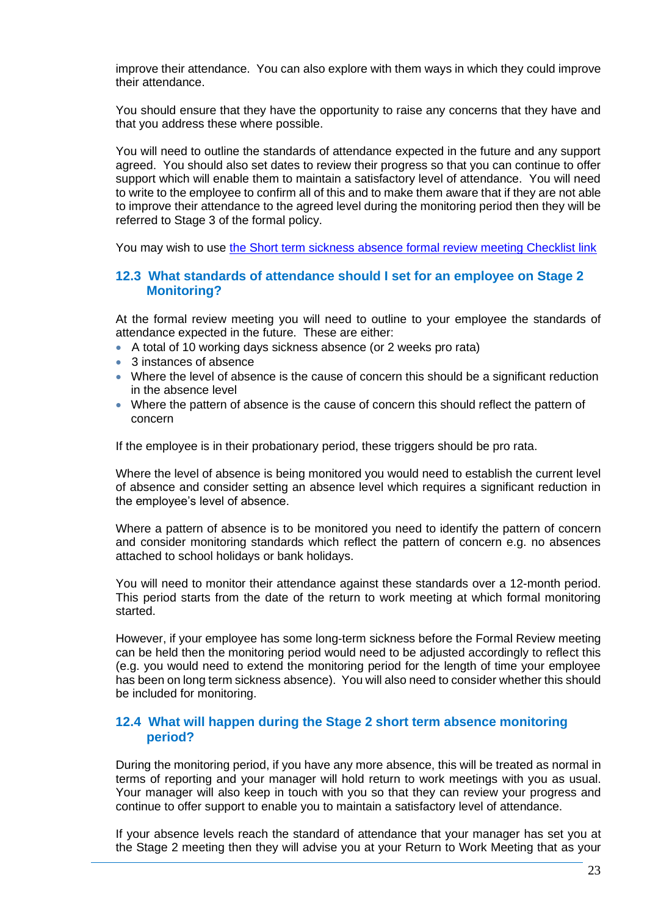improve their attendance. You can also explore with them ways in which they could improve their attendance.

You should ensure that they have the opportunity to raise any concerns that they have and that you address these where possible.

You will need to outline the standards of attendance expected in the future and any support agreed. You should also set dates to review their progress so that you can continue to offer support which will enable them to maintain a satisfactory level of attendance. You will need to write to the employee to confirm all of this and to make them aware that if they are not able to improve their attendance to the agreed level during the monitoring period then they will be referred to Stage 3 of the formal policy.

You may wish to use [the Short term sickness absence formal review meeting Checklist link](http://nhsbtweb/document_store/Short%20Term%20Sickness%20Formal%20review%20meeting%20checklist.doc)

#### **12.3 What standards of attendance should I set for an employee on Stage 2 Monitoring?**

At the formal review meeting you will need to outline to your employee the standards of attendance expected in the future. These are either:

- A total of 10 working days sickness absence (or 2 weeks pro rata)
- 3 instances of absence
- Where the level of absence is the cause of concern this should be a significant reduction in the absence level
- Where the pattern of absence is the cause of concern this should reflect the pattern of concern

If the employee is in their probationary period, these triggers should be pro rata.

Where the level of absence is being monitored you would need to establish the current level of absence and consider setting an absence level which requires a significant reduction in the employee's level of absence.

Where a pattern of absence is to be monitored you need to identify the pattern of concern and consider monitoring standards which reflect the pattern of concern e.g. no absences attached to school holidays or bank holidays.

You will need to monitor their attendance against these standards over a 12-month period. This period starts from the date of the return to work meeting at which formal monitoring started.

However, if your employee has some long-term sickness before the Formal Review meeting can be held then the monitoring period would need to be adjusted accordingly to reflect this (e.g. you would need to extend the monitoring period for the length of time your employee has been on long term sickness absence). You will also need to consider whether this should be included for monitoring.

#### **12.4 What will happen during the Stage 2 short term absence monitoring period?**

During the monitoring period, if you have any more absence, this will be treated as normal in terms of reporting and your manager will hold return to work meetings with you as usual. Your manager will also keep in touch with you so that they can review your progress and continue to offer support to enable you to maintain a satisfactory level of attendance.

If your absence levels reach the standard of attendance that your manager has set you at the Stage 2 meeting then they will advise you at your Return to Work Meeting that as your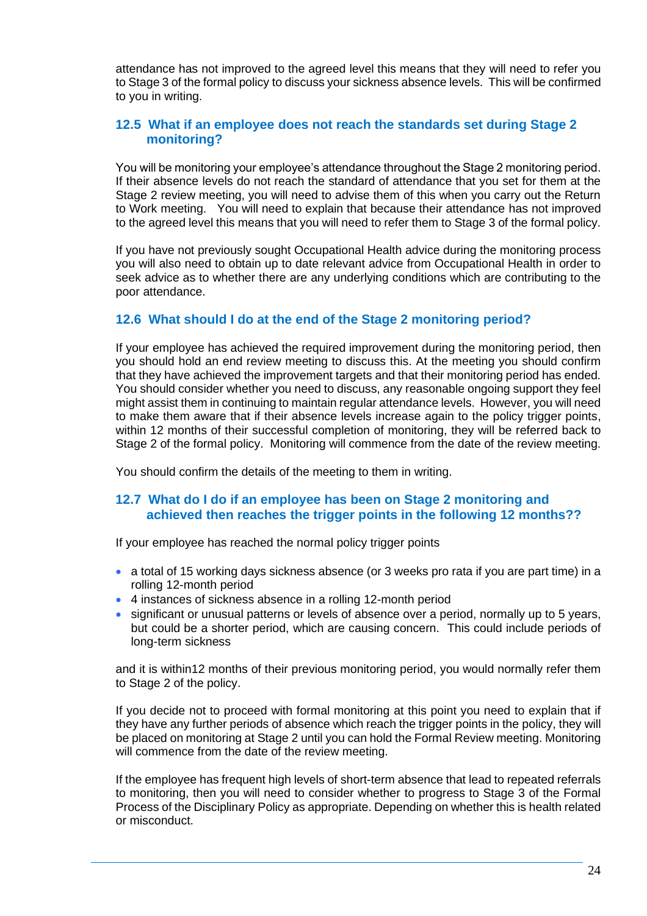attendance has not improved to the agreed level this means that they will need to refer you to Stage 3 of the formal policy to discuss your sickness absence levels. This will be confirmed to you in writing.

## **12.5 What if an employee does not reach the standards set during Stage 2 monitoring?**

You will be monitoring your employee's attendance throughout the Stage 2 monitoring period. If their absence levels do not reach the standard of attendance that you set for them at the Stage 2 review meeting, you will need to advise them of this when you carry out the Return to Work meeting. You will need to explain that because their attendance has not improved to the agreed level this means that you will need to refer them to Stage 3 of the formal policy.

If you have not previously sought Occupational Health advice during the monitoring process you will also need to obtain up to date relevant advice from Occupational Health in order to seek advice as to whether there are any underlying conditions which are contributing to the poor attendance.

## **12.6 What should I do at the end of the Stage 2 monitoring period?**

If your employee has achieved the required improvement during the monitoring period, then you should hold an end review meeting to discuss this. At the meeting you should confirm that they have achieved the improvement targets and that their monitoring period has ended. You should consider whether you need to discuss, any reasonable ongoing support they feel might assist them in continuing to maintain regular attendance levels. However, you will need to make them aware that if their absence levels increase again to the policy trigger points, within 12 months of their successful completion of monitoring, they will be referred back to Stage 2 of the formal policy. Monitoring will commence from the date of the review meeting.

You should confirm the details of the meeting to them in writing.

## **12.7 What do I do if an employee has been on Stage 2 monitoring and achieved then reaches the trigger points in the following 12 months??**

If your employee has reached the normal policy trigger points

- a total of 15 working days sickness absence (or 3 weeks pro rata if you are part time) in a rolling 12-month period
- 4 instances of sickness absence in a rolling 12-month period
- significant or unusual patterns or levels of absence over a period, normally up to 5 years, but could be a shorter period, which are causing concern. This could include periods of long-term sickness

and it is within12 months of their previous monitoring period, you would normally refer them to Stage 2 of the policy.

If you decide not to proceed with formal monitoring at this point you need to explain that if they have any further periods of absence which reach the trigger points in the policy, they will be placed on monitoring at Stage 2 until you can hold the Formal Review meeting. Monitoring will commence from the date of the review meeting.

If the employee has frequent high levels of short-term absence that lead to repeated referrals to monitoring, then you will need to consider whether to progress to Stage 3 of the Formal Process of the Disciplinary Policy as appropriate. Depending on whether this is health related or misconduct.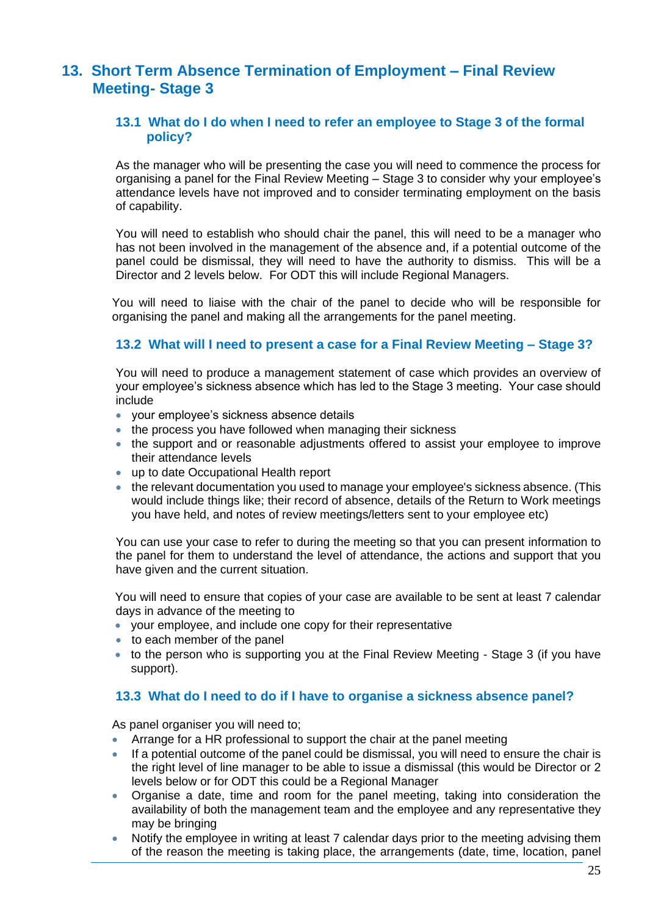# **13. Short Term Absence Termination of Employment – Final Review Meeting- Stage 3**

## **13.1 What do I do when I need to refer an employee to Stage 3 of the formal policy?**

As the manager who will be presenting the case you will need to commence the process for organising a panel for the Final Review Meeting – Stage 3 to consider why your employee's attendance levels have not improved and to consider terminating employment on the basis of capability.

You will need to establish who should chair the panel, this will need to be a manager who has not been involved in the management of the absence and, if a potential outcome of the panel could be dismissal, they will need to have the authority to dismiss. This will be a Director and 2 levels below. For ODT this will include Regional Managers.

You will need to liaise with the chair of the panel to decide who will be responsible for organising the panel and making all the arrangements for the panel meeting.

## **13.2 What will I need to present a case for a Final Review Meeting – Stage 3?**

You will need to produce a management statement of case which provides an overview of your employee's sickness absence which has led to the Stage 3 meeting. Your case should include

- your employee's sickness absence details
- the process you have followed when managing their sickness
- the support and or reasonable adjustments offered to assist your employee to improve their attendance levels
- up to date Occupational Health report
- the relevant documentation you used to manage your employee's sickness absence. (This would include things like; their record of absence, details of the Return to Work meetings you have held, and notes of review meetings/letters sent to your employee etc)

You can use your case to refer to during the meeting so that you can present information to the panel for them to understand the level of attendance, the actions and support that you have given and the current situation.

You will need to ensure that copies of your case are available to be sent at least 7 calendar days in advance of the meeting to

- your employee, and include one copy for their representative
- to each member of the panel
- to the person who is supporting you at the Final Review Meeting Stage 3 (if you have support).

## **13.3 What do I need to do if I have to organise a sickness absence panel?**

As panel organiser you will need to;

- Arrange for a HR professional to support the chair at the panel meeting
- If a potential outcome of the panel could be dismissal, you will need to ensure the chair is the right level of line manager to be able to issue a dismissal (this would be Director or 2 levels below or for ODT this could be a Regional Manager
- Organise a date, time and room for the panel meeting, taking into consideration the availability of both the management team and the employee and any representative they may be bringing
- Notify the employee in writing at least 7 calendar days prior to the meeting advising them of the reason the meeting is taking place, the arrangements (date, time, location, panel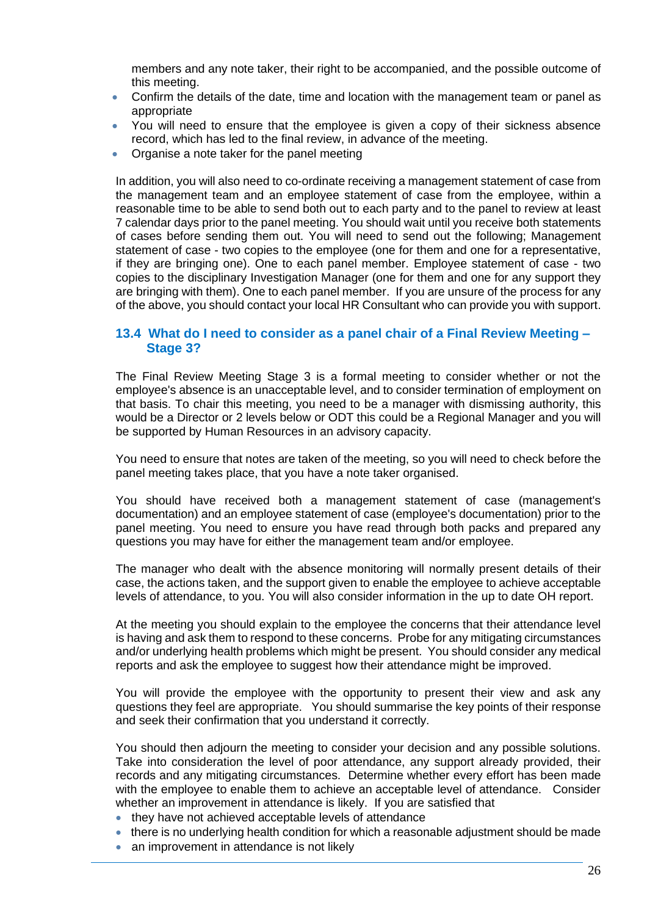members and any note taker, their right to be accompanied, and the possible outcome of this meeting.

- Confirm the details of the date, time and location with the management team or panel as appropriate
- You will need to ensure that the employee is given a copy of their sickness absence record, which has led to the final review, in advance of the meeting.
- Organise a note taker for the panel meeting

In addition, you will also need to co-ordinate receiving a management statement of case from the management team and an employee statement of case from the employee, within a reasonable time to be able to send both out to each party and to the panel to review at least 7 calendar days prior to the panel meeting. You should wait until you receive both statements of cases before sending them out. You will need to send out the following; Management statement of case - two copies to the employee (one for them and one for a representative, if they are bringing one). One to each panel member. Employee statement of case - two copies to the disciplinary Investigation Manager (one for them and one for any support they are bringing with them). One to each panel member. If you are unsure of the process for any of the above, you should contact your local HR Consultant who can provide you with support.

### **13.4 What do I need to consider as a panel chair of a Final Review Meeting – Stage 3?**

The Final Review Meeting Stage 3 is a formal meeting to consider whether or not the employee's absence is an unacceptable level, and to consider termination of employment on that basis. To chair this meeting, you need to be a manager with dismissing authority, this would be a Director or 2 levels below or ODT this could be a Regional Manager and you will be supported by Human Resources in an advisory capacity.

You need to ensure that notes are taken of the meeting, so you will need to check before the panel meeting takes place, that you have a note taker organised.

You should have received both a management statement of case (management's documentation) and an employee statement of case (employee's documentation) prior to the panel meeting. You need to ensure you have read through both packs and prepared any questions you may have for either the management team and/or employee.

The manager who dealt with the absence monitoring will normally present details of their case, the actions taken, and the support given to enable the employee to achieve acceptable levels of attendance, to you. You will also consider information in the up to date OH report.

At the meeting you should explain to the employee the concerns that their attendance level is having and ask them to respond to these concerns. Probe for any mitigating circumstances and/or underlying health problems which might be present. You should consider any medical reports and ask the employee to suggest how their attendance might be improved.

You will provide the employee with the opportunity to present their view and ask any questions they feel are appropriate. You should summarise the key points of their response and seek their confirmation that you understand it correctly.

You should then adjourn the meeting to consider your decision and any possible solutions. Take into consideration the level of poor attendance, any support already provided, their records and any mitigating circumstances. Determine whether every effort has been made with the employee to enable them to achieve an acceptable level of attendance. Consider whether an improvement in attendance is likely. If you are satisfied that

- they have not achieved acceptable levels of attendance
- there is no underlying health condition for which a reasonable adjustment should be made
- an improvement in attendance is not likely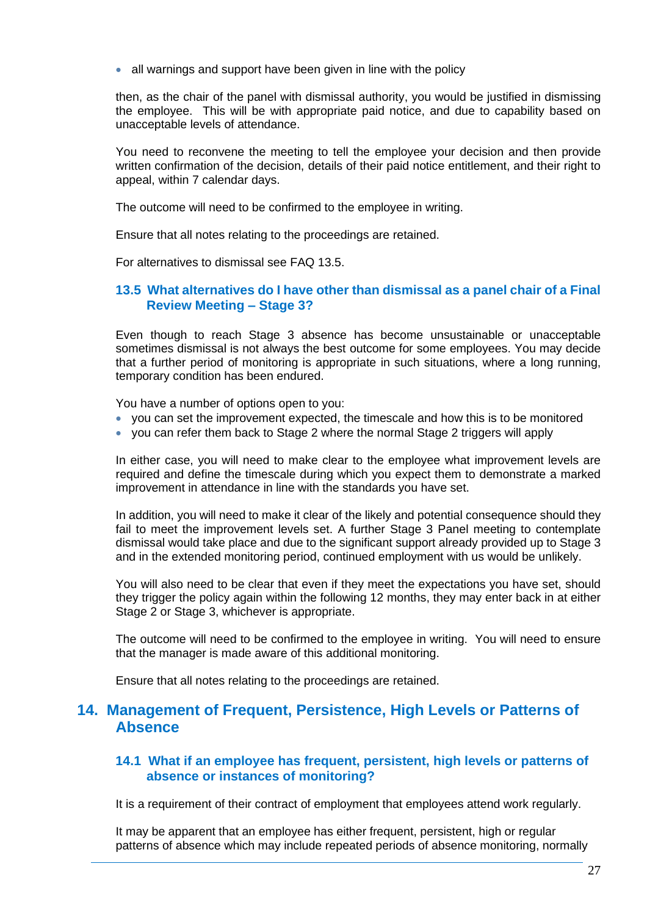• all warnings and support have been given in line with the policy

then, as the chair of the panel with dismissal authority, you would be justified in dismissing the employee. This will be with appropriate paid notice, and due to capability based on unacceptable levels of attendance.

You need to reconvene the meeting to tell the employee your decision and then provide written confirmation of the decision, details of their paid notice entitlement, and their right to appeal, within 7 calendar days.

The outcome will need to be confirmed to the employee in writing.

Ensure that all notes relating to the proceedings are retained.

For alternatives to dismissal see FAQ 13.5.

### **13.5 What alternatives do I have other than dismissal as a panel chair of a Final Review Meeting – Stage 3?**

Even though to reach Stage 3 absence has become unsustainable or unacceptable sometimes dismissal is not always the best outcome for some employees. You may decide that a further period of monitoring is appropriate in such situations, where a long running, temporary condition has been endured.

You have a number of options open to you:

- you can set the improvement expected, the timescale and how this is to be monitored
- you can refer them back to Stage 2 where the normal Stage 2 triggers will apply

In either case, you will need to make clear to the employee what improvement levels are required and define the timescale during which you expect them to demonstrate a marked improvement in attendance in line with the standards you have set.

In addition, you will need to make it clear of the likely and potential consequence should they fail to meet the improvement levels set. A further Stage 3 Panel meeting to contemplate dismissal would take place and due to the significant support already provided up to Stage 3 and in the extended monitoring period, continued employment with us would be unlikely.

You will also need to be clear that even if they meet the expectations you have set, should they trigger the policy again within the following 12 months, they may enter back in at either Stage 2 or Stage 3, whichever is appropriate.

The outcome will need to be confirmed to the employee in writing. You will need to ensure that the manager is made aware of this additional monitoring.

Ensure that all notes relating to the proceedings are retained.

## **14. Management of Frequent, Persistence, High Levels or Patterns of Absence**

#### **14.1 What if an employee has frequent, persistent, high levels or patterns of absence or instances of monitoring?**

It is a requirement of their contract of employment that employees attend work regularly.

It may be apparent that an employee has either frequent, persistent, high or regular patterns of absence which may include repeated periods of absence monitoring, normally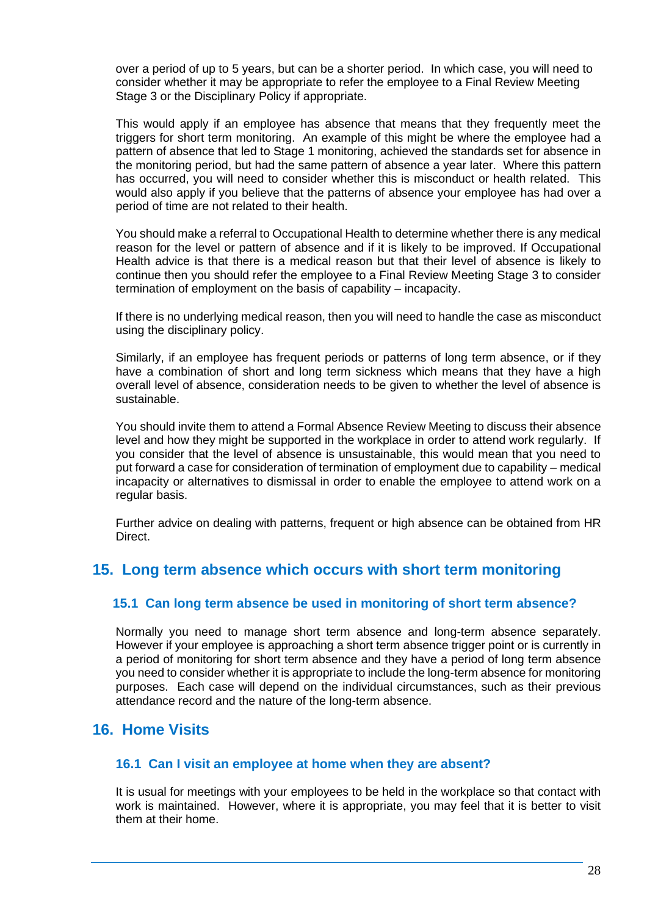over a period of up to 5 years, but can be a shorter period. In which case, you will need to consider whether it may be appropriate to refer the employee to a Final Review Meeting Stage 3 or the Disciplinary Policy if appropriate.

This would apply if an employee has absence that means that they frequently meet the triggers for short term monitoring. An example of this might be where the employee had a pattern of absence that led to Stage 1 monitoring, achieved the standards set for absence in the monitoring period, but had the same pattern of absence a year later. Where this pattern has occurred, you will need to consider whether this is misconduct or health related. This would also apply if you believe that the patterns of absence your employee has had over a period of time are not related to their health.

You should make a referral to Occupational Health to determine whether there is any medical reason for the level or pattern of absence and if it is likely to be improved. If Occupational Health advice is that there is a medical reason but that their level of absence is likely to continue then you should refer the employee to a Final Review Meeting Stage 3 to consider termination of employment on the basis of capability – incapacity.

If there is no underlying medical reason, then you will need to handle the case as misconduct using the disciplinary policy.

Similarly, if an employee has frequent periods or patterns of long term absence, or if they have a combination of short and long term sickness which means that they have a high overall level of absence, consideration needs to be given to whether the level of absence is sustainable.

You should invite them to attend a Formal Absence Review Meeting to discuss their absence level and how they might be supported in the workplace in order to attend work regularly. If you consider that the level of absence is unsustainable, this would mean that you need to put forward a case for consideration of termination of employment due to capability – medical incapacity or alternatives to dismissal in order to enable the employee to attend work on a regular basis.

Further advice on dealing with patterns, frequent or high absence can be obtained from HR Direct.

## **15. Long term absence which occurs with short term monitoring**

## **15.1 Can long term absence be used in monitoring of short term absence?**

Normally you need to manage short term absence and long-term absence separately. However if your employee is approaching a short term absence trigger point or is currently in a period of monitoring for short term absence and they have a period of long term absence you need to consider whether it is appropriate to include the long-term absence for monitoring purposes. Each case will depend on the individual circumstances, such as their previous attendance record and the nature of the long-term absence.

## **16. Home Visits**

#### **16.1 Can I visit an employee at home when they are absent?**

It is usual for meetings with your employees to be held in the workplace so that contact with work is maintained. However, where it is appropriate, you may feel that it is better to visit them at their home.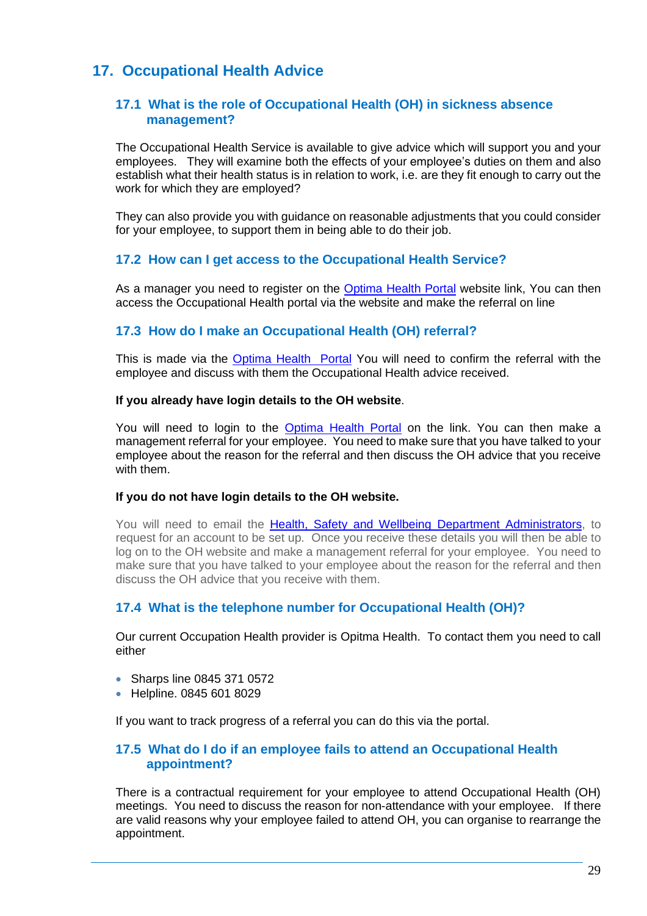# **17. Occupational Health Advice**

### **17.1 What is the role of Occupational Health (OH) in sickness absence management?**

The Occupational Health Service is available to give advice which will support you and your employees. They will examine both the effects of your employee's duties on them and also establish what their health status is in relation to work, i.e. are they fit enough to carry out the work for which they are employed?

They can also provide you with guidance on reasonable adjustments that you could consider for your employee, to support them in being able to do their job.

## **17.2 How can I get access to the Occupational Health Service?**

As a manager you need to register on the [Optima Health Portal](https://www.myohportal.co.uk/suite/login/?fromURI=https%3A%2F%2Flogin.myohportalsso.co.uk%2Fapp%2Fpshealth_appianohassistproduction_1%2Fexkuxixu9e8kD8dRW0i6%2Fsso%2Fsaml) website link, You can then access the Occupational Health portal via the website and make the referral on line

## **17.3 How do I make an Occupational Health (OH) referral?**

This is made via the [Optima Health Portal](https://www.myohportal.co.uk/suite/login/?fromURI=https%3A%2F%2Flogin.myohportalsso.co.uk%2Fapp%2Fpshealth_appianohassistproduction_1%2Fexkuxixu9e8kD8dRW0i6%2Fsso%2Fsaml) You will need to confirm the referral with the employee and discuss with them the Occupational Health advice received.

#### **If you already have login details to the OH website**.

You will need to login to the [Optima Health](https://www.myohportal.co.uk/suite/login/?fromURI=https%3A%2F%2Flogin.myohportalsso.co.uk%2Fapp%2Fpshealth_appianohassistproduction_1%2Fexkuxixu9e8kD8dRW0i6%2Fsso%2Fsaml) Portal on the link. You can then make a management referral for your employee. You need to make sure that you have talked to your employee about the reason for the referral and then discuss the OH advice that you receive with them.

#### **If you do not have login details to the OH website.**

You will need to email the [Health, Safety and Wellbeing Department Administrators,](mailto:H&Sadminstrators@nhsbt.nhs.uk) to request for an account to be set up. Once you receive these details you will then be able to log on to the OH website and make a management referral for your employee. You need to make sure that you have talked to your employee about the reason for the referral and then discuss the OH advice that you receive with them.

## **17.4 What is the telephone number for Occupational Health (OH)?**

Our current Occupation Health provider is Opitma Health. To contact them you need to call either

- Sharps line 0845 371 0572
- Helpline. 0845 601 8029

If you want to track progress of a referral you can do this via the portal.

#### **17.5 What do I do if an employee fails to attend an Occupational Health appointment?**

There is a contractual requirement for your employee to attend Occupational Health (OH) meetings. You need to discuss the reason for non-attendance with your employee. If there are valid reasons why your employee failed to attend OH, you can organise to rearrange the appointment.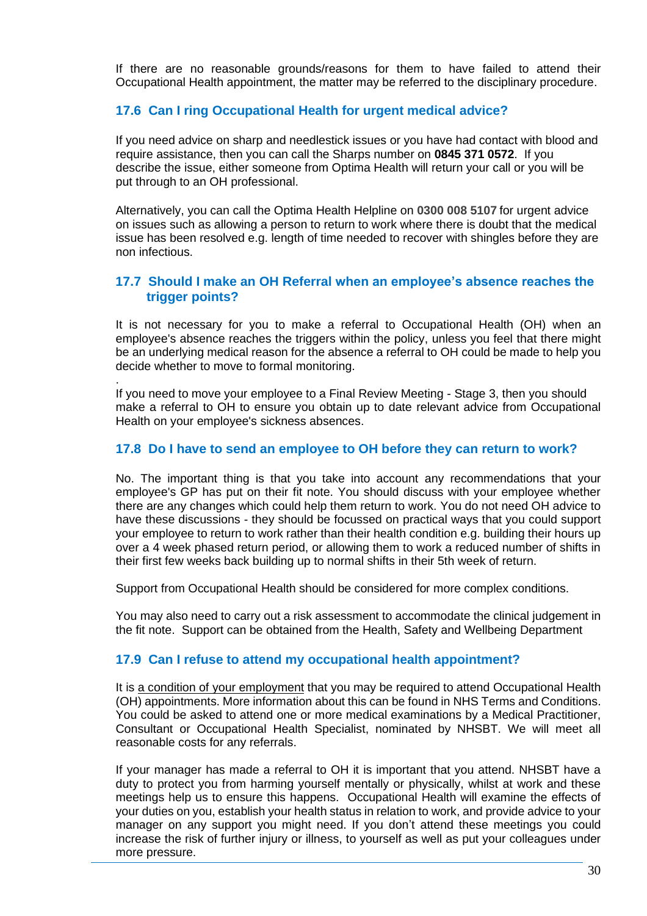If there are no reasonable grounds/reasons for them to have failed to attend their Occupational Health appointment, the matter may be referred to the disciplinary procedure.

## **17.6 Can I ring Occupational Health for urgent medical advice?**

If you need advice on sharp and needlestick issues or you have had contact with blood and require assistance, then you can call the Sharps number on **0845 371 0572**. If you describe the issue, either someone from Optima Health will return your call or you will be put through to an OH professional.

Alternatively, you can call the Optima Health Helpline on **0300 008 5107** for urgent advice on issues such as allowing a person to return to work where there is doubt that the medical issue has been resolved e.g. length of time needed to recover with shingles before they are non infectious.

### **17.7 Should I make an OH Referral when an employee's absence reaches the trigger points?**

It is not necessary for you to make a referral to Occupational Health (OH) when an employee's absence reaches the triggers within the policy, unless you feel that there might be an underlying medical reason for the absence a referral to OH could be made to help you decide whether to move to formal monitoring.

. If you need to move your employee to a Final Review Meeting - Stage 3, then you should make a referral to OH to ensure you obtain up to date relevant advice from Occupational Health on your employee's sickness absences.

#### **17.8 Do I have to send an employee to OH before they can return to work?**

No. The important thing is that you take into account any recommendations that your employee's GP has put on their fit note. You should discuss with your employee whether there are any changes which could help them return to work. You do not need OH advice to have these discussions - they should be focussed on practical ways that you could support your employee to return to work rather than their health condition e.g. building their hours up over a 4 week phased return period, or allowing them to work a reduced number of shifts in their first few weeks back building up to normal shifts in their 5th week of return.

Support from Occupational Health should be considered for more complex conditions.

You may also need to carry out a risk assessment to accommodate the clinical judgement in the fit note. Support can be obtained from the Health, Safety and Wellbeing Department

## **17.9 Can I refuse to attend my occupational health appointment?**

It is a condition of your employment that you may be required to attend Occupational Health (OH) appointments. More information about this can be found in NHS Terms and Conditions. You could be asked to attend one or more medical examinations by a Medical Practitioner, Consultant or Occupational Health Specialist, nominated by NHSBT. We will meet all reasonable costs for any referrals.

If your manager has made a referral to OH it is important that you attend. NHSBT have a duty to protect you from harming yourself mentally or physically, whilst at work and these meetings help us to ensure this happens. Occupational Health will examine the effects of your duties on you, establish your health status in relation to work, and provide advice to your manager on any support you might need. If you don't attend these meetings you could increase the risk of further injury or illness, to yourself as well as put your colleagues under more pressure.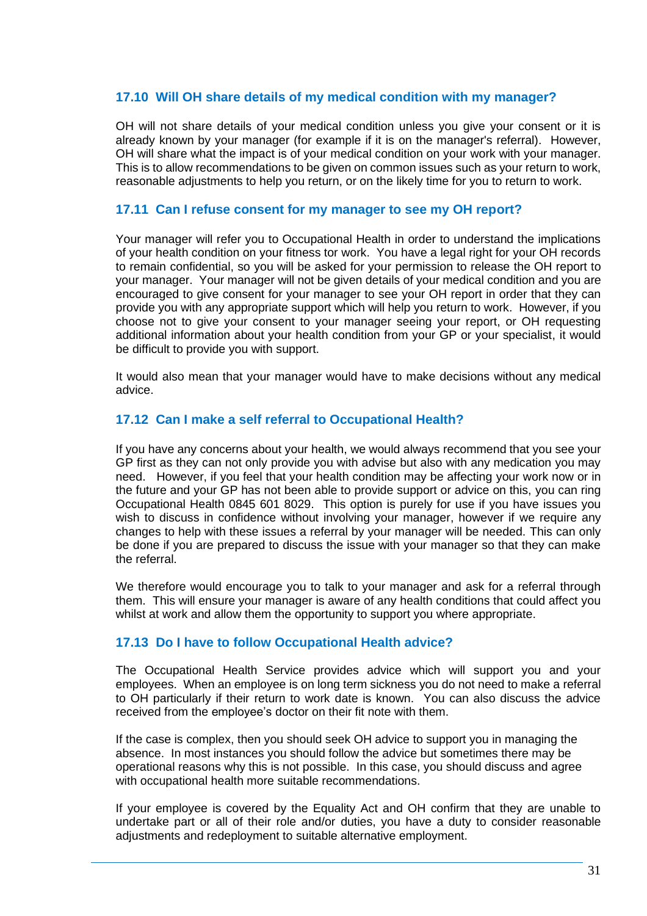### **17.10 Will OH share details of my medical condition with my manager?**

OH will not share details of your medical condition unless you give your consent or it is already known by your manager (for example if it is on the manager's referral). However, OH will share what the impact is of your medical condition on your work with your manager. This is to allow recommendations to be given on common issues such as your return to work, reasonable adjustments to help you return, or on the likely time for you to return to work.

#### **17.11 Can I refuse consent for my manager to see my OH report?**

Your manager will refer you to Occupational Health in order to understand the implications of your health condition on your fitness tor work. You have a legal right for your OH records to remain confidential, so you will be asked for your permission to release the OH report to your manager. Your manager will not be given details of your medical condition and you are encouraged to give consent for your manager to see your OH report in order that they can provide you with any appropriate support which will help you return to work. However, if you choose not to give your consent to your manager seeing your report, or OH requesting additional information about your health condition from your GP or your specialist, it would be difficult to provide you with support.

It would also mean that your manager would have to make decisions without any medical advice.

#### **17.12 Can I make a self referral to Occupational Health?**

If you have any concerns about your health, we would always recommend that you see your GP first as they can not only provide you with advise but also with any medication you may need. However, if you feel that your health condition may be affecting your work now or in the future and your GP has not been able to provide support or advice on this, you can ring Occupational Health 0845 601 8029. This option is purely for use if you have issues you wish to discuss in confidence without involving your manager, however if we require any changes to help with these issues a referral by your manager will be needed. This can only be done if you are prepared to discuss the issue with your manager so that they can make the referral.

We therefore would encourage you to talk to your manager and ask for a referral through them. This will ensure your manager is aware of any health conditions that could affect you whilst at work and allow them the opportunity to support you where appropriate.

#### **17.13 Do I have to follow Occupational Health advice?**

The Occupational Health Service provides advice which will support you and your employees. When an employee is on long term sickness you do not need to make a referral to OH particularly if their return to work date is known. You can also discuss the advice received from the employee's doctor on their fit note with them.

If the case is complex, then you should seek OH advice to support you in managing the absence. In most instances you should follow the advice but sometimes there may be operational reasons why this is not possible. In this case, you should discuss and agree with occupational health more suitable recommendations.

If your employee is covered by the Equality Act and OH confirm that they are unable to undertake part or all of their role and/or duties, you have a duty to consider reasonable adjustments and redeployment to suitable alternative employment.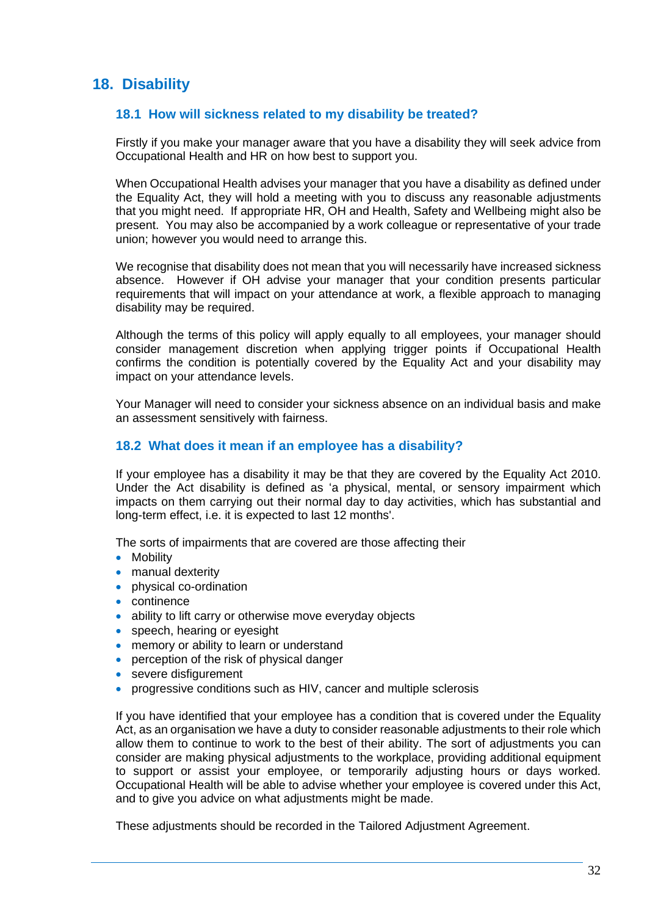## **18. Disability**

## **18.1 How will sickness related to my disability be treated?**

Firstly if you make your manager aware that you have a disability they will seek advice from Occupational Health and HR on how best to support you.

When Occupational Health advises your manager that you have a disability as defined under the Equality Act, they will hold a meeting with you to discuss any reasonable adjustments that you might need. If appropriate HR, OH and Health, Safety and Wellbeing might also be present. You may also be accompanied by a work colleague or representative of your trade union; however you would need to arrange this.

We recognise that disability does not mean that you will necessarily have increased sickness absence. However if OH advise your manager that your condition presents particular requirements that will impact on your attendance at work, a flexible approach to managing disability may be required.

Although the terms of this policy will apply equally to all employees, your manager should consider management discretion when applying trigger points if Occupational Health confirms the condition is potentially covered by the Equality Act and your disability may impact on your attendance levels.

Your Manager will need to consider your sickness absence on an individual basis and make an assessment sensitively with fairness.

## **18.2 What does it mean if an employee has a disability?**

If your employee has a disability it may be that they are covered by the Equality Act 2010. Under the Act disability is defined as 'a physical, mental, or sensory impairment which impacts on them carrying out their normal day to day activities, which has substantial and long-term effect, i.e. it is expected to last 12 months'.

The sorts of impairments that are covered are those affecting their

- Mobility
- manual dexterity
- physical co-ordination
- continence
- ability to lift carry or otherwise move everyday objects
- speech, hearing or eyesight
- memory or ability to learn or understand
- perception of the risk of physical danger
- severe disfigurement
- progressive conditions such as HIV, cancer and multiple sclerosis

If you have identified that your employee has a condition that is covered under the Equality Act, as an organisation we have a duty to consider reasonable adjustments to their role which allow them to continue to work to the best of their ability. The sort of adjustments you can consider are making physical adjustments to the workplace, providing additional equipment to support or assist your employee, or temporarily adjusting hours or days worked. Occupational Health will be able to advise whether your employee is covered under this Act, and to give you advice on what adjustments might be made.

These adjustments should be recorded in the Tailored Adjustment Agreement.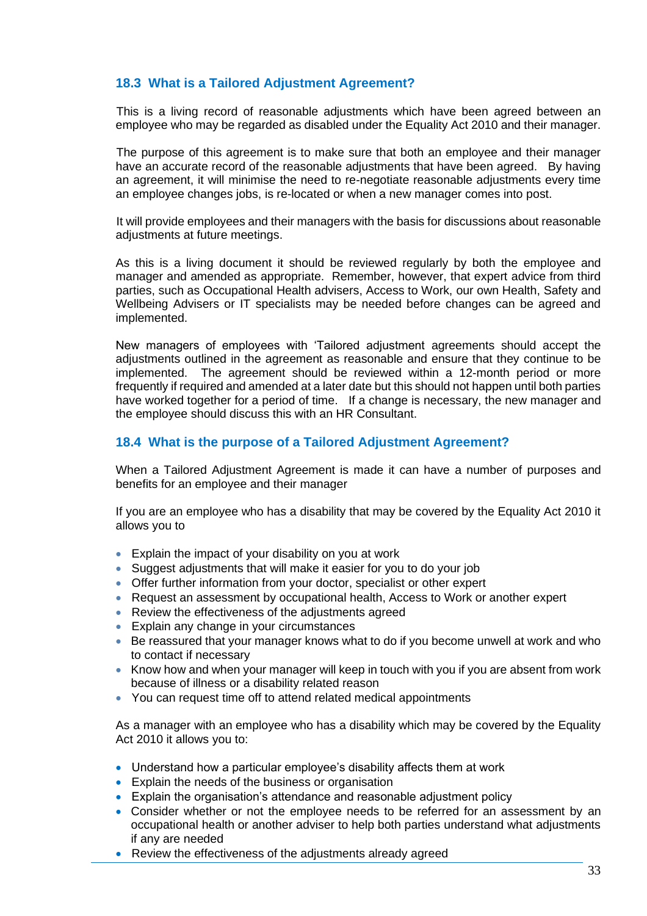## **18.3 What is a Tailored Adjustment Agreement?**

This is a living record of reasonable adjustments which have been agreed between an employee who may be regarded as disabled under the Equality Act 2010 and their manager.

The purpose of this agreement is to make sure that both an employee and their manager have an accurate record of the reasonable adjustments that have been agreed. By having an agreement, it will minimise the need to re-negotiate reasonable adjustments every time an employee changes jobs, is re-located or when a new manager comes into post.

It will provide employees and their managers with the basis for discussions about reasonable adjustments at future meetings.

As this is a living document it should be reviewed regularly by both the employee and manager and amended as appropriate. Remember, however, that expert advice from third parties, such as Occupational Health advisers, Access to Work, our own Health, Safety and Wellbeing Advisers or IT specialists may be needed before changes can be agreed and implemented.

New managers of employees with 'Tailored adjustment agreements should accept the adjustments outlined in the agreement as reasonable and ensure that they continue to be implemented. The agreement should be reviewed within a 12-month period or more frequently if required and amended at a later date but this should not happen until both parties have worked together for a period of time. If a change is necessary, the new manager and the employee should discuss this with an HR Consultant.

## **18.4 What is the purpose of a Tailored Adjustment Agreement?**

When a Tailored Adjustment Agreement is made it can have a number of purposes and benefits for an employee and their manager

If you are an employee who has a disability that may be covered by the Equality Act 2010 it allows you to

- Explain the impact of your disability on you at work
- Suggest adjustments that will make it easier for you to do your job
- Offer further information from your doctor, specialist or other expert
- Request an assessment by occupational health, Access to Work or another expert
- Review the effectiveness of the adjustments agreed
- Explain any change in your circumstances
- Be reassured that your manager knows what to do if you become unwell at work and who to contact if necessary
- Know how and when your manager will keep in touch with you if you are absent from work because of illness or a disability related reason
- You can request time off to attend related medical appointments

As a manager with an employee who has a disability which may be covered by the Equality Act 2010 it allows you to:

- Understand how a particular employee's disability affects them at work
- Explain the needs of the business or organisation
- Explain the organisation's attendance and reasonable adjustment policy
- Consider whether or not the employee needs to be referred for an assessment by an occupational health or another adviser to help both parties understand what adjustments if any are needed
- Review the effectiveness of the adjustments already agreed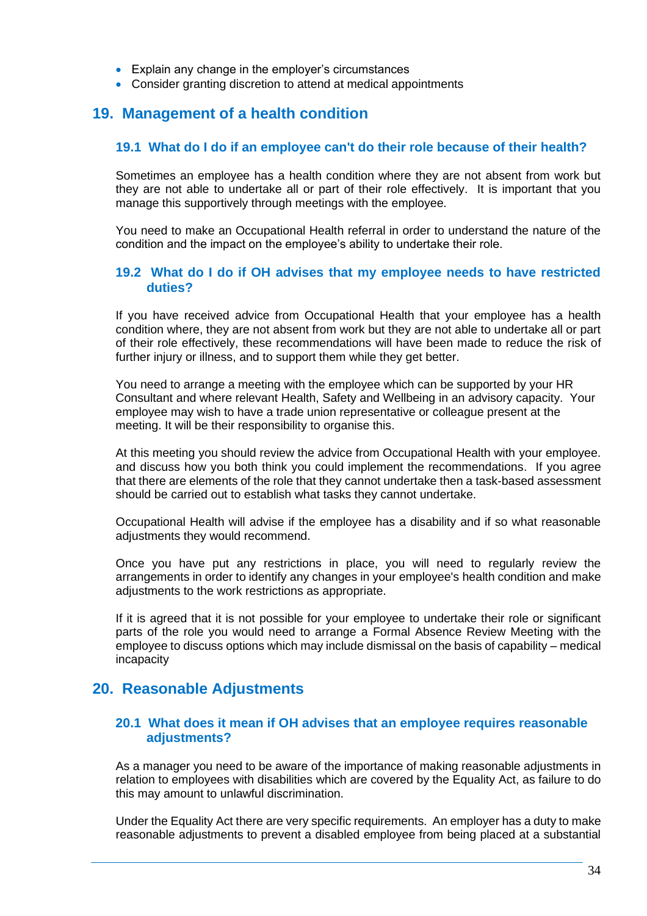- Explain any change in the employer's circumstances
- Consider granting discretion to attend at medical appointments

## **19. Management of a health condition**

#### **19.1 What do I do if an employee can't do their role because of their health?**

Sometimes an employee has a health condition where they are not absent from work but they are not able to undertake all or part of their role effectively. It is important that you manage this supportively through meetings with the employee.

You need to make an Occupational Health referral in order to understand the nature of the condition and the impact on the employee's ability to undertake their role.

#### **19.2 What do I do if OH advises that my employee needs to have restricted duties?**

If you have received advice from Occupational Health that your employee has a health condition where, they are not absent from work but they are not able to undertake all or part of their role effectively, these recommendations will have been made to reduce the risk of further injury or illness, and to support them while they get better.

You need to arrange a meeting with the employee which can be supported by your HR Consultant and where relevant Health, Safety and Wellbeing in an advisory capacity. Your employee may wish to have a trade union representative or colleague present at the meeting. It will be their responsibility to organise this.

At this meeting you should review the advice from Occupational Health with your employee. and discuss how you both think you could implement the recommendations. If you agree that there are elements of the role that they cannot undertake then a task-based assessment should be carried out to establish what tasks they cannot undertake.

Occupational Health will advise if the employee has a disability and if so what reasonable adjustments they would recommend.

Once you have put any restrictions in place, you will need to regularly review the arrangements in order to identify any changes in your employee's health condition and make adjustments to the work restrictions as appropriate.

If it is agreed that it is not possible for your employee to undertake their role or significant parts of the role you would need to arrange a Formal Absence Review Meeting with the employee to discuss options which may include dismissal on the basis of capability – medical incapacity

## **20. Reasonable Adjustments**

#### **20.1 What does it mean if OH advises that an employee requires reasonable adjustments?**

As a manager you need to be aware of the importance of making reasonable adjustments in relation to employees with disabilities which are covered by the Equality Act, as failure to do this may amount to unlawful discrimination.

Under the Equality Act there are very specific requirements. An employer has a duty to make reasonable adjustments to prevent a disabled employee from being placed at a substantial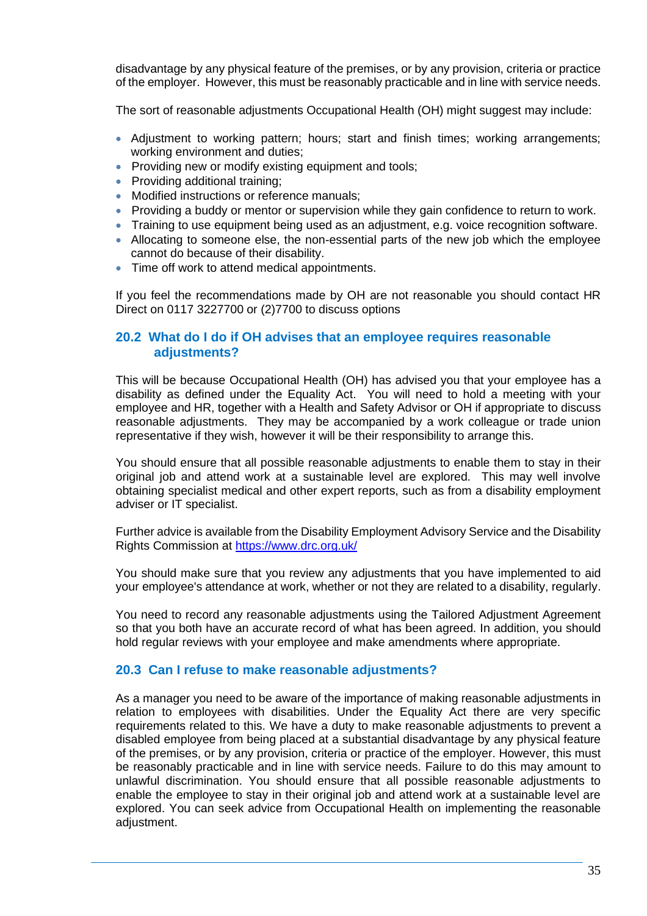disadvantage by any physical feature of the premises, or by any provision, criteria or practice of the employer. However, this must be reasonably practicable and in line with service needs.

The sort of reasonable adjustments Occupational Health (OH) might suggest may include:

- Adjustment to working pattern; hours; start and finish times; working arrangements; working environment and duties;
- Providing new or modify existing equipment and tools;
- Providing additional training:
- Modified instructions or reference manuals:
- Providing a buddy or mentor or supervision while they gain confidence to return to work.
- Training to use equipment being used as an adjustment, e.g. voice recognition software.
- Allocating to someone else, the non-essential parts of the new job which the employee cannot do because of their disability.
- Time off work to attend medical appointments.

If you feel the recommendations made by OH are not reasonable you should contact HR Direct on 0117 3227700 or (2)7700 to discuss options

## **20.2 What do I do if OH advises that an employee requires reasonable adjustments?**

This will be because Occupational Health (OH) has advised you that your employee has a disability as defined under the Equality Act. You will need to hold a meeting with your employee and HR, together with a Health and Safety Advisor or OH if appropriate to discuss reasonable adjustments. They may be accompanied by a work colleague or trade union representative if they wish, however it will be their responsibility to arrange this.

You should ensure that all possible reasonable adjustments to enable them to stay in their original job and attend work at a sustainable level are explored. This may well involve obtaining specialist medical and other expert reports, such as from a disability employment adviser or IT specialist.

Further advice is available from the Disability Employment Advisory Service and the Disability Rights Commission at<https://www.drc.org.uk/>

You should make sure that you review any adjustments that you have implemented to aid your employee's attendance at work, whether or not they are related to a disability, regularly.

You need to record any reasonable adjustments using the Tailored Adjustment Agreement so that you both have an accurate record of what has been agreed. In addition, you should hold regular reviews with your employee and make amendments where appropriate.

#### **20.3 Can I refuse to make reasonable adjustments?**

As a manager you need to be aware of the importance of making reasonable adjustments in relation to employees with disabilities. Under the Equality Act there are very specific requirements related to this. We have a duty to make reasonable adjustments to prevent a disabled employee from being placed at a substantial disadvantage by any physical feature of the premises, or by any provision, criteria or practice of the employer. However, this must be reasonably practicable and in line with service needs. Failure to do this may amount to unlawful discrimination. You should ensure that all possible reasonable adjustments to enable the employee to stay in their original job and attend work at a sustainable level are explored. You can seek advice from Occupational Health on implementing the reasonable adjustment.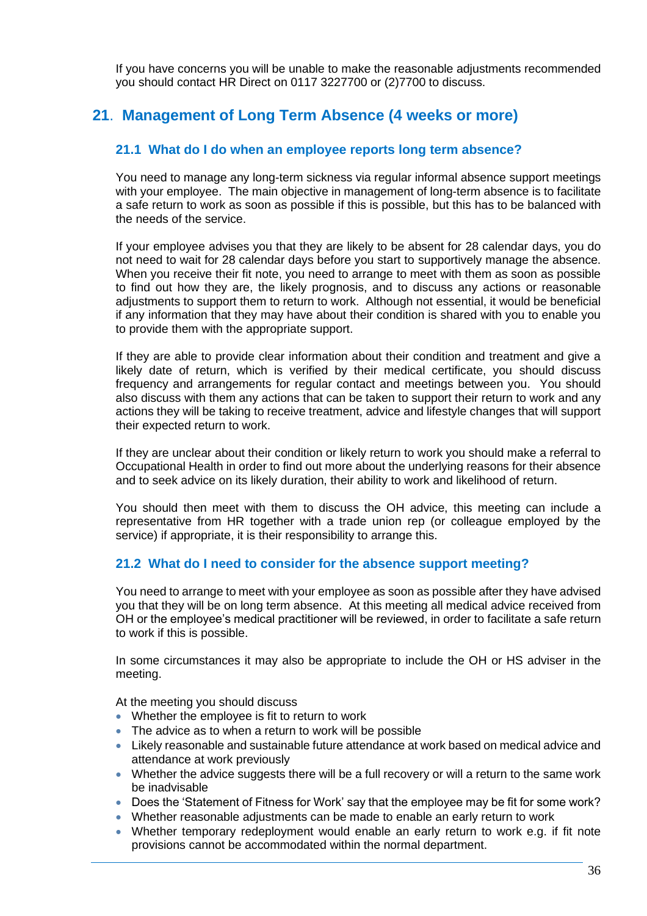If you have concerns you will be unable to make the reasonable adjustments recommended you should contact HR Direct on 0117 3227700 or (2)7700 to discuss.

## **21**. **Management of Long Term Absence (4 weeks or more)**

## **21.1 What do I do when an employee reports long term absence?**

You need to manage any long-term sickness via regular informal absence support meetings with your employee. The main objective in management of long-term absence is to facilitate a safe return to work as soon as possible if this is possible, but this has to be balanced with the needs of the service.

If your employee advises you that they are likely to be absent for 28 calendar days, you do not need to wait for 28 calendar days before you start to supportively manage the absence. When you receive their fit note, you need to arrange to meet with them as soon as possible to find out how they are, the likely prognosis, and to discuss any actions or reasonable adjustments to support them to return to work. Although not essential, it would be beneficial if any information that they may have about their condition is shared with you to enable you to provide them with the appropriate support.

If they are able to provide clear information about their condition and treatment and give a likely date of return, which is verified by their medical certificate, you should discuss frequency and arrangements for regular contact and meetings between you. You should also discuss with them any actions that can be taken to support their return to work and any actions they will be taking to receive treatment, advice and lifestyle changes that will support their expected return to work.

If they are unclear about their condition or likely return to work you should make a referral to Occupational Health in order to find out more about the underlying reasons for their absence and to seek advice on its likely duration, their ability to work and likelihood of return.

You should then meet with them to discuss the OH advice, this meeting can include a representative from HR together with a trade union rep (or colleague employed by the service) if appropriate, it is their responsibility to arrange this.

## **21.2 What do I need to consider for the absence support meeting?**

You need to arrange to meet with your employee as soon as possible after they have advised you that they will be on long term absence. At this meeting all medical advice received from OH or the employee's medical practitioner will be reviewed, in order to facilitate a safe return to work if this is possible.

In some circumstances it may also be appropriate to include the OH or HS adviser in the meeting.

At the meeting you should discuss

- Whether the employee is fit to return to work
- The advice as to when a return to work will be possible
- Likely reasonable and sustainable future attendance at work based on medical advice and attendance at work previously
- Whether the advice suggests there will be a full recovery or will a return to the same work be inadvisable
- Does the 'Statement of Fitness for Work' say that the employee may be fit for some work?
- Whether reasonable adjustments can be made to enable an early return to work
- Whether temporary redeployment would enable an early return to work e.g. if fit note provisions cannot be accommodated within the normal department.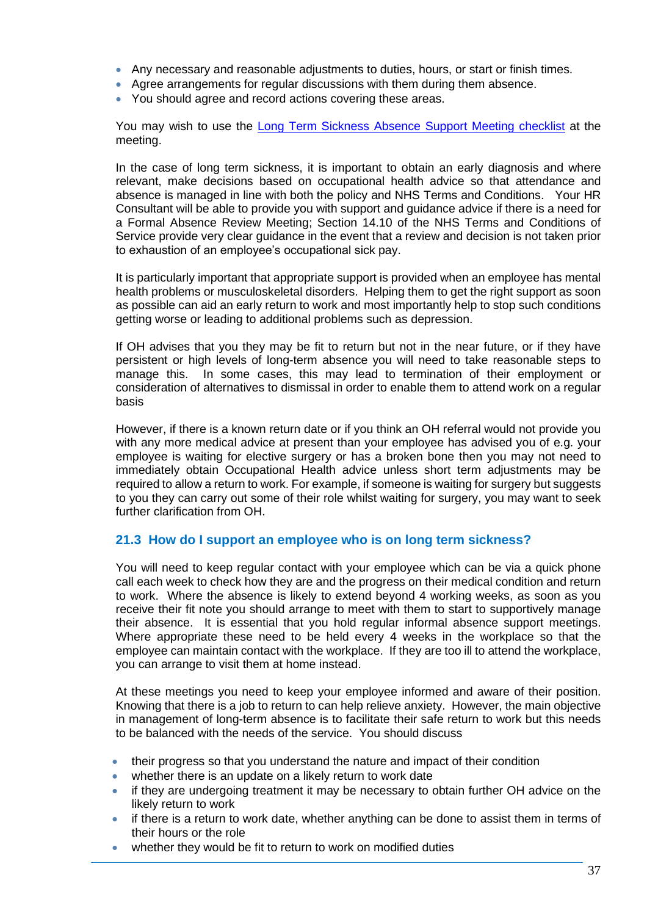- Any necessary and reasonable adjustments to duties, hours, or start or finish times.
- Agree arrangements for regular discussions with them during them absence.
- You should agree and record actions covering these areas.

You may wish to use the [Long Term Sickness Absence Support](http://nhsbtweb/userfiles/Long%20term%20sickness%20review%20meeting%20checklist%20final.doc) Meeting checklist at the meeting.

In the case of long term sickness, it is important to obtain an early diagnosis and where relevant, make decisions based on occupational health advice so that attendance and absence is managed in line with both the policy and NHS Terms and Conditions. Your HR Consultant will be able to provide you with support and guidance advice if there is a need for a Formal Absence Review Meeting; Section 14.10 of the NHS Terms and Conditions of Service provide very clear guidance in the event that a review and decision is not taken prior to exhaustion of an employee's occupational sick pay.

It is particularly important that appropriate support is provided when an employee has mental health problems or musculoskeletal disorders. Helping them to get the right support as soon as possible can aid an early return to work and most importantly help to stop such conditions getting worse or leading to additional problems such as depression.

If OH advises that you they may be fit to return but not in the near future, or if they have persistent or high levels of long-term absence you will need to take reasonable steps to manage this. In some cases, this may lead to termination of their employment or consideration of alternatives to dismissal in order to enable them to attend work on a regular basis

However, if there is a known return date or if you think an OH referral would not provide you with any more medical advice at present than your employee has advised you of e.g. your employee is waiting for elective surgery or has a broken bone then you may not need to immediately obtain Occupational Health advice unless short term adjustments may be required to allow a return to work. For example, if someone is waiting for surgery but suggests to you they can carry out some of their role whilst waiting for surgery, you may want to seek further clarification from OH.

#### **21.3 How do I support an employee who is on long term sickness?**

You will need to keep regular contact with your employee which can be via a quick phone call each week to check how they are and the progress on their medical condition and return to work. Where the absence is likely to extend beyond 4 working weeks, as soon as you receive their fit note you should arrange to meet with them to start to supportively manage their absence. It is essential that you hold regular informal absence support meetings. Where appropriate these need to be held every 4 weeks in the workplace so that the employee can maintain contact with the workplace. If they are too ill to attend the workplace, you can arrange to visit them at home instead.

At these meetings you need to keep your employee informed and aware of their position. Knowing that there is a job to return to can help relieve anxiety. However, the main objective in management of long-term absence is to facilitate their safe return to work but this needs to be balanced with the needs of the service. You should discuss

- their progress so that you understand the nature and impact of their condition
- whether there is an update on a likely return to work date
- if they are undergoing treatment it may be necessary to obtain further OH advice on the likely return to work
- if there is a return to work date, whether anything can be done to assist them in terms of their hours or the role
- whether they would be fit to return to work on modified duties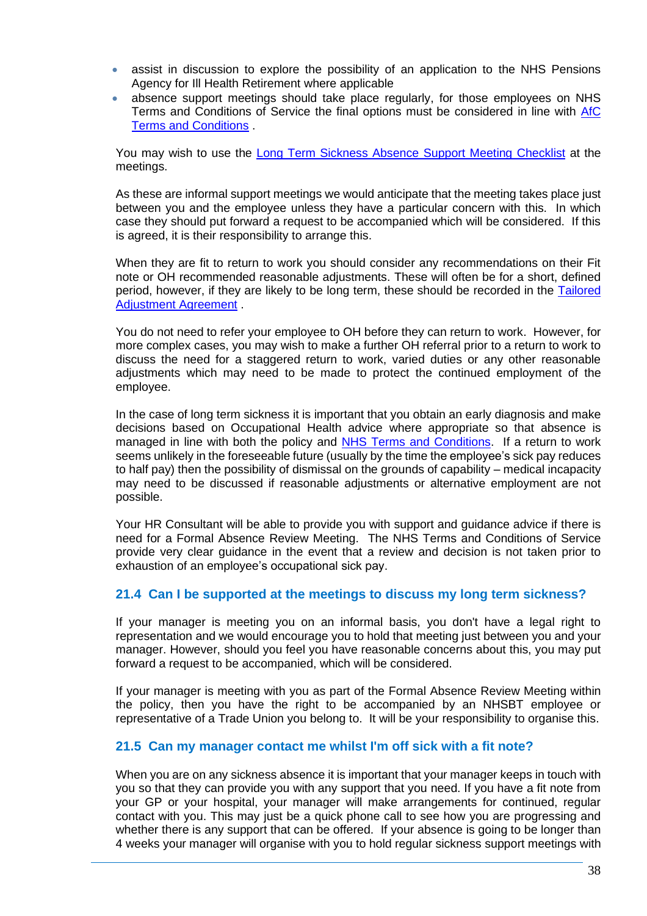- assist in discussion to explore the possibility of an application to the NHS Pensions Agency for Ill Health Retirement where applicable
- absence support meetings should take place regularly, for those employees on NHS Terms and Conditions of Service the final options must be considered in line with [AfC](http://www.nhsemployers.org/~/media/Employers/Documents/Pay%20and%20reward/AfC_tc_of_service_handbook_fb.pdf)  [Terms and Conditions](http://www.nhsemployers.org/~/media/Employers/Documents/Pay%20and%20reward/AfC_tc_of_service_handbook_fb.pdf) .

You may wish to use the [Long Term Sickness Absence Support](http://nhsbtweb/userfiles/Long%20term%20sickness%20review%20meeting%20checklist%20final.doc) Meeting Checklist at the meetings.

As these are informal support meetings we would anticipate that the meeting takes place just between you and the employee unless they have a particular concern with this. In which case they should put forward a request to be accompanied which will be considered. If this is agreed, it is their responsibility to arrange this.

When they are fit to return to work you should consider any recommendations on their Fit note or OH recommended reasonable adjustments. These will often be for a short, defined period, however, if they are likely to be long term, these should be recorded in the [Tailored](http://nhsbtweb/document_store/tailored_adjustment.doc)  [Adjustment Agreement](http://nhsbtweb/document_store/tailored_adjustment.doc) .

You do not need to refer your employee to OH before they can return to work. However, for more complex cases, you may wish to make a further OH referral prior to a return to work to discuss the need for a staggered return to work, varied duties or any other reasonable adjustments which may need to be made to protect the continued employment of the employee.

In the case of long term sickness it is important that you obtain an early diagnosis and make decisions based on Occupational Health advice where appropriate so that absence is managed in line with both the policy and [NHS Terms and Conditions.](http://www.nhsemployers.org/tchandbook?ec_as=BB7E8CD006104169B58FAF5F13BD5D92) If a return to work seems unlikely in the foreseeable future (usually by the time the employee's sick pay reduces to half pay) then the possibility of dismissal on the grounds of capability – medical incapacity may need to be discussed if reasonable adjustments or alternative employment are not possible.

Your HR Consultant will be able to provide you with support and guidance advice if there is need for a Formal Absence Review Meeting. The NHS Terms and Conditions of Service provide very clear guidance in the event that a review and decision is not taken prior to exhaustion of an employee's occupational sick pay.

## **21.4 Can I be supported at the meetings to discuss my long term sickness?**

If your manager is meeting you on an informal basis, you don't have a legal right to representation and we would encourage you to hold that meeting just between you and your manager. However, should you feel you have reasonable concerns about this, you may put forward a request to be accompanied, which will be considered.

If your manager is meeting with you as part of the Formal Absence Review Meeting within the policy, then you have the right to be accompanied by an NHSBT employee or representative of a Trade Union you belong to. It will be your responsibility to organise this.

#### **21.5 Can my manager contact me whilst I'm off sick with a fit note?**

When you are on any sickness absence it is important that your manager keeps in touch with you so that they can provide you with any support that you need. If you have a fit note from your GP or your hospital, your manager will make arrangements for continued, regular contact with you. This may just be a quick phone call to see how you are progressing and whether there is any support that can be offered. If your absence is going to be longer than 4 weeks your manager will organise with you to hold regular sickness support meetings with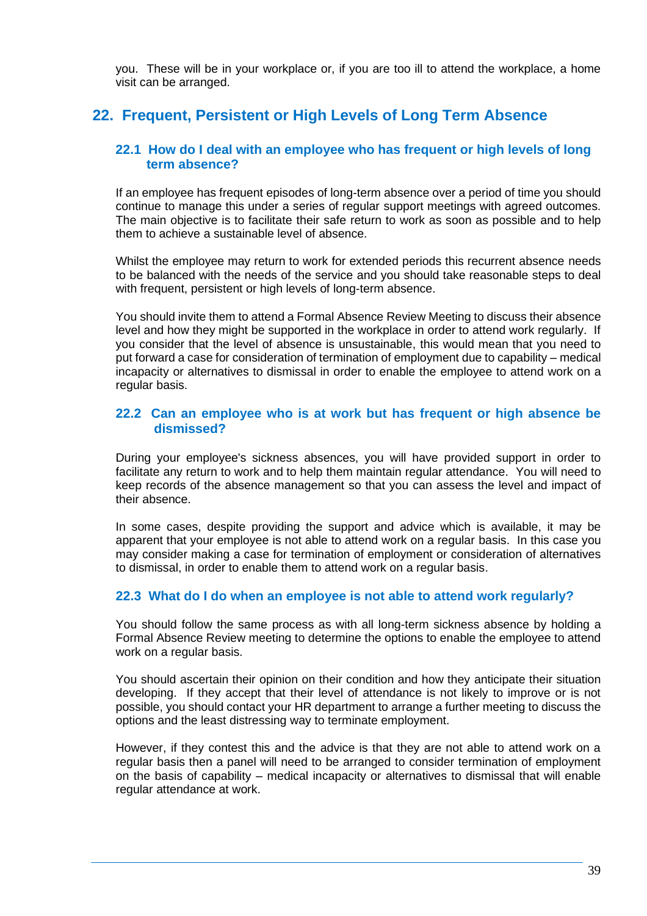you. These will be in your workplace or, if you are too ill to attend the workplace, a home visit can be arranged.

## **22. Frequent, Persistent or High Levels of Long Term Absence**

#### **22.1 How do I deal with an employee who has frequent or high levels of long term absence?**

If an employee has frequent episodes of long-term absence over a period of time you should continue to manage this under a series of regular support meetings with agreed outcomes. The main objective is to facilitate their safe return to work as soon as possible and to help them to achieve a sustainable level of absence.

Whilst the employee may return to work for extended periods this recurrent absence needs to be balanced with the needs of the service and you should take reasonable steps to deal with frequent, persistent or high levels of long-term absence.

You should invite them to attend a Formal Absence Review Meeting to discuss their absence level and how they might be supported in the workplace in order to attend work regularly. If you consider that the level of absence is unsustainable, this would mean that you need to put forward a case for consideration of termination of employment due to capability – medical incapacity or alternatives to dismissal in order to enable the employee to attend work on a regular basis.

#### **22.2 Can an employee who is at work but has frequent or high absence be dismissed?**

During your employee's sickness absences, you will have provided support in order to facilitate any return to work and to help them maintain regular attendance. You will need to keep records of the absence management so that you can assess the level and impact of their absence.

In some cases, despite providing the support and advice which is available, it may be apparent that your employee is not able to attend work on a regular basis. In this case you may consider making a case for termination of employment or consideration of alternatives to dismissal, in order to enable them to attend work on a regular basis.

## **22.3 What do I do when an employee is not able to attend work regularly?**

You should follow the same process as with all long-term sickness absence by holding a Formal Absence Review meeting to determine the options to enable the employee to attend work on a regular basis.

You should ascertain their opinion on their condition and how they anticipate their situation developing. If they accept that their level of attendance is not likely to improve or is not possible, you should contact your HR department to arrange a further meeting to discuss the options and the least distressing way to terminate employment.

However, if they contest this and the advice is that they are not able to attend work on a regular basis then a panel will need to be arranged to consider termination of employment on the basis of capability – medical incapacity or alternatives to dismissal that will enable regular attendance at work.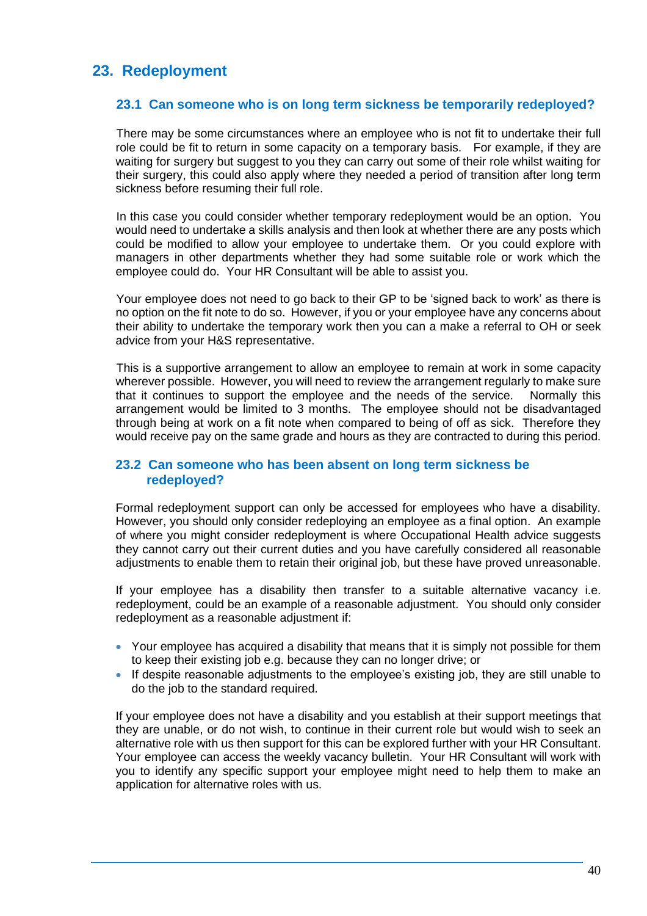# **23. Redeployment**

## **23.1 Can someone who is on long term sickness be temporarily redeployed?**

There may be some circumstances where an employee who is not fit to undertake their full role could be fit to return in some capacity on a temporary basis. For example, if they are waiting for surgery but suggest to you they can carry out some of their role whilst waiting for their surgery, this could also apply where they needed a period of transition after long term sickness before resuming their full role.

In this case you could consider whether temporary redeployment would be an option. You would need to undertake a skills analysis and then look at whether there are any posts which could be modified to allow your employee to undertake them. Or you could explore with managers in other departments whether they had some suitable role or work which the employee could do. Your HR Consultant will be able to assist you.

Your employee does not need to go back to their GP to be 'signed back to work' as there is no option on the fit note to do so. However, if you or your employee have any concerns about their ability to undertake the temporary work then you can a make a referral to OH or seek advice from your H&S representative.

This is a supportive arrangement to allow an employee to remain at work in some capacity wherever possible. However, you will need to review the arrangement regularly to make sure that it continues to support the employee and the needs of the service. Normally this arrangement would be limited to 3 months. The employee should not be disadvantaged through being at work on a fit note when compared to being of off as sick. Therefore they would receive pay on the same grade and hours as they are contracted to during this period.

## **23.2 Can someone who has been absent on long term sickness be redeployed?**

Formal redeployment support can only be accessed for employees who have a disability. However, you should only consider redeploying an employee as a final option. An example of where you might consider redeployment is where Occupational Health advice suggests they cannot carry out their current duties and you have carefully considered all reasonable adjustments to enable them to retain their original job, but these have proved unreasonable.

If your employee has a disability then transfer to a suitable alternative vacancy i.e. redeployment, could be an example of a reasonable adjustment. You should only consider redeployment as a reasonable adjustment if:

- Your employee has acquired a disability that means that it is simply not possible for them to keep their existing job e.g. because they can no longer drive; or
- If despite reasonable adjustments to the employee's existing job, they are still unable to do the job to the standard required.

If your employee does not have a disability and you establish at their support meetings that they are unable, or do not wish, to continue in their current role but would wish to seek an alternative role with us then support for this can be explored further with your HR Consultant. Your employee can access the weekly vacancy bulletin. Your HR Consultant will work with you to identify any specific support your employee might need to help them to make an application for alternative roles with us.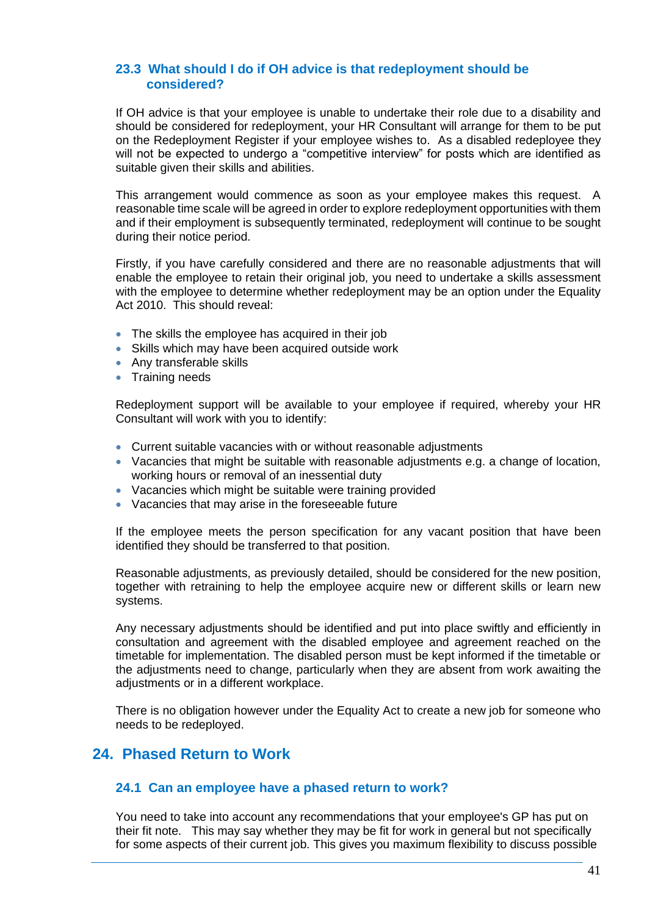### **23.3 What should I do if OH advice is that redeployment should be considered?**

If OH advice is that your employee is unable to undertake their role due to a disability and should be considered for redeployment, your HR Consultant will arrange for them to be put on the Redeployment Register if your employee wishes to. As a disabled redeployee they will not be expected to undergo a "competitive interview" for posts which are identified as suitable given their skills and abilities.

This arrangement would commence as soon as your employee makes this request. A reasonable time scale will be agreed in order to explore redeployment opportunities with them and if their employment is subsequently terminated, redeployment will continue to be sought during their notice period.

Firstly, if you have carefully considered and there are no reasonable adjustments that will enable the employee to retain their original job, you need to undertake a skills assessment with the employee to determine whether redeployment may be an option under the Equality Act 2010. This should reveal:

- The skills the employee has acquired in their job
- Skills which may have been acquired outside work
- Any transferable skills
- Training needs

Redeployment support will be available to your employee if required, whereby your HR Consultant will work with you to identify:

- Current suitable vacancies with or without reasonable adjustments
- Vacancies that might be suitable with reasonable adjustments e.g. a change of location, working hours or removal of an inessential duty
- Vacancies which might be suitable were training provided
- Vacancies that may arise in the foreseeable future

If the employee meets the person specification for any vacant position that have been identified they should be transferred to that position.

Reasonable adjustments, as previously detailed, should be considered for the new position, together with retraining to help the employee acquire new or different skills or learn new systems.

Any necessary adjustments should be identified and put into place swiftly and efficiently in consultation and agreement with the disabled employee and agreement reached on the timetable for implementation. The disabled person must be kept informed if the timetable or the adjustments need to change, particularly when they are absent from work awaiting the adjustments or in a different workplace.

There is no obligation however under the Equality Act to create a new job for someone who needs to be redeployed.

## **24. Phased Return to Work**

#### **24.1 Can an employee have a phased return to work?**

You need to take into account any recommendations that your employee's GP has put on their fit note. This may say whether they may be fit for work in general but not specifically for some aspects of their current job. This gives you maximum flexibility to discuss possible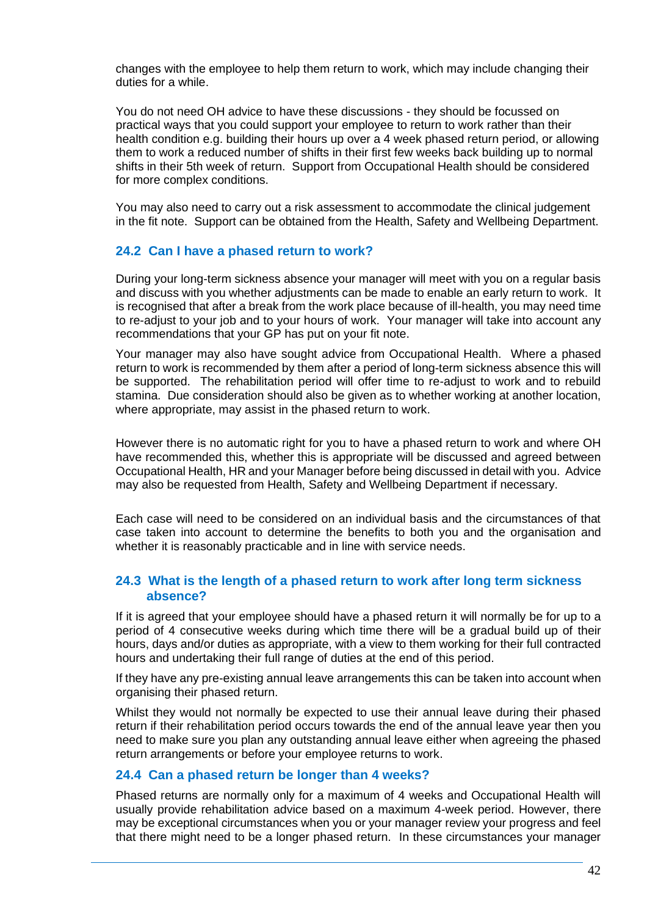changes with the employee to help them return to work, which may include changing their duties for a while.

You do not need OH advice to have these discussions - they should be focussed on practical ways that you could support your employee to return to work rather than their health condition e.g. building their hours up over a 4 week phased return period, or allowing them to work a reduced number of shifts in their first few weeks back building up to normal shifts in their 5th week of return. Support from Occupational Health should be considered for more complex conditions.

You may also need to carry out a risk assessment to accommodate the clinical judgement in the fit note. Support can be obtained from the Health, Safety and Wellbeing Department.

#### **24.2 Can I have a phased return to work?**

During your long-term sickness absence your manager will meet with you on a regular basis and discuss with you whether adjustments can be made to enable an early return to work. It is recognised that after a break from the work place because of ill-health, you may need time to re-adjust to your job and to your hours of work. Your manager will take into account any recommendations that your GP has put on your fit note.

Your manager may also have sought advice from Occupational Health. Where a phased return to work is recommended by them after a period of long-term sickness absence this will be supported. The rehabilitation period will offer time to re-adjust to work and to rebuild stamina. Due consideration should also be given as to whether working at another location, where appropriate, may assist in the phased return to work.

However there is no automatic right for you to have a phased return to work and where OH have recommended this, whether this is appropriate will be discussed and agreed between Occupational Health, HR and your Manager before being discussed in detail with you. Advice may also be requested from Health, Safety and Wellbeing Department if necessary.

Each case will need to be considered on an individual basis and the circumstances of that case taken into account to determine the benefits to both you and the organisation and whether it is reasonably practicable and in line with service needs.

#### **24.3 What is the length of a phased return to work after long term sickness absence?**

If it is agreed that your employee should have a phased return it will normally be for up to a period of 4 consecutive weeks during which time there will be a gradual build up of their hours, days and/or duties as appropriate, with a view to them working for their full contracted hours and undertaking their full range of duties at the end of this period.

If they have any pre-existing annual leave arrangements this can be taken into account when organising their phased return.

Whilst they would not normally be expected to use their annual leave during their phased return if their rehabilitation period occurs towards the end of the annual leave year then you need to make sure you plan any outstanding annual leave either when agreeing the phased return arrangements or before your employee returns to work.

#### **24.4 Can a phased return be longer than 4 weeks?**

Phased returns are normally only for a maximum of 4 weeks and Occupational Health will usually provide rehabilitation advice based on a maximum 4-week period. However, there may be exceptional circumstances when you or your manager review your progress and feel that there might need to be a longer phased return. In these circumstances your manager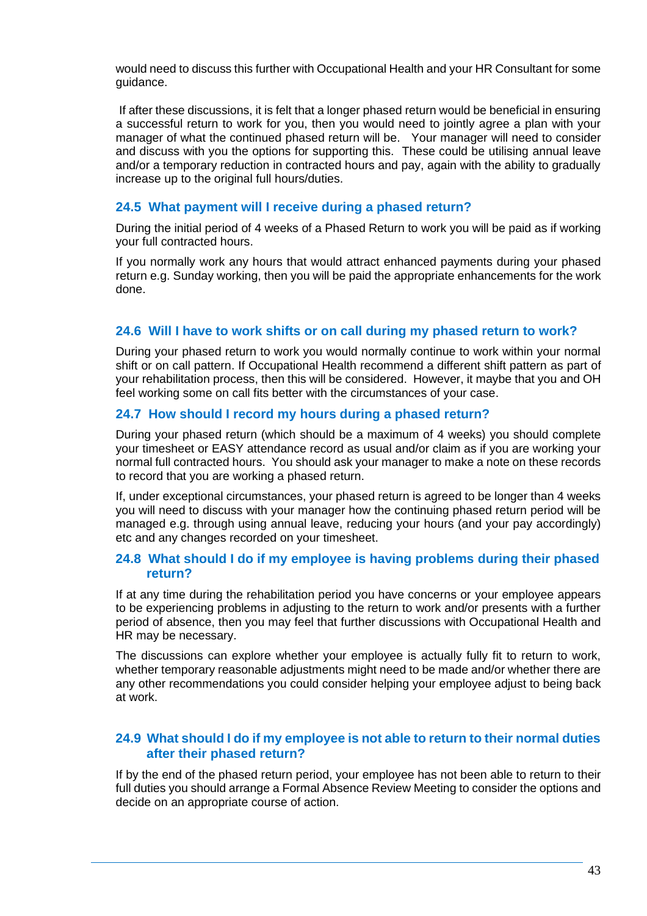would need to discuss this further with Occupational Health and your HR Consultant for some guidance.

If after these discussions, it is felt that a longer phased return would be beneficial in ensuring a successful return to work for you, then you would need to jointly agree a plan with your manager of what the continued phased return will be. Your manager will need to consider and discuss with you the options for supporting this. These could be utilising annual leave and/or a temporary reduction in contracted hours and pay, again with the ability to gradually increase up to the original full hours/duties.

#### **24.5 What payment will I receive during a phased return?**

During the initial period of 4 weeks of a Phased Return to work you will be paid as if working your full contracted hours.

If you normally work any hours that would attract enhanced payments during your phased return e.g. Sunday working, then you will be paid the appropriate enhancements for the work done.

#### **24.6 Will I have to work shifts or on call during my phased return to work?**

During your phased return to work you would normally continue to work within your normal shift or on call pattern. If Occupational Health recommend a different shift pattern as part of your rehabilitation process, then this will be considered. However, it maybe that you and OH feel working some on call fits better with the circumstances of your case.

#### **24.7 How should I record my hours during a phased return?**

During your phased return (which should be a maximum of 4 weeks) you should complete your timesheet or EASY attendance record as usual and/or claim as if you are working your normal full contracted hours. You should ask your manager to make a note on these records to record that you are working a phased return.

If, under exceptional circumstances, your phased return is agreed to be longer than 4 weeks you will need to discuss with your manager how the continuing phased return period will be managed e.g. through using annual leave, reducing your hours (and your pay accordingly) etc and any changes recorded on your timesheet.

#### **24.8 What should I do if my employee is having problems during their phased return?**

If at any time during the rehabilitation period you have concerns or your employee appears to be experiencing problems in adjusting to the return to work and/or presents with a further period of absence, then you may feel that further discussions with Occupational Health and HR may be necessary.

The discussions can explore whether your employee is actually fully fit to return to work, whether temporary reasonable adjustments might need to be made and/or whether there are any other recommendations you could consider helping your employee adjust to being back at work.

## **24.9 What should I do if my employee is not able to return to their normal duties after their phased return?**

If by the end of the phased return period, your employee has not been able to return to their full duties you should arrange a Formal Absence Review Meeting to consider the options and decide on an appropriate course of action.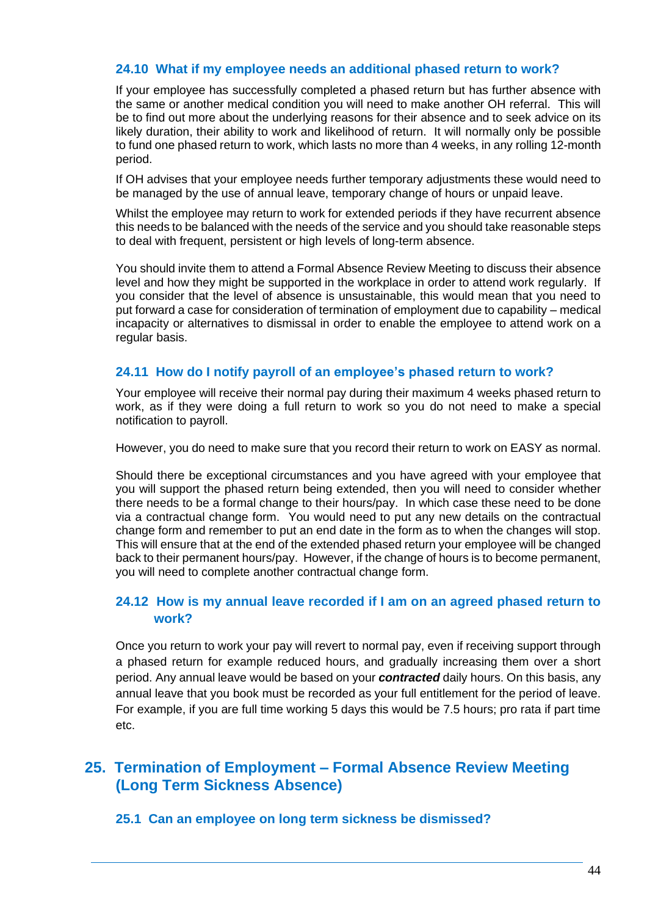## **24.10 What if my employee needs an additional phased return to work?**

If your employee has successfully completed a phased return but has further absence with the same or another medical condition you will need to make another OH referral. This will be to find out more about the underlying reasons for their absence and to seek advice on its likely duration, their ability to work and likelihood of return. It will normally only be possible to fund one phased return to work, which lasts no more than 4 weeks, in any rolling 12-month period.

If OH advises that your employee needs further temporary adjustments these would need to be managed by the use of annual leave, temporary change of hours or unpaid leave.

Whilst the employee may return to work for extended periods if they have recurrent absence this needs to be balanced with the needs of the service and you should take reasonable steps to deal with frequent, persistent or high levels of long-term absence.

You should invite them to attend a Formal Absence Review Meeting to discuss their absence level and how they might be supported in the workplace in order to attend work regularly. If you consider that the level of absence is unsustainable, this would mean that you need to put forward a case for consideration of termination of employment due to capability – medical incapacity or alternatives to dismissal in order to enable the employee to attend work on a regular basis.

#### **24.11 How do I notify payroll of an employee's phased return to work?**

Your employee will receive their normal pay during their maximum 4 weeks phased return to work, as if they were doing a full return to work so you do not need to make a special notification to payroll.

However, you do need to make sure that you record their return to work on EASY as normal.

Should there be exceptional circumstances and you have agreed with your employee that you will support the phased return being extended, then you will need to consider whether there needs to be a formal change to their hours/pay. In which case these need to be done via a contractual change form. You would need to put any new details on the contractual change form and remember to put an end date in the form as to when the changes will stop. This will ensure that at the end of the extended phased return your employee will be changed back to their permanent hours/pay. However, if the change of hours is to become permanent, you will need to complete another contractual change form.

## **24.12 How is my annual leave recorded if I am on an agreed phased return to work?**

Once you return to work your pay will revert to normal pay, even if receiving support through a phased return for example reduced hours, and gradually increasing them over a short period. Any annual leave would be based on your *contracted* daily hours. On this basis, any annual leave that you book must be recorded as your full entitlement for the period of leave. For example, if you are full time working 5 days this would be 7.5 hours; pro rata if part time etc.

## **25. Termination of Employment – Formal Absence Review Meeting (Long Term Sickness Absence)**

#### **25.1 Can an employee on long term sickness be dismissed?**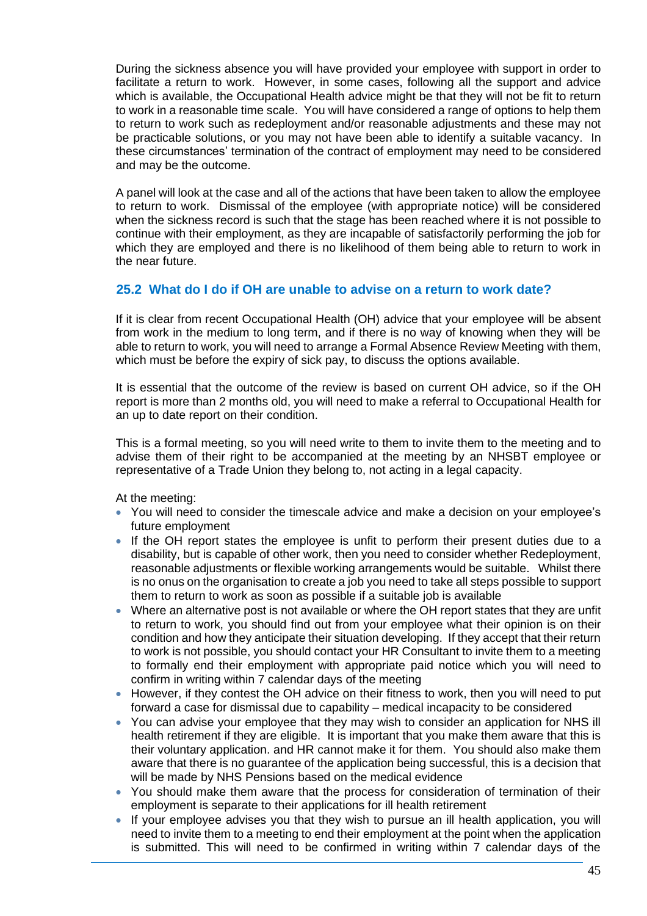During the sickness absence you will have provided your employee with support in order to facilitate a return to work. However, in some cases, following all the support and advice which is available, the Occupational Health advice might be that they will not be fit to return to work in a reasonable time scale. You will have considered a range of options to help them to return to work such as redeployment and/or reasonable adjustments and these may not be practicable solutions, or you may not have been able to identify a suitable vacancy. In these circumstances' termination of the contract of employment may need to be considered and may be the outcome.

A panel will look at the case and all of the actions that have been taken to allow the employee to return to work. Dismissal of the employee (with appropriate notice) will be considered when the sickness record is such that the stage has been reached where it is not possible to continue with their employment, as they are incapable of satisfactorily performing the job for which they are employed and there is no likelihood of them being able to return to work in the near future.

## **25.2 What do I do if OH are unable to advise on a return to work date?**

If it is clear from recent Occupational Health (OH) advice that your employee will be absent from work in the medium to long term, and if there is no way of knowing when they will be able to return to work, you will need to arrange a Formal Absence Review Meeting with them, which must be before the expiry of sick pay, to discuss the options available.

It is essential that the outcome of the review is based on current OH advice, so if the OH report is more than 2 months old, you will need to make a referral to Occupational Health for an up to date report on their condition.

This is a formal meeting, so you will need write to them to invite them to the meeting and to advise them of their right to be accompanied at the meeting by an NHSBT employee or representative of a Trade Union they belong to, not acting in a legal capacity.

At the meeting:

- You will need to consider the timescale advice and make a decision on your employee's future employment
- If the OH report states the employee is unfit to perform their present duties due to a disability, but is capable of other work, then you need to consider whether Redeployment, reasonable adjustments or flexible working arrangements would be suitable. Whilst there is no onus on the organisation to create a job you need to take all steps possible to support them to return to work as soon as possible if a suitable job is available
- Where an alternative post is not available or where the OH report states that they are unfit to return to work, you should find out from your employee what their opinion is on their condition and how they anticipate their situation developing. If they accept that their return to work is not possible, you should contact your HR Consultant to invite them to a meeting to formally end their employment with appropriate paid notice which you will need to confirm in writing within 7 calendar days of the meeting
- However, if they contest the OH advice on their fitness to work, then you will need to put forward a case for dismissal due to capability – medical incapacity to be considered
- You can advise your employee that they may wish to consider an application for NHS ill health retirement if they are eligible. It is important that you make them aware that this is their voluntary application. and HR cannot make it for them. You should also make them aware that there is no guarantee of the application being successful, this is a decision that will be made by NHS Pensions based on the medical evidence
- You should make them aware that the process for consideration of termination of their employment is separate to their applications for ill health retirement
- If your employee advises you that they wish to pursue an ill health application, you will need to invite them to a meeting to end their employment at the point when the application is submitted. This will need to be confirmed in writing within 7 calendar days of the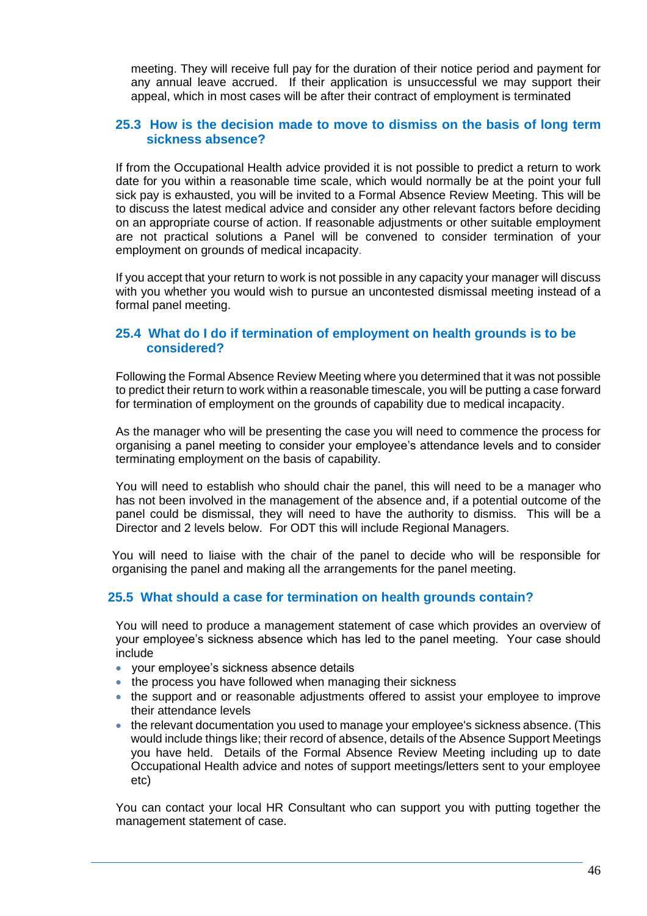meeting. They will receive full pay for the duration of their notice period and payment for any annual leave accrued. If their application is unsuccessful we may support their appeal, which in most cases will be after their contract of employment is terminated

### **25.3 How is the decision made to move to dismiss on the basis of long term sickness absence?**

If from the Occupational Health advice provided it is not possible to predict a return to work date for you within a reasonable time scale, which would normally be at the point your full sick pay is exhausted, you will be invited to a Formal Absence Review Meeting. This will be to discuss the latest medical advice and consider any other relevant factors before deciding on an appropriate course of action. If reasonable adjustments or other suitable employment are not practical solutions a Panel will be convened to consider termination of your employment on grounds of medical incapacity.

If you accept that your return to work is not possible in any capacity your manager will discuss with you whether you would wish to pursue an uncontested dismissal meeting instead of a formal panel meeting.

## **25.4 What do I do if termination of employment on health grounds is to be considered?**

Following the Formal Absence Review Meeting where you determined that it was not possible to predict their return to work within a reasonable timescale, you will be putting a case forward for termination of employment on the grounds of capability due to medical incapacity.

As the manager who will be presenting the case you will need to commence the process for organising a panel meeting to consider your employee's attendance levels and to consider terminating employment on the basis of capability.

You will need to establish who should chair the panel, this will need to be a manager who has not been involved in the management of the absence and, if a potential outcome of the panel could be dismissal, they will need to have the authority to dismiss. This will be a Director and 2 levels below. For ODT this will include Regional Managers.

You will need to liaise with the chair of the panel to decide who will be responsible for organising the panel and making all the arrangements for the panel meeting.

## **25.5 What should a case for termination on health grounds contain?**

You will need to produce a management statement of case which provides an overview of your employee's sickness absence which has led to the panel meeting. Your case should include

- your employee's sickness absence details
- the process you have followed when managing their sickness
- the support and or reasonable adjustments offered to assist your employee to improve their attendance levels
- the relevant documentation you used to manage your employee's sickness absence. (This would include things like; their record of absence, details of the Absence Support Meetings you have held. Details of the Formal Absence Review Meeting including up to date Occupational Health advice and notes of support meetings/letters sent to your employee etc)

You can contact your local HR Consultant who can support you with putting together the management statement of case.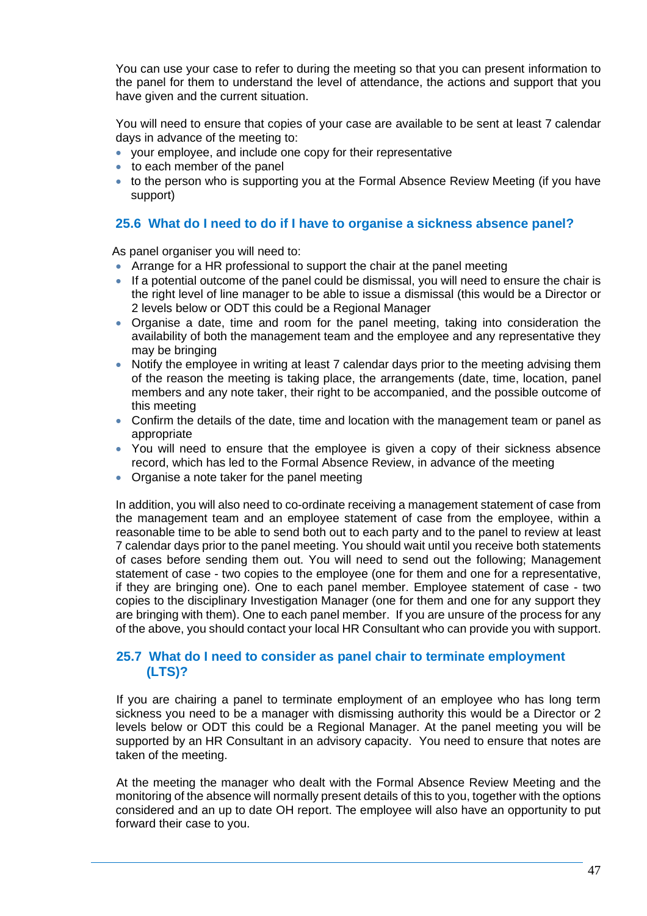You can use your case to refer to during the meeting so that you can present information to the panel for them to understand the level of attendance, the actions and support that you have given and the current situation.

You will need to ensure that copies of your case are available to be sent at least 7 calendar days in advance of the meeting to:

- your employee, and include one copy for their representative
- to each member of the panel
- to the person who is supporting you at the Formal Absence Review Meeting (if you have support)

## **25.6 What do I need to do if I have to organise a sickness absence panel?**

As panel organiser you will need to:

- Arrange for a HR professional to support the chair at the panel meeting
- If a potential outcome of the panel could be dismissal, you will need to ensure the chair is the right level of line manager to be able to issue a dismissal (this would be a Director or 2 levels below or ODT this could be a Regional Manager
- Organise a date, time and room for the panel meeting, taking into consideration the availability of both the management team and the employee and any representative they may be bringing
- Notify the employee in writing at least 7 calendar days prior to the meeting advising them of the reason the meeting is taking place, the arrangements (date, time, location, panel members and any note taker, their right to be accompanied, and the possible outcome of this meeting
- Confirm the details of the date, time and location with the management team or panel as appropriate
- You will need to ensure that the employee is given a copy of their sickness absence record, which has led to the Formal Absence Review, in advance of the meeting
- Organise a note taker for the panel meeting

In addition, you will also need to co-ordinate receiving a management statement of case from the management team and an employee statement of case from the employee, within a reasonable time to be able to send both out to each party and to the panel to review at least 7 calendar days prior to the panel meeting. You should wait until you receive both statements of cases before sending them out. You will need to send out the following; Management statement of case - two copies to the employee (one for them and one for a representative, if they are bringing one). One to each panel member. Employee statement of case - two copies to the disciplinary Investigation Manager (one for them and one for any support they are bringing with them). One to each panel member. If you are unsure of the process for any of the above, you should contact your local HR Consultant who can provide you with support.

#### **25.7 What do I need to consider as panel chair to terminate employment (LTS)?**

If you are chairing a panel to terminate employment of an employee who has long term sickness you need to be a manager with dismissing authority this would be a Director or 2 levels below or ODT this could be a Regional Manager. At the panel meeting you will be supported by an HR Consultant in an advisory capacity. You need to ensure that notes are taken of the meeting.

At the meeting the manager who dealt with the Formal Absence Review Meeting and the monitoring of the absence will normally present details of this to you, together with the options considered and an up to date OH report. The employee will also have an opportunity to put forward their case to you.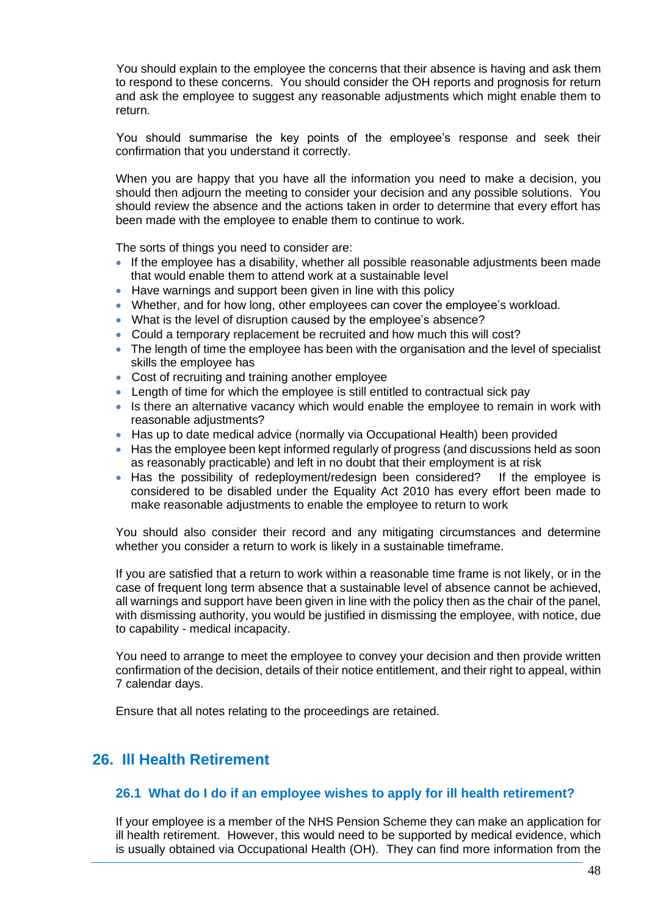You should explain to the employee the concerns that their absence is having and ask them to respond to these concerns. You should consider the OH reports and prognosis for return and ask the employee to suggest any reasonable adjustments which might enable them to return.

You should summarise the key points of the employee's response and seek their confirmation that you understand it correctly.

When you are happy that you have all the information you need to make a decision, you should then adjourn the meeting to consider your decision and any possible solutions. You should review the absence and the actions taken in order to determine that every effort has been made with the employee to enable them to continue to work.

The sorts of things you need to consider are:

- If the employee has a disability, whether all possible reasonable adjustments been made that would enable them to attend work at a sustainable level
- Have warnings and support been given in line with this policy
- Whether, and for how long, other employees can cover the employee's workload.
- What is the level of disruption caused by the employee's absence?
- Could a temporary replacement be recruited and how much this will cost?
- The length of time the employee has been with the organisation and the level of specialist skills the employee has
- Cost of recruiting and training another employee
- Length of time for which the employee is still entitled to contractual sick pay
- Is there an alternative vacancy which would enable the employee to remain in work with reasonable adjustments?
- Has up to date medical advice (normally via Occupational Health) been provided
- Has the employee been kept informed regularly of progress (and discussions held as soon as reasonably practicable) and left in no doubt that their employment is at risk
- Has the possibility of redeployment/redesign been considered? If the employee is considered to be disabled under the Equality Act 2010 has every effort been made to make reasonable adjustments to enable the employee to return to work

You should also consider their record and any mitigating circumstances and determine whether you consider a return to work is likely in a sustainable timeframe.

If you are satisfied that a return to work within a reasonable time frame is not likely, or in the case of frequent long term absence that a sustainable level of absence cannot be achieved, all warnings and support have been given in line with the policy then as the chair of the panel, with dismissing authority, you would be justified in dismissing the employee, with notice, due to capability - medical incapacity.

You need to arrange to meet the employee to convey your decision and then provide written confirmation of the decision, details of their notice entitlement, and their right to appeal, within 7 calendar days.

Ensure that all notes relating to the proceedings are retained.

## **26. Ill Health Retirement**

## **26.1 What do I do if an employee wishes to apply for ill health retirement?**

If your employee is a member of the NHS Pension Scheme they can make an application for ill health retirement. However, this would need to be supported by medical evidence, which is usually obtained via Occupational Health (OH). They can find more information from the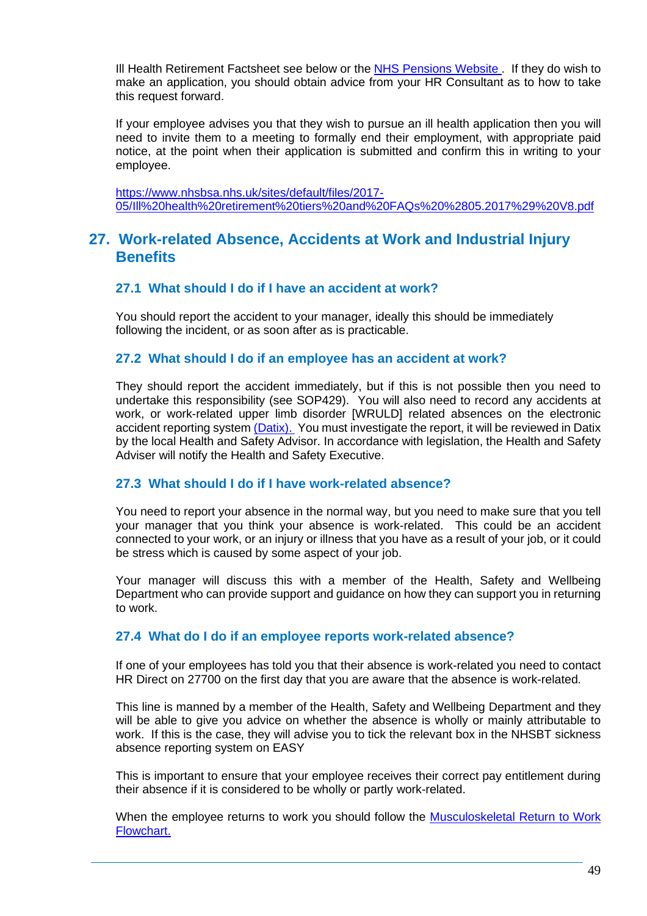Ill Health Retirement Factsheet see below or the [NHS Pensions Website .](http://www.nhsemployers.org/your-workforce/pay-and-reward/pensions/nhs-pension-scheme) If they do wish to make an application, you should obtain advice from your HR Consultant as to how to take this request forward.

If your employee advises you that they wish to pursue an ill health application then you will need to invite them to a meeting to formally end their employment, with appropriate paid notice, at the point when their application is submitted and confirm this in writing to your employee.

[https://www.nhsbsa.nhs.uk/sites/default/files/2017-](https://www.nhsbsa.nhs.uk/sites/default/files/2017-05/Ill%20health%20retirement%20tiers%20and%20FAQs%20%2805.2017%29%20V8.pdf) [05/Ill%20health%20retirement%20tiers%20and%20FAQs%20%2805.2017%29%20V8.pdf](https://www.nhsbsa.nhs.uk/sites/default/files/2017-05/Ill%20health%20retirement%20tiers%20and%20FAQs%20%2805.2017%29%20V8.pdf)

## **27. Work-related Absence, Accidents at Work and Industrial Injury Benefits**

#### **27.1 What should I do if I have an accident at work?**

You should report the accident to your manager, ideally this should be immediately following the incident, or as soon after as is practicable.

#### **27.2 What should I do if an employee has an accident at work?**

They should report the accident immediately, but if this is not possible then you need to undertake this responsibility (see SOP429). You will also need to record any accidents at work, or work-related upper limb disorder [WRULD] related absences on the electronic accident reporting system [\(Datix\).](http://nhsbtweb/goto.asp?id=1684) You must investigate the report, it will be reviewed in Datix by the local Health and Safety Advisor. In accordance with legislation, the Health and Safety Adviser will notify the Health and Safety Executive.

#### **27.3 What should I do if I have work-related absence?**

You need to report your absence in the normal way, but you need to make sure that you tell your manager that you think your absence is work-related. This could be an accident connected to your work, or an injury or illness that you have as a result of your job, or it could be stress which is caused by some aspect of your job.

Your manager will discuss this with a member of the Health, Safety and Wellbeing Department who can provide support and guidance on how they can support you in returning to work.

#### **27.4 What do I do if an employee reports work-related absence?**

If one of your employees has told you that their absence is work-related you need to contact HR Direct on 27700 on the first day that you are aware that the absence is work-related.

This line is manned by a member of the Health, Safety and Wellbeing Department and they will be able to give you advice on whether the absence is wholly or mainly attributable to work. If this is the case, they will advise you to tick the relevant box in the NHSBT sickness absence reporting system on EASY

This is important to ensure that your employee receives their correct pay entitlement during their absence if it is considered to be wholly or partly work-related.

When the employee returns to work you should follow the [Musculoskeletal](https://nhsbloodandtransplant.sharepoint.com/:w:/r/sites/ControlledDocumentsLibrary/_layouts/15/Doc.aspx?sourcedoc=%7B5DB924A1-F2C2-4C2F-B689-EA74B6305AFB%7D&file=DAT2891.doc&action=default&mobileredirect=true&DefaultItemOpen=1) Return to Work [Flowchart.](https://nhsbloodandtransplant.sharepoint.com/:w:/r/sites/ControlledDocumentsLibrary/_layouts/15/Doc.aspx?sourcedoc=%7B5DB924A1-F2C2-4C2F-B689-EA74B6305AFB%7D&file=DAT2891.doc&action=default&mobileredirect=true&DefaultItemOpen=1)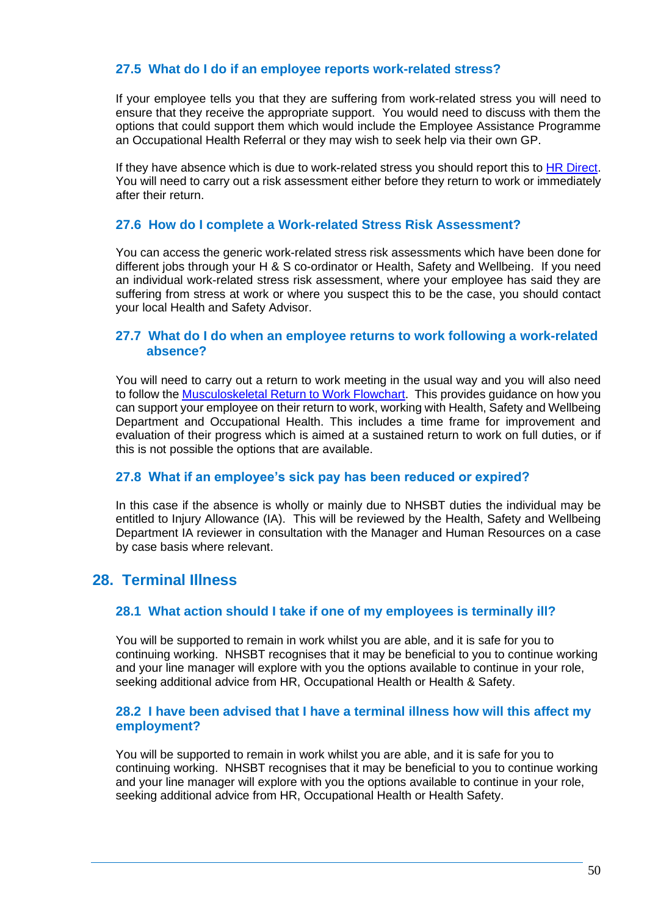## **27.5 What do I do if an employee reports work-related stress?**

If your employee tells you that they are suffering from work-related stress you will need to ensure that they receive the appropriate support. You would need to discuss with them the options that could support them which would include the Employee Assistance Programme an Occupational Health Referral or they may wish to seek help via their own GP.

If they have absence which is due to work-related stress you should report this to [HR Direct.](https://nhsbt.service-now.com/hr_knowledge/query.do) You will need to carry out a risk assessment either before they return to work or immediately after their return.

#### **27.6 How do I complete a Work-related Stress Risk Assessment?**

You can access the generic work-related stress risk assessments which have been done for different jobs through your H & S co-ordinator or Health, Safety and Wellbeing. If you need an individual work-related stress risk assessment, where your employee has said they are suffering from stress at work or where you suspect this to be the case, you should contact your local Health and Safety Advisor.

#### **27.7 What do I do when an employee returns to work following a work-related absence?**

You will need to carry out a return to work meeting in the usual way and you will also need to follow the [Musculoskeletal Return to Work Flowchart.](https://nhsbloodandtransplant.sharepoint.com/:w:/r/sites/ControlledDocumentsLibrary/_layouts/15/Doc.aspx?sourcedoc=%7B5DB924A1-F2C2-4C2F-B689-EA74B6305AFB%7D&file=DAT2891.doc&action=default&mobileredirect=true&DefaultItemOpen=1) This provides guidance on how you can support your employee on their return to work, working with Health, Safety and Wellbeing Department and Occupational Health. This includes a time frame for improvement and evaluation of their progress which is aimed at a sustained return to work on full duties, or if this is not possible the options that are available.

#### **27.8 What if an employee's sick pay has been reduced or expired?**

In this case if the absence is wholly or mainly due to NHSBT duties the individual may be entitled to Injury Allowance (IA). This will be reviewed by the Health, Safety and Wellbeing Department IA reviewer in consultation with the Manager and Human Resources on a case by case basis where relevant.

## **28. Terminal Illness**

#### **28.1 What action should I take if one of my employees is terminally ill?**

You will be supported to remain in work whilst you are able, and it is safe for you to continuing working. NHSBT recognises that it may be beneficial to you to continue working and your line manager will explore with you the options available to continue in your role, seeking additional advice from HR, Occupational Health or Health & Safety.

#### **28.2 I have been advised that I have a terminal illness how will this affect my employment?**

You will be supported to remain in work whilst you are able, and it is safe for you to continuing working. NHSBT recognises that it may be beneficial to you to continue working and your line manager will explore with you the options available to continue in your role, seeking additional advice from HR, Occupational Health or Health Safety.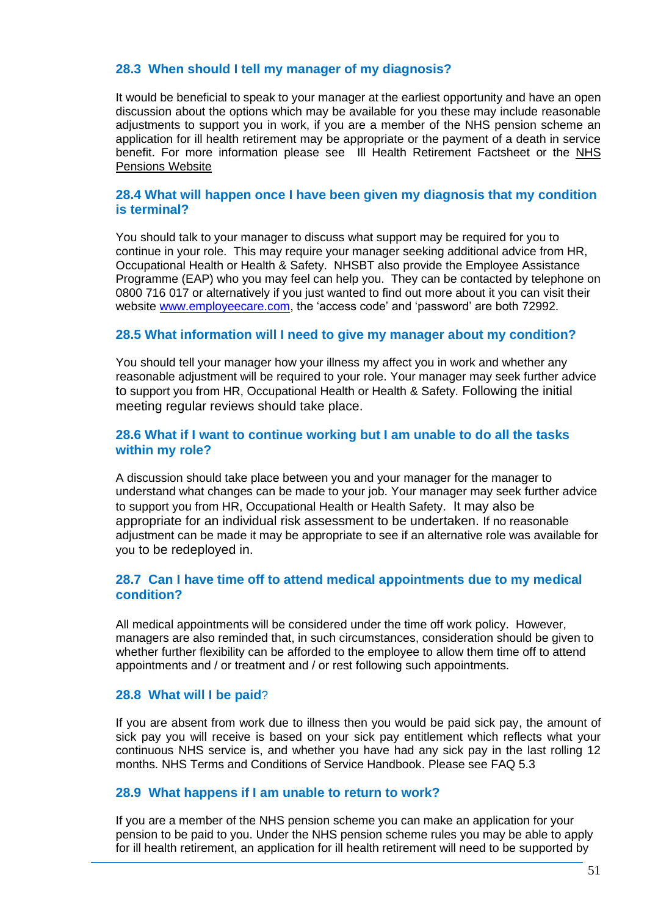## **28.3 When should I tell my manager of my diagnosis?**

It would be beneficial to speak to your manager at the earliest opportunity and have an open discussion about the options which may be available for you these may include reasonable adjustments to support you in work, if you are a member of the NHS pension scheme an application for ill health retirement may be appropriate or the payment of a death in service benefit. For more information please see Ill Health Retirement Factsheet or the [NHS](http://www.nhsemployers.org/your-workforce/pay-and-reward/pensions/nhs-pension-scheme)  [Pensions Website](http://www.nhsemployers.org/your-workforce/pay-and-reward/pensions/nhs-pension-scheme) 

#### **28.4 What will happen once I have been given my diagnosis that my condition is terminal?**

You should talk to your manager to discuss what support may be required for you to continue in your role. This may require your manager seeking additional advice from HR, Occupational Health or Health & Safety. NHSBT also provide the Employee Assistance Programme (EAP) who you may feel can help you. They can be contacted by telephone on 0800 716 017 or alternatively if you just wanted to find out more about it you can visit their website [www.employeecare.com,](http://www.employeecare.com/) the 'access code' and 'password' are both 72992.

#### **28.5 What information will I need to give my manager about my condition?**

You should tell your manager how your illness my affect you in work and whether any reasonable adjustment will be required to your role. Your manager may seek further advice to support you from HR, Occupational Health or Health & Safety. Following the initial meeting regular reviews should take place.

#### **28.6 What if I want to continue working but I am unable to do all the tasks within my role?**

A discussion should take place between you and your manager for the manager to understand what changes can be made to your job. Your manager may seek further advice to support you from HR, Occupational Health or Health Safety. It may also be appropriate for an individual risk assessment to be undertaken. If no reasonable adjustment can be made it may be appropriate to see if an alternative role was available for you to be redeployed in.

## **28.7 Can I have time off to attend medical appointments due to my medical condition?**

All medical appointments will be considered under the time off work policy. However, managers are also reminded that, in such circumstances, consideration should be given to whether further flexibility can be afforded to the employee to allow them time off to attend appointments and / or treatment and / or rest following such appointments.

#### **28.8 What will I be paid**?

If you are absent from work due to illness then you would be paid sick pay, the amount of sick pay you will receive is based on your sick pay entitlement which reflects what your continuous NHS service is, and whether you have had any sick pay in the last rolling 12 months. NHS Terms and Conditions of Service Handbook. Please see FAQ 5.3

#### **28.9 What happens if I am unable to return to work?**

If you are a member of the NHS pension scheme you can make an application for your pension to be paid to you. Under the NHS pension scheme rules you may be able to apply for ill health retirement, an application for ill health retirement will need to be supported by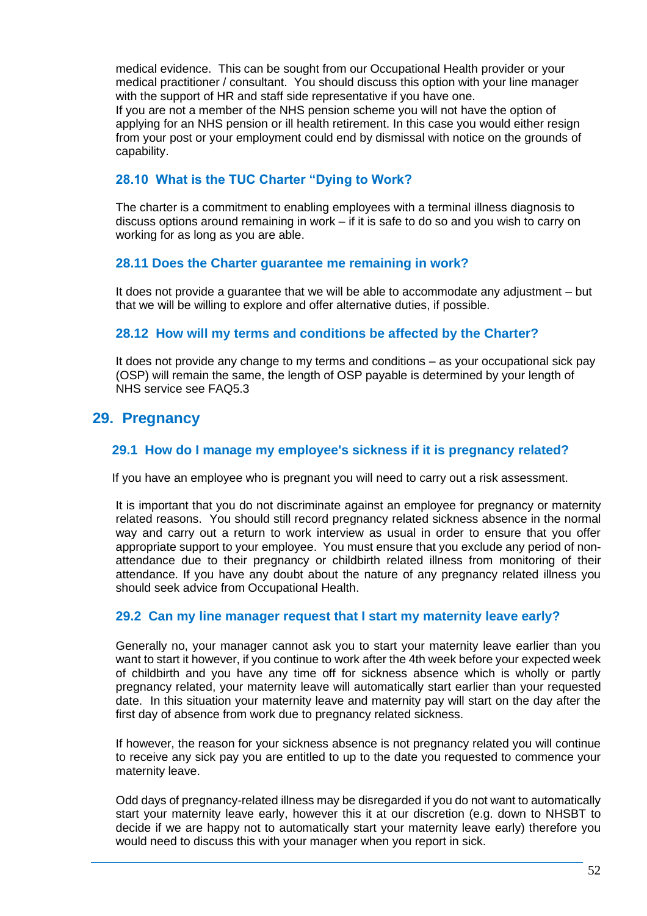medical evidence. This can be sought from our Occupational Health provider or your medical practitioner / consultant. You should discuss this option with your line manager with the support of HR and staff side representative if you have one.

If you are not a member of the NHS pension scheme you will not have the option of applying for an NHS pension or ill health retirement. In this case you would either resign from your post or your employment could end by dismissal with notice on the grounds of capability.

## **28.10 What is the TUC Charter "Dying to Work?**

The charter is a commitment to enabling employees with a terminal illness diagnosis to discuss options around remaining in work – if it is safe to do so and you wish to carry on working for as long as you are able.

## **28.11 Does the Charter guarantee me remaining in work?**

It does not provide a guarantee that we will be able to accommodate any adjustment – but that we will be willing to explore and offer alternative duties, if possible.

## **28.12 How will my terms and conditions be affected by the Charter?**

It does not provide any change to my terms and conditions – as your occupational sick pay (OSP) will remain the same, the length of OSP payable is determined by your length of NHS service see FAQ5.3

## **29. Pregnancy**

## **29.1 How do I manage my employee's sickness if it is pregnancy related?**

If you have an employee who is pregnant you will need to carry out a risk assessment.

It is important that you do not discriminate against an employee for pregnancy or maternity related reasons. You should still record pregnancy related sickness absence in the normal way and carry out a return to work interview as usual in order to ensure that you offer appropriate support to your employee. You must ensure that you exclude any period of nonattendance due to their pregnancy or childbirth related illness from monitoring of their attendance. If you have any doubt about the nature of any pregnancy related illness you should seek advice from Occupational Health.

## **29.2 Can my line manager request that I start my maternity leave early?**

Generally no, your manager cannot ask you to start your maternity leave earlier than you want to start it however, if you continue to work after the 4th week before your expected week of childbirth and you have any time off for sickness absence which is wholly or partly pregnancy related, your maternity leave will automatically start earlier than your requested date. In this situation your maternity leave and maternity pay will start on the day after the first day of absence from work due to pregnancy related sickness.

If however, the reason for your sickness absence is not pregnancy related you will continue to receive any sick pay you are entitled to up to the date you requested to commence your maternity leave.

Odd days of pregnancy-related illness may be disregarded if you do not want to automatically start your maternity leave early, however this it at our discretion (e.g. down to NHSBT to decide if we are happy not to automatically start your maternity leave early) therefore you would need to discuss this with your manager when you report in sick.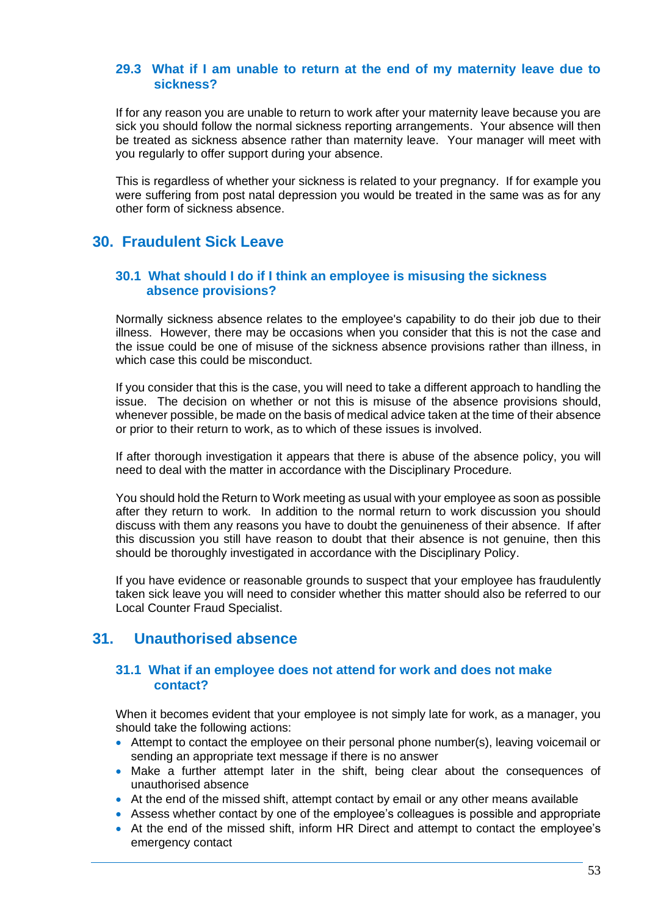#### **29.3 What if I am unable to return at the end of my maternity leave due to sickness?**

If for any reason you are unable to return to work after your maternity leave because you are sick you should follow the normal sickness reporting arrangements. Your absence will then be treated as sickness absence rather than maternity leave. Your manager will meet with you regularly to offer support during your absence.

This is regardless of whether your sickness is related to your pregnancy. If for example you were suffering from post natal depression you would be treated in the same was as for any other form of sickness absence.

## **30. Fraudulent Sick Leave**

### **30.1 What should I do if I think an employee is misusing the sickness absence provisions?**

Normally sickness absence relates to the employee's capability to do their job due to their illness. However, there may be occasions when you consider that this is not the case and the issue could be one of misuse of the sickness absence provisions rather than illness, in which case this could be misconduct.

If you consider that this is the case, you will need to take a different approach to handling the issue. The decision on whether or not this is misuse of the absence provisions should, whenever possible, be made on the basis of medical advice taken at the time of their absence or prior to their return to work, as to which of these issues is involved.

If after thorough investigation it appears that there is abuse of the absence policy, you will need to deal with the matter in accordance with the Disciplinary Procedure.

You should hold the Return to Work meeting as usual with your employee as soon as possible after they return to work. In addition to the normal return to work discussion you should discuss with them any reasons you have to doubt the genuineness of their absence. If after this discussion you still have reason to doubt that their absence is not genuine, then this should be thoroughly investigated in accordance with the Disciplinary Policy.

If you have evidence or reasonable grounds to suspect that your employee has fraudulently taken sick leave you will need to consider whether this matter should also be referred to our Local Counter Fraud Specialist.

## **31. Unauthorised absence**

#### **31.1 What if an employee does not attend for work and does not make contact?**

When it becomes evident that your employee is not simply late for work, as a manager, you should take the following actions:

- Attempt to contact the employee on their personal phone number(s), leaving voicemail or sending an appropriate text message if there is no answer
- Make a further attempt later in the shift, being clear about the consequences of unauthorised absence
- At the end of the missed shift, attempt contact by email or any other means available
- Assess whether contact by one of the employee's colleagues is possible and appropriate • At the end of the missed shift, inform HR Direct and attempt to contact the employee's emergency contact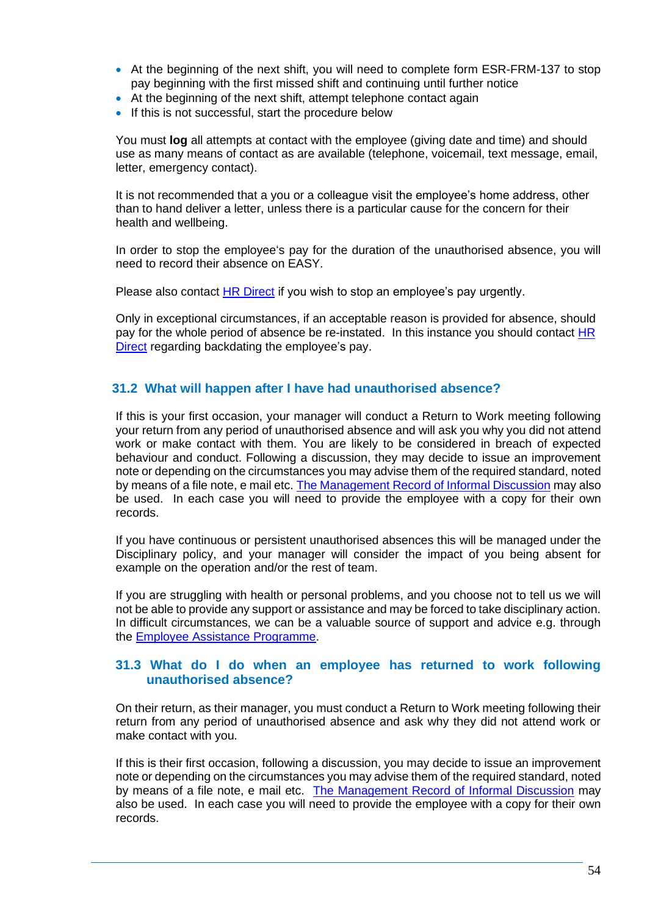- At the beginning of the next shift, you will need to complete form ESR-FRM-137 to stop pay beginning with the first missed shift and continuing until further notice
- At the beginning of the next shift, attempt telephone contact again
- If this is not successful, start the procedure below

You must **log** all attempts at contact with the employee (giving date and time) and should use as many means of contact as are available (telephone, voicemail, text message, email, letter, emergency contact).

It is not recommended that a you or a colleague visit the employee's home address, other than to hand deliver a letter, unless there is a particular cause for the concern for their health and wellbeing.

In order to stop the employee's pay for the duration of the unauthorised absence, you will need to record their absence on EASY.

Please also contact [HR Direct](https://nhsbt.service-now.com/hr_knowledge/query.do) if you wish to stop an employee's pay urgently.

Only in exceptional circumstances, if an acceptable reason is provided for absence, should pay for the whole period of absence be re-instated. In this instance you should contact [HR](https://nhsbt.service-now.com/hr_knowledge/query.do)  [Direct](https://nhsbt.service-now.com/hr_knowledge/query.do) regarding backdating the employee's pay.

#### **31.2 What will happen after I have had unauthorised absence?**

If this is your first occasion, your manager will conduct a Return to Work meeting following your return from any period of unauthorised absence and will ask you why you did not attend work or make contact with them. You are likely to be considered in breach of expected behaviour and conduct. Following a discussion, they may decide to issue an improvement note or depending on the circumstances you may advise them of the required standard, noted by means of a file note, e mail etc. [The Management Record of Informal Discussion](http://nhsbtweb/document_store/discipline_record.doc) may also be used. In each case you will need to provide the employee with a copy for their own records.

If you have continuous or persistent unauthorised absences this will be managed under the Disciplinary policy, and your manager will consider the impact of you being absent for example on the operation and/or the rest of team.

If you are struggling with health or personal problems, and you choose not to tell us we will not be able to provide any support or assistance and may be forced to take disciplinary action. In difficult circumstances, we can be a valuable source of support and advice e.g. through the [Employee Assistance Programme.](https://peoplefirst.nhsbt.nhs.uk/Wellbeing/employee-assistant-programme-eap.htm)

#### **31.3 What do I do when an employee has returned to work following unauthorised absence?**

On their return, as their manager, you must conduct a Return to Work meeting following their return from any period of unauthorised absence and ask why they did not attend work or make contact with you.

If this is their first occasion, following a discussion, you may decide to issue an improvement note or depending on the circumstances you may advise them of the required standard, noted by means of a file note, e mail etc. [The Management Record of Informal Discussion](http://nhsbtweb/document_store/discipline_record.doc) may also be used. In each case you will need to provide the employee with a copy for their own records.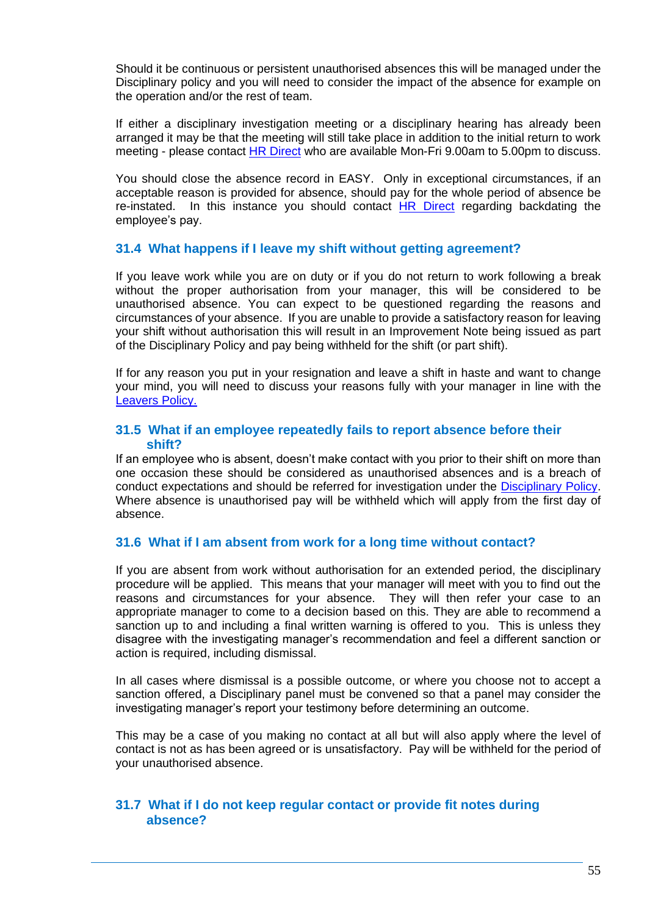Should it be continuous or persistent unauthorised absences this will be managed under the Disciplinary policy and you will need to consider the impact of the absence for example on the operation and/or the rest of team.

If either a disciplinary investigation meeting or a disciplinary hearing has already been arranged it may be that the meeting will still take place in addition to the initial return to work meeting - please contact [HR Direct](https://nhsbt.service-now.com/hr_knowledge/query.do) who are available Mon-Fri 9.00am to 5.00pm to discuss.

You should close the absence record in EASY. Only in exceptional circumstances, if an acceptable reason is provided for absence, should pay for the whole period of absence be re-instated. In this instance you should contact [HR Direct](https://nhsbt.service-now.com/hr_knowledge/query.do) regarding backdating the employee's pay.

#### **31.4 What happens if I leave my shift without getting agreement?**

If you leave work while you are on duty or if you do not return to work following a break without the proper authorisation from your manager, this will be considered to be unauthorised absence. You can expect to be questioned regarding the reasons and circumstances of your absence. If you are unable to provide a satisfactory reason for leaving your shift without authorisation this will result in an Improvement Note being issued as part of the Disciplinary Policy and pay being withheld for the shift (or part shift).

If for any reason you put in your resignation and leave a shift in haste and want to change your mind, you will need to discuss your reasons fully with your manager in line with the [Leavers Policy.](https://peoplefirst.nhsbt.nhs.uk/NHSBT-DOCUMENT-LIBRARY/PoliciesandSupportingDocs/Policy-Leavers-Policy.pdf)

#### **31.5 What if an employee repeatedly fails to report absence before their shift?**

If an employee who is absent, doesn't make contact with you prior to their shift on more than one occasion these should be considered as unauthorised absences and is a breach of conduct expectations and should be referred for investigation under the [Disciplinary Policy.](https://peoplefirst.nhsbt.nhs.uk/NHSBT-DOCUMENT-LIBRARY/PoliciesandSupportingDocs/Policy-DisciplinaryPolicy.pdf) Where absence is unauthorised pay will be withheld which will apply from the first day of absence.

## **31.6 What if I am absent from work for a long time without contact?**

If you are absent from work without authorisation for an extended period, the disciplinary procedure will be applied. This means that your manager will meet with you to find out the reasons and circumstances for your absence. They will then refer your case to an appropriate manager to come to a decision based on this. They are able to recommend a sanction up to and including a final written warning is offered to you. This is unless they disagree with the investigating manager's recommendation and feel a different sanction or action is required, including dismissal.

In all cases where dismissal is a possible outcome, or where you choose not to accept a sanction offered, a Disciplinary panel must be convened so that a panel may consider the investigating manager's report your testimony before determining an outcome.

This may be a case of you making no contact at all but will also apply where the level of contact is not as has been agreed or is unsatisfactory. Pay will be withheld for the period of your unauthorised absence.

#### **31.7 What if I do not keep regular contact or provide fit notes during absence?**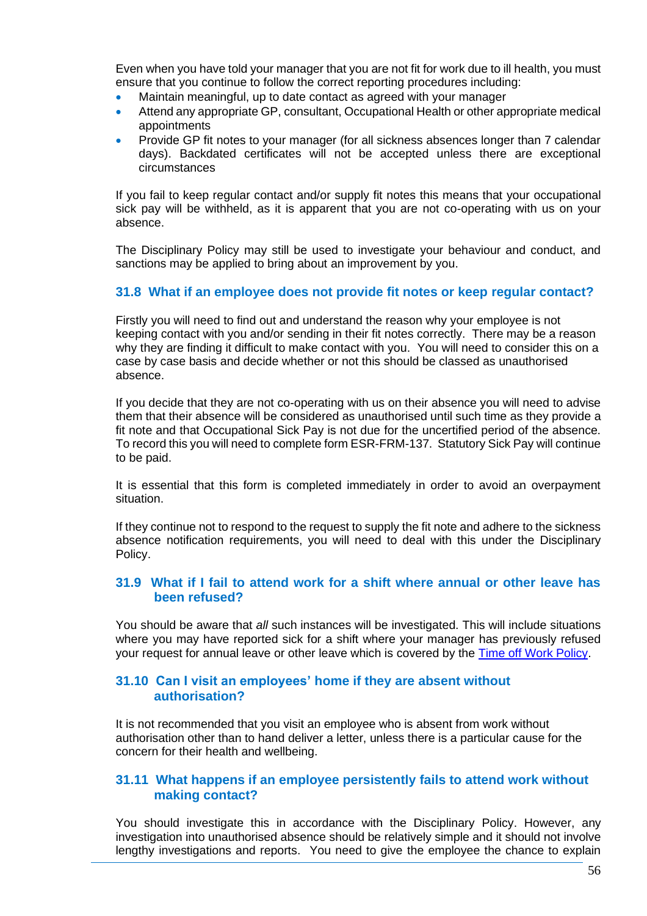Even when you have told your manager that you are not fit for work due to ill health, you must ensure that you continue to follow the correct reporting procedures including:

- Maintain meaningful, up to date contact as agreed with your manager
- Attend any appropriate GP, consultant, Occupational Health or other appropriate medical appointments
- Provide GP fit notes to your manager (for all sickness absences longer than 7 calendar days). Backdated certificates will not be accepted unless there are exceptional circumstances

If you fail to keep regular contact and/or supply fit notes this means that your occupational sick pay will be withheld, as it is apparent that you are not co-operating with us on your absence.

The Disciplinary Policy may still be used to investigate your behaviour and conduct, and sanctions may be applied to bring about an improvement by you.

#### **31.8 What if an employee does not provide fit notes or keep regular contact?**

Firstly you will need to find out and understand the reason why your employee is not keeping contact with you and/or sending in their fit notes correctly. There may be a reason why they are finding it difficult to make contact with you. You will need to consider this on a case by case basis and decide whether or not this should be classed as unauthorised absence.

If you decide that they are not co-operating with us on their absence you will need to advise them that their absence will be considered as unauthorised until such time as they provide a fit note and that Occupational Sick Pay is not due for the uncertified period of the absence. To record this you will need to complete form ESR-FRM-137. Statutory Sick Pay will continue to be paid.

It is essential that this form is completed immediately in order to avoid an overpayment situation.

If they continue not to respond to the request to supply the fit note and adhere to the sickness absence notification requirements, you will need to deal with this under the Disciplinary Policy.

#### **31.9 What if I fail to attend work for a shift where annual or other leave has been refused?**

You should be aware that *all* such instances will be investigated. This will include situations where you may have reported sick for a shift where your manager has previously refused your request for annual leave or other leave which is covered by the [Time off Work Policy.](https://peoplefirst.nhsbt.nhs.uk/NHSBT-DOCUMENT-LIBRARY/PoliciesandSupportingDocs/Policy-Time-Off-Work-Policy.pdf)

#### **31.10 Can I visit an employees' home if they are absent without authorisation?**

It is not recommended that you visit an employee who is absent from work without authorisation other than to hand deliver a letter, unless there is a particular cause for the concern for their health and wellbeing.

#### **31.11 What happens if an employee persistently fails to attend work without making contact?**

You should investigate this in accordance with the Disciplinary Policy. However, any investigation into unauthorised absence should be relatively simple and it should not involve lengthy investigations and reports. You need to give the employee the chance to explain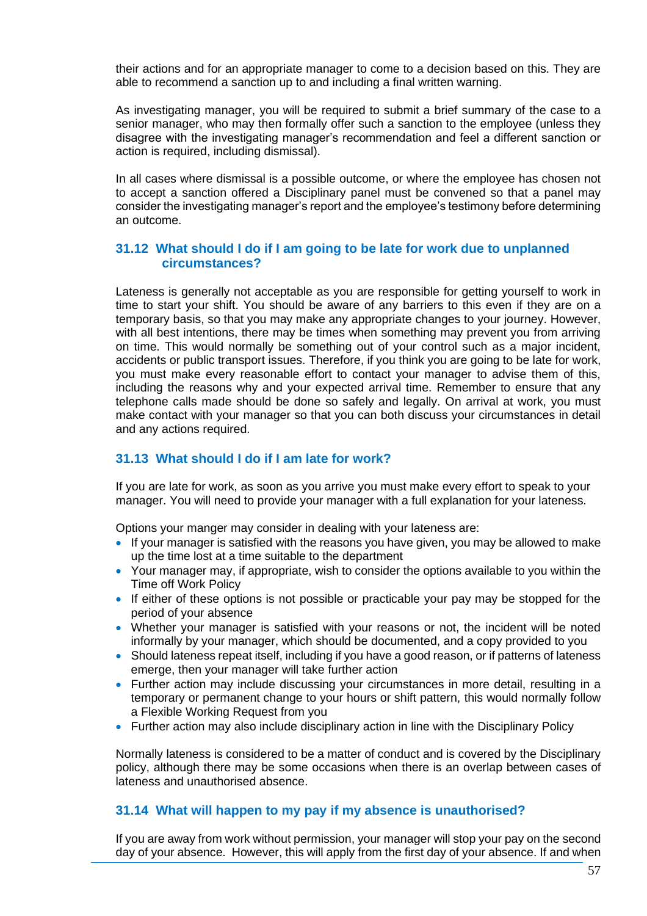their actions and for an appropriate manager to come to a decision based on this. They are able to recommend a sanction up to and including a final written warning.

As investigating manager, you will be required to submit a brief summary of the case to a senior manager, who may then formally offer such a sanction to the employee (unless they disagree with the investigating manager's recommendation and feel a different sanction or action is required, including dismissal).

In all cases where dismissal is a possible outcome, or where the employee has chosen not to accept a sanction offered a Disciplinary panel must be convened so that a panel may consider the investigating manager's report and the employee's testimony before determining an outcome.

### **31.12 What should I do if I am going to be late for work due to unplanned circumstances?**

Lateness is generally not acceptable as you are responsible for getting yourself to work in time to start your shift. You should be aware of any barriers to this even if they are on a temporary basis, so that you may make any appropriate changes to your journey. However, with all best intentions, there may be times when something may prevent you from arriving on time. This would normally be something out of your control such as a major incident, accidents or public transport issues. Therefore, if you think you are going to be late for work, you must make every reasonable effort to contact your manager to advise them of this, including the reasons why and your expected arrival time. Remember to ensure that any telephone calls made should be done so safely and legally. On arrival at work, you must make contact with your manager so that you can both discuss your circumstances in detail and any actions required.

## **31.13 What should I do if I am late for work?**

If you are late for work, as soon as you arrive you must make every effort to speak to your manager. You will need to provide your manager with a full explanation for your lateness.

Options your manger may consider in dealing with your lateness are:

- If your manager is satisfied with the reasons you have given, you may be allowed to make up the time lost at a time suitable to the department
- Your manager may, if appropriate, wish to consider the options available to you within the Time off Work Policy
- If either of these options is not possible or practicable your pay may be stopped for the period of your absence
- Whether your manager is satisfied with your reasons or not, the incident will be noted informally by your manager, which should be documented, and a copy provided to you
- Should lateness repeat itself, including if you have a good reason, or if patterns of lateness emerge, then your manager will take further action
- Further action may include discussing your circumstances in more detail, resulting in a temporary or permanent change to your hours or shift pattern, this would normally follow a Flexible Working Request from you
- Further action may also include disciplinary action in line with the Disciplinary Policy

Normally lateness is considered to be a matter of conduct and is covered by the Disciplinary policy, although there may be some occasions when there is an overlap between cases of lateness and unauthorised absence.

## **31.14 What will happen to my pay if my absence is unauthorised?**

If you are away from work without permission, your manager will stop your pay on the second day of your absence. However, this will apply from the first day of your absence. If and when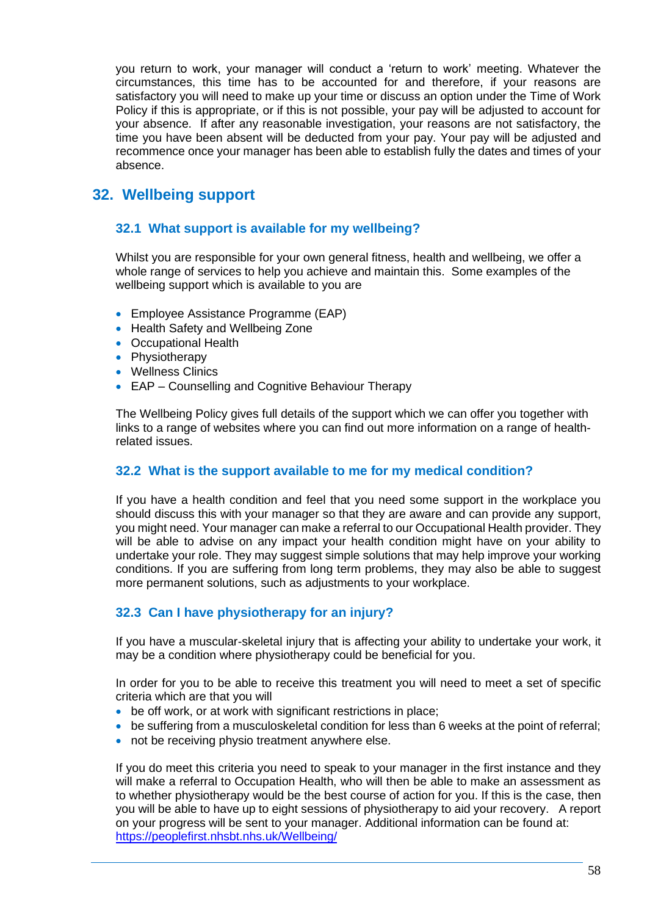you return to work, your manager will conduct a 'return to work' meeting. Whatever the circumstances, this time has to be accounted for and therefore, if your reasons are satisfactory you will need to make up your time or discuss an option under the Time of Work Policy if this is appropriate, or if this is not possible, your pay will be adjusted to account for your absence. If after any reasonable investigation, your reasons are not satisfactory, the time you have been absent will be deducted from your pay. Your pay will be adjusted and recommence once your manager has been able to establish fully the dates and times of your absence.

# **32. Wellbeing support**

## **32.1 What support is available for my wellbeing?**

Whilst you are responsible for your own general fitness, health and wellbeing, we offer a whole range of services to help you achieve and maintain this. Some examples of the wellbeing support which is available to you are

- Employee Assistance Programme (EAP)
- Health Safety and Wellbeing Zone
- Occupational Health
- Physiotherapy
- Wellness Clinics
- EAP Counselling and Cognitive Behaviour Therapy

The Wellbeing Policy gives full details of the support which we can offer you together with links to a range of websites where you can find out more information on a range of healthrelated issues.

## **32.2 What is the support available to me for my medical condition?**

If you have a health condition and feel that you need some support in the workplace you should discuss this with your manager so that they are aware and can provide any support, you might need. Your manager can make a referral to our Occupational Health provider. They will be able to advise on any impact your health condition might have on your ability to undertake your role. They may suggest simple solutions that may help improve your working conditions. If you are suffering from long term problems, they may also be able to suggest more permanent solutions, such as adjustments to your workplace.

## **32.3 Can I have physiotherapy for an injury?**

If you have a muscular-skeletal injury that is affecting your ability to undertake your work, it may be a condition where physiotherapy could be beneficial for you.

In order for you to be able to receive this treatment you will need to meet a set of specific criteria which are that you will

- be off work, or at work with significant restrictions in place;
- be suffering from a musculoskeletal condition for less than 6 weeks at the point of referral;
- not be receiving physio treatment anywhere else.

If you do meet this criteria you need to speak to your manager in the first instance and they will make a referral to Occupation Health, who will then be able to make an assessment as to whether physiotherapy would be the best course of action for you. If this is the case, then you will be able to have up to eight sessions of physiotherapy to aid your recovery. A report on your progress will be sent to your manager. Additional information can be found at: <https://peoplefirst.nhsbt.nhs.uk/Wellbeing/>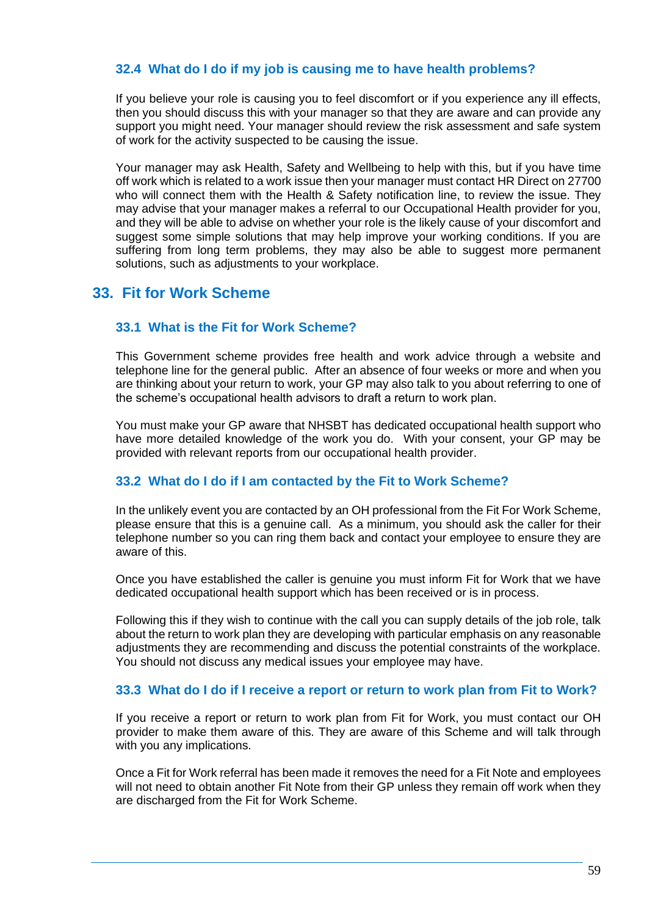## **32.4 What do I do if my job is causing me to have health problems?**

If you believe your role is causing you to feel discomfort or if you experience any ill effects, then you should discuss this with your manager so that they are aware and can provide any support you might need. Your manager should review the risk assessment and safe system of work for the activity suspected to be causing the issue.

Your manager may ask Health, Safety and Wellbeing to help with this, but if you have time off work which is related to a work issue then your manager must contact HR Direct on 27700 who will connect them with the Health & Safety notification line, to review the issue. They may advise that your manager makes a referral to our Occupational Health provider for you, and they will be able to advise on whether your role is the likely cause of your discomfort and suggest some simple solutions that may help improve your working conditions. If you are suffering from long term problems, they may also be able to suggest more permanent solutions, such as adjustments to your workplace.

## **33. Fit for Work Scheme**

#### **33.1 What is the Fit for Work Scheme?**

This Government scheme provides free health and work advice through a website and telephone line for the general public. After an absence of four weeks or more and when you are thinking about your return to work, your GP may also talk to you about referring to one of the scheme's occupational health advisors to draft a return to work plan.

You must make your GP aware that NHSBT has dedicated occupational health support who have more detailed knowledge of the work you do. With your consent, your GP may be provided with relevant reports from our occupational health provider.

## **33.2 What do I do if I am contacted by the Fit to Work Scheme?**

In the unlikely event you are contacted by an OH professional from the Fit For Work Scheme, please ensure that this is a genuine call. As a minimum, you should ask the caller for their telephone number so you can ring them back and contact your employee to ensure they are aware of this.

Once you have established the caller is genuine you must inform Fit for Work that we have dedicated occupational health support which has been received or is in process.

Following this if they wish to continue with the call you can supply details of the job role, talk about the return to work plan they are developing with particular emphasis on any reasonable adjustments they are recommending and discuss the potential constraints of the workplace. You should not discuss any medical issues your employee may have.

#### **33.3 What do I do if I receive a report or return to work plan from Fit to Work?**

If you receive a report or return to work plan from Fit for Work, you must contact our OH provider to make them aware of this. They are aware of this Scheme and will talk through with you any implications.

Once a Fit for Work referral has been made it removes the need for a Fit Note and employees will not need to obtain another Fit Note from their GP unless they remain off work when they are discharged from the Fit for Work Scheme.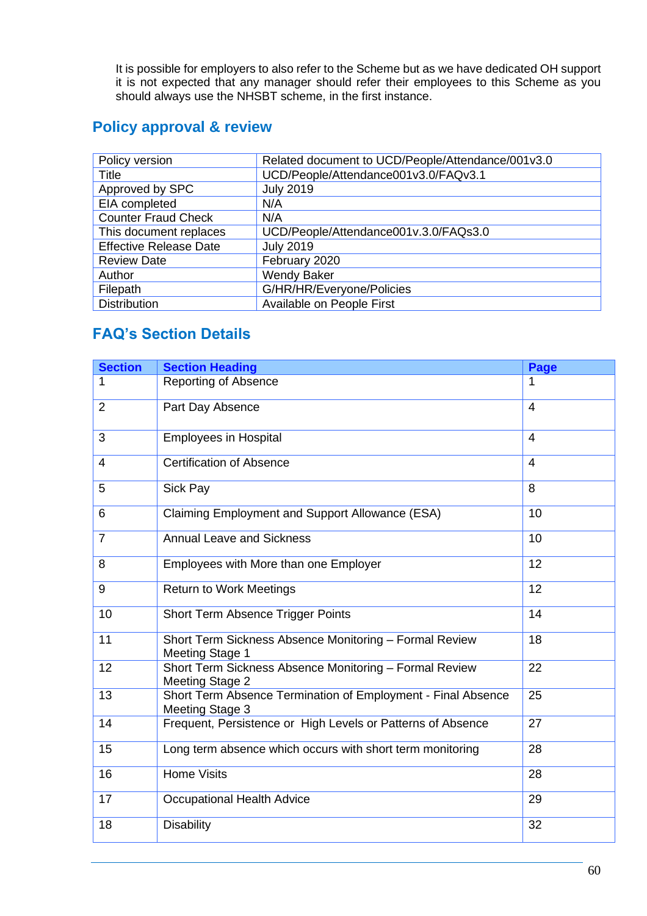It is possible for employers to also refer to the Scheme but as we have dedicated OH support it is not expected that any manager should refer their employees to this Scheme as you should always use the NHSBT scheme, in the first instance.

# **Policy approval & review**

| Policy version                | Related document to UCD/People/Attendance/001v3.0 |
|-------------------------------|---------------------------------------------------|
| <b>Title</b>                  | UCD/People/Attendance001v3.0/FAQv3.1              |
| Approved by SPC               | <b>July 2019</b>                                  |
| EIA completed                 | N/A                                               |
| <b>Counter Fraud Check</b>    | N/A                                               |
| This document replaces        | UCD/People/Attendance001v.3.0/FAQs3.0             |
| <b>Effective Release Date</b> | <b>July 2019</b>                                  |
| <b>Review Date</b>            | February 2020                                     |
| Author                        | <b>Wendy Baker</b>                                |
| Filepath                      | G/HR/HR/Everyone/Policies                         |
| <b>Distribution</b>           | Available on People First                         |

# **FAQ's Section Details**

| <b>Section</b> | <b>Section Heading</b>                                                                 | <b>Page</b>    |
|----------------|----------------------------------------------------------------------------------------|----------------|
| 1              | <b>Reporting of Absence</b>                                                            |                |
| $\overline{2}$ | Part Day Absence                                                                       | $\overline{4}$ |
| 3              | <b>Employees in Hospital</b>                                                           | $\overline{4}$ |
| 4              | <b>Certification of Absence</b>                                                        | $\overline{4}$ |
| 5              | Sick Pay                                                                               | 8              |
| 6              | Claiming Employment and Support Allowance (ESA)                                        | 10             |
| $\overline{7}$ | <b>Annual Leave and Sickness</b>                                                       | 10             |
| 8              | Employees with More than one Employer                                                  | 12             |
| 9              | <b>Return to Work Meetings</b>                                                         | 12             |
| 10             | Short Term Absence Trigger Points                                                      | 14             |
| 11             | Short Term Sickness Absence Monitoring - Formal Review<br><b>Meeting Stage 1</b>       | 18             |
| 12             | Short Term Sickness Absence Monitoring - Formal Review<br><b>Meeting Stage 2</b>       | 22             |
| 13             | Short Term Absence Termination of Employment - Final Absence<br><b>Meeting Stage 3</b> | 25             |
| 14             | Frequent, Persistence or High Levels or Patterns of Absence                            | 27             |
| 15             | Long term absence which occurs with short term monitoring                              | 28             |
| 16             | <b>Home Visits</b>                                                                     | 28             |
| 17             | <b>Occupational Health Advice</b>                                                      | 29             |
| 18             | <b>Disability</b>                                                                      | 32             |